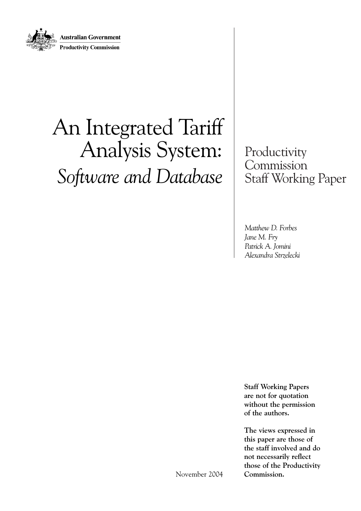

# An Integrated Tariff Analysis System: *Software and Database*

Productivity Commission Staff Working Paper

*Matthew D. Forbes Jane M. Fry Patrick A. Jomini Alexandra Strzelecki*

**Staff Working Papers are not for quotation without the permission of the authors.**

**The views expressed in this paper are those of the staff involved and do not necessarily reflect those of the Productivity Commission.** 

November 2004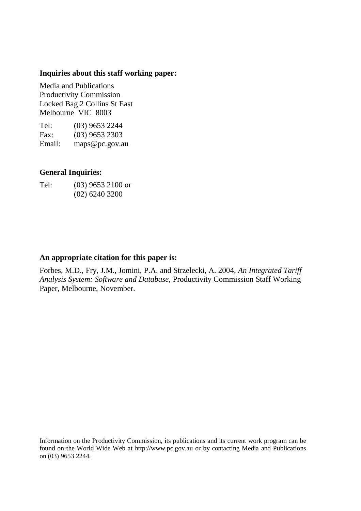#### **Inquiries about this staff working paper:**

Media and Publications Productivity Commission Locked Bag 2 Collins St East Melbourne VIC 8003

Tel: (03) 9653 2244 Fax: (03) 9653 2303 Email: maps@pc.gov.au

#### **General Inquiries:**

| Tel: | $(03)$ 9653 2100 or |
|------|---------------------|
|      | $(02)$ 6240 3200    |

#### **An appropriate citation for this paper is:**

Forbes, M.D., Fry, J.M., Jomini, P.A. and Strzelecki, A. 2004, *An Integrated Tariff Analysis System: Software and Database*, Productivity Commission Staff Working Paper, Melbourne, November.

Information on the Productivity Commission, its publications and its current work program can be found on the World Wide Web at http://www.pc.gov.au or by contacting Media and Publications on (03) 9653 2244.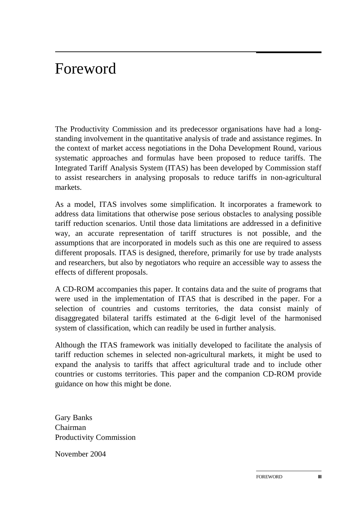# Foreword

The Productivity Commission and its predecessor organisations have had a longstanding involvement in the quantitative analysis of trade and assistance regimes. In the context of market access negotiations in the Doha Development Round, various systematic approaches and formulas have been proposed to reduce tariffs. The Integrated Tariff Analysis System (ITAS) has been developed by Commission staff to assist researchers in analysing proposals to reduce tariffs in non-agricultural markets.

As a model, ITAS involves some simplification. It incorporates a framework to address data limitations that otherwise pose serious obstacles to analysing possible tariff reduction scenarios. Until those data limitations are addressed in a definitive way, an accurate representation of tariff structures is not possible, and the assumptions that are incorporated in models such as this one are required to assess different proposals. ITAS is designed, therefore, primarily for use by trade analysts and researchers, but also by negotiators who require an accessible way to assess the effects of different proposals.

A CD-ROM accompanies this paper. It contains data and the suite of programs that were used in the implementation of ITAS that is described in the paper. For a selection of countries and customs territories, the data consist mainly of disaggregated bilateral tariffs estimated at the 6-digit level of the harmonised system of classification, which can readily be used in further analysis.

Although the ITAS framework was initially developed to facilitate the analysis of tariff reduction schemes in selected non-agricultural markets, it might be used to expand the analysis to tariffs that affect agricultural trade and to include other countries or customs territories. This paper and the companion CD-ROM provide guidance on how this might be done.

Gary Banks Chairman Productivity Commission

November 2004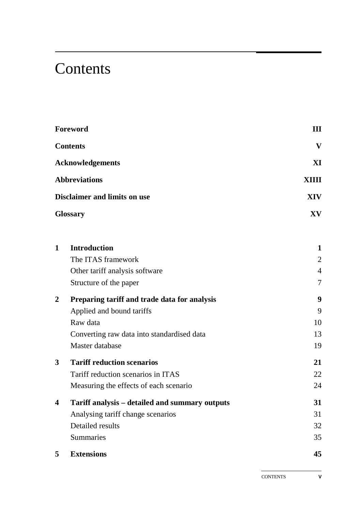# **Contents**

|                | Foreword                                       | Ш              |
|----------------|------------------------------------------------|----------------|
|                | <b>Contents</b>                                | $\mathbf{V}$   |
|                | <b>Acknowledgements</b>                        | XI             |
|                | <b>Abbreviations</b>                           | <b>XIIII</b>   |
|                | <b>Disclaimer and limits on use</b>            | <b>XIV</b>     |
|                | <b>Glossary</b>                                | XV             |
| $\mathbf{1}$   | <b>Introduction</b>                            | 1              |
|                | The ITAS framework                             | 2              |
|                | Other tariff analysis software                 | $\overline{4}$ |
|                | Structure of the paper                         | 7              |
| $\overline{2}$ | Preparing tariff and trade data for analysis   | 9              |
|                | Applied and bound tariffs                      | 9              |
|                | Raw data                                       | 10             |
|                | Converting raw data into standardised data     | 13             |
|                | Master database                                | 19             |
| 3              | <b>Tariff reduction scenarios</b>              | 21             |
|                | Tariff reduction scenarios in ITAS             | 22             |
|                | Measuring the effects of each scenario         | 24             |
| 4              | Tariff analysis - detailed and summary outputs | 31             |
|                | Analysing tariff change scenarios              | 31             |
|                | Detailed results                               | 32             |
|                | Summaries                                      | 35             |
| 5              | <b>Extensions</b>                              | 45             |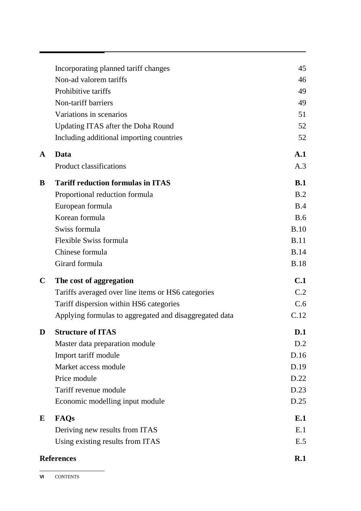|              | Incorporating planned tariff changes                   | 45             |
|--------------|--------------------------------------------------------|----------------|
|              | Non-ad valorem tariffs                                 | 46             |
|              | Prohibitive tariffs                                    | 49             |
|              | Non-tariff barriers                                    | 49             |
|              | Variations in scenarios                                | 51             |
|              | Updating ITAS after the Doha Round                     | 52             |
|              | Including additional importing countries               | 52             |
| $\mathbf{A}$ | Data                                                   | $\mathbf{A.1}$ |
|              | <b>Product classifications</b>                         | A.3            |
| B            | <b>Tariff reduction formulas in ITAS</b>               | B.1            |
|              | Proportional reduction formula                         | B.2            |
|              | European formula                                       | B.4            |
|              | Korean formula                                         | B.6            |
|              | Swiss formula                                          | B.10           |
|              | Flexible Swiss formula                                 | <b>B.11</b>    |
|              | Chinese formula                                        | <b>B.14</b>    |
|              | Girard formula                                         | <b>B.18</b>    |
| $\mathbf C$  | The cost of aggregation                                | C.1            |
|              | Tariffs averaged over line items or HS6 categories     | C.2            |
|              | Tariff dispersion within HS6 categories                | C.6            |
|              | Applying formulas to aggregated and disaggregated data | C.12           |
| D            | <b>Structure of ITAS</b>                               | D.1            |
|              | Master data preparation module                         | D.2            |
|              | Import tariff module                                   | D.16           |
|              | Market access module                                   | D.19           |
|              | Price module                                           | D.22           |
|              | Tariff revenue module                                  | D.23           |
|              | Economic modelling input module                        | D.25           |
| E            | FAQs                                                   | E.1            |
|              | Deriving new results from ITAS                         | E.1            |
|              | Using existing results from ITAS                       | E.5            |
|              | <b>References</b>                                      | R.1            |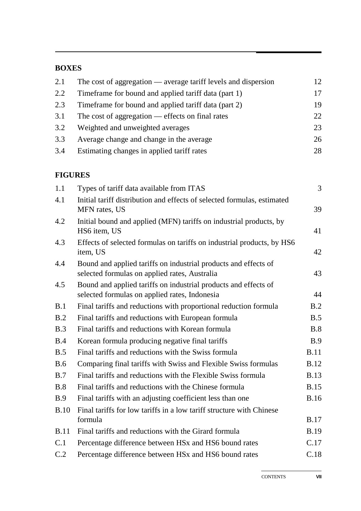#### **BOXES**

| 2.1 | The cost of aggregation $\_\$ average tariff levels and dispersion | 12 |
|-----|--------------------------------------------------------------------|----|
| 2.2 | Time frame for bound and applied tariff data (part 1)              | 17 |
| 2.3 | Time frame for bound and applied tariff data (part 2)              | 19 |
| 3.1 | The cost of aggregation $-$ effects on final rates                 | 22 |
| 3.2 | Weighted and unweighted averages                                   | 23 |
| 3.3 | Average change and change in the average                           | 26 |
| 3.4 | Estimating changes in applied tariff rates                         | 28 |

#### **FIGURES**

| 1.1         | Types of tariff data available from ITAS                                                                         | $\mathfrak{Z}$ |
|-------------|------------------------------------------------------------------------------------------------------------------|----------------|
| 4.1         | Initial tariff distribution and effects of selected formulas, estimated<br>MFN rates, US                         | 39             |
| 4.2         | Initial bound and applied (MFN) tariffs on industrial products, by<br>HS6 item, US                               | 41             |
| 4.3         | Effects of selected formulas on tariffs on industrial products, by HS6<br>item, US                               | 42             |
| 4.4         | Bound and applied tariffs on industrial products and effects of<br>selected formulas on applied rates, Australia | 43             |
| 4.5         | Bound and applied tariffs on industrial products and effects of<br>selected formulas on applied rates, Indonesia | 44             |
| B.1         | Final tariffs and reductions with proportional reduction formula                                                 | B.2            |
| B.2         | Final tariffs and reductions with European formula                                                               | B.5            |
| B.3         | Final tariffs and reductions with Korean formula                                                                 | B.8            |
| B.4         | Korean formula producing negative final tariffs                                                                  | B.9            |
| B.5         | Final tariffs and reductions with the Swiss formula                                                              | <b>B.11</b>    |
| <b>B.6</b>  | Comparing final tariffs with Swiss and Flexible Swiss formulas                                                   | <b>B.12</b>    |
| B.7         | Final tariffs and reductions with the Flexible Swiss formula                                                     | <b>B.13</b>    |
| B.8         | Final tariffs and reductions with the Chinese formula                                                            | <b>B.15</b>    |
| <b>B.9</b>  | Final tariffs with an adjusting coefficient less than one                                                        | <b>B.16</b>    |
| <b>B.10</b> | Final tariffs for low tariffs in a low tariff structure with Chinese<br>formula                                  | <b>B.17</b>    |
| <b>B.11</b> |                                                                                                                  |                |
|             | Final tariffs and reductions with the Girard formula                                                             | <b>B.19</b>    |
| C.1         | Percentage difference between HSx and HS6 bound rates                                                            | C.17           |
| C.2         | Percentage difference between HSx and HS6 bound rates                                                            | C.18           |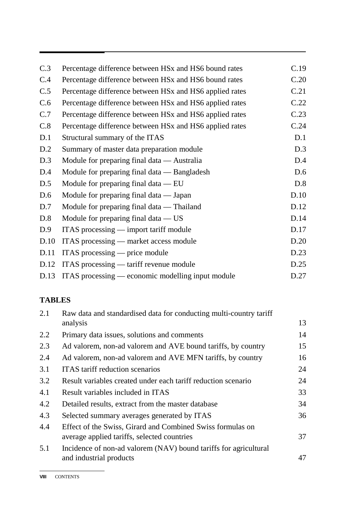| C.3  | Percentage difference between HSx and HS6 bound rates   | C.19 |
|------|---------------------------------------------------------|------|
| C.4  | Percentage difference between HSx and HS6 bound rates   | C.20 |
| C.5  | Percentage difference between HSx and HS6 applied rates | C.21 |
| C.6  | Percentage difference between HSx and HS6 applied rates | C.22 |
| C.7  | Percentage difference between HSx and HS6 applied rates | C.23 |
| C.8  | Percentage difference between HSx and HS6 applied rates | C.24 |
| D.1  | Structural summary of the ITAS                          | D.1  |
| D.2  | Summary of master data preparation module               | D.3  |
| D.3  | Module for preparing final data — Australia             | D.4  |
| D.4  | Module for preparing final data — Bangladesh            | D.6  |
| D.5  | Module for preparing final data $-$ EU                  | D.8  |
| D.6  | Module for preparing final data — Japan                 | D.10 |
| D.7  | Module for preparing final data — Thailand              | D.12 |
| D.8  | Module for preparing final data $-$ US                  | D.14 |
| D.9  | ITAS processing — import tariff module                  | D.17 |
| D.10 | ITAS processing — market access module                  | D.20 |
| D.11 | ITAS processing $-$ price module                        | D.23 |
| D.12 | ITAS processing — tariff revenue module                 | D.25 |
| D.13 | ITAS processing — economic modelling input module       | D.27 |

### **TABLES**

| 2.1 | Raw data and standardised data for conducting multi-country tariff                                        |    |
|-----|-----------------------------------------------------------------------------------------------------------|----|
|     | analysis                                                                                                  | 13 |
| 2.2 | Primary data issues, solutions and comments                                                               | 14 |
| 2.3 | Ad valorem, non-ad valorem and AVE bound tariffs, by country                                              | 15 |
| 2.4 | Ad valorem, non-ad valorem and AVE MFN tariffs, by country                                                | 16 |
| 3.1 | <b>ITAS</b> tariff reduction scenarios                                                                    | 24 |
| 3.2 | Result variables created under each tariff reduction scenario                                             | 24 |
| 4.1 | Result variables included in ITAS                                                                         | 33 |
| 4.2 | Detailed results, extract from the master database                                                        | 34 |
| 4.3 | Selected summary averages generated by ITAS                                                               | 36 |
| 4.4 | Effect of the Swiss, Girard and Combined Swiss formulas on<br>average applied tariffs, selected countries | 37 |
| 5.1 | Incidence of non-ad valorem (NAV) bound tariffs for agricultural<br>and industrial products               | 47 |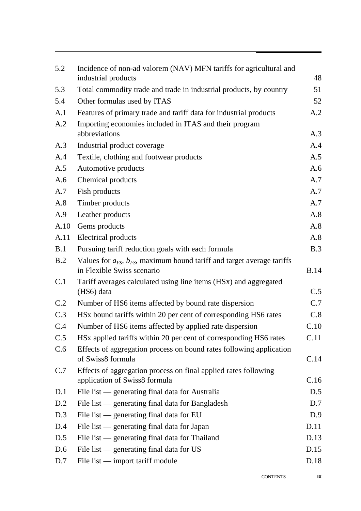| 5.2  | Incidence of non-ad valorem (NAV) MFN tariffs for agricultural and<br>industrial products                      | 48          |
|------|----------------------------------------------------------------------------------------------------------------|-------------|
| 5.3  | Total commodity trade and trade in industrial products, by country                                             | 51          |
| 5.4  | Other formulas used by ITAS                                                                                    | 52          |
| A.1  | Features of primary trade and tariff data for industrial products                                              | A.2         |
| A.2  | Importing economies included in ITAS and their program                                                         |             |
|      | abbreviations                                                                                                  | A.3         |
| A.3  | Industrial product coverage                                                                                    | A.4         |
| A.4  | Textile, clothing and footwear products                                                                        | A.5         |
| A.5  | Automotive products                                                                                            | A.6         |
| A.6  | Chemical products                                                                                              | A.7         |
| A.7  | Fish products                                                                                                  | A.7         |
| A.8  | Timber products                                                                                                | A.7         |
| A.9  | Leather products                                                                                               | A.8         |
| A.10 | Gems products                                                                                                  | A.8         |
| A.11 | <b>Electrical products</b>                                                                                     | A.8         |
| B.1  | Pursuing tariff reduction goals with each formula                                                              | B.3         |
| B.2  | Values for $a_{FS}$ , $b_{FS}$ , maximum bound tariff and target average tariffs<br>in Flexible Swiss scenario | <b>B.14</b> |
| C.1  | Tariff averages calculated using line items (HSx) and aggregated<br>(HS6) data                                 | C.5         |
| C.2  | Number of HS6 items affected by bound rate dispersion                                                          | C.7         |
| C.3  | HSx bound tariffs within 20 per cent of corresponding HS6 rates                                                | C.8         |
| C.4  | Number of HS6 items affected by applied rate dispersion                                                        | C.10        |
| C.5  | HSx applied tariffs within 20 per cent of corresponding HS6 rates                                              | C.11        |
| C.6  | Effects of aggregation process on bound rates following application<br>of Swiss8 formula                       | C.14        |
| C.7  | Effects of aggregation process on final applied rates following<br>application of Swiss8 formula               | C.16        |
| D.1  | File list — generating final data for Australia                                                                | D.5         |
| D.2  | File list — generating final data for Bangladesh                                                               | D.7         |
| D.3  | File list — generating final data for EU                                                                       | D.9         |
| D.4  | File list — generating final data for Japan                                                                    | D.11        |
| D.5  | File list — generating final data for Thailand                                                                 | D.13        |
| D.6  | File list — generating final data for US                                                                       | D.15        |
| D.7  | File list — import tariff module                                                                               | D.18        |

CONTENTS **IX**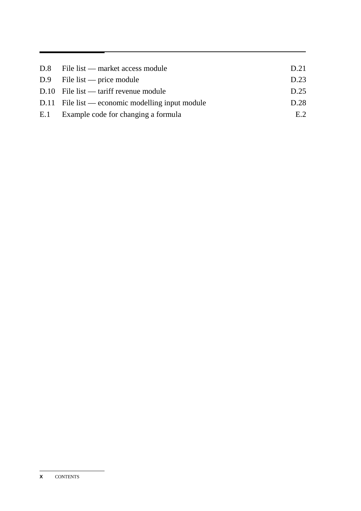| $D.8$ File list — market access module             | D.21 |
|----------------------------------------------------|------|
| $D.9$ File list — price module                     | D.23 |
| $D.10$ File list — tariff revenue module           | D.25 |
| $D.11$ File list — economic modelling input module | D.28 |
| E.1 Example code for changing a formula            | E.2  |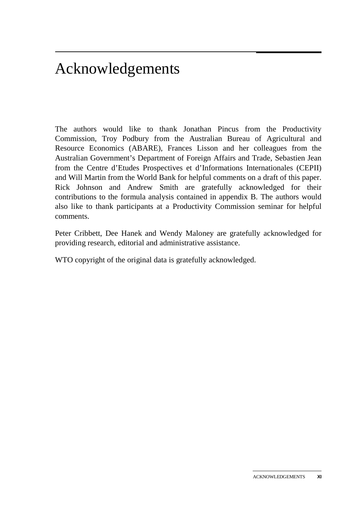# Acknowledgements

The authors would like to thank Jonathan Pincus from the Productivity Commission, Troy Podbury from the Australian Bureau of Agricultural and Resource Economics (ABARE), Frances Lisson and her colleagues from the Australian Government's Department of Foreign Affairs and Trade, Sebastien Jean from the Centre d'Etudes Prospectives et d'Informations Internationales (CEPII) and Will Martin from the World Bank for helpful comments on a draft of this paper. Rick Johnson and Andrew Smith are gratefully acknowledged for their contributions to the formula analysis contained in appendix B. The authors would also like to thank participants at a Productivity Commission seminar for helpful comments.

Peter Cribbett, Dee Hanek and Wendy Maloney are gratefully acknowledged for providing research, editorial and administrative assistance.

WTO copyright of the original data is gratefully acknowledged.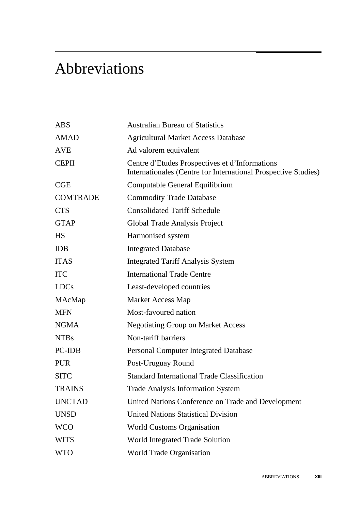# Abbreviations

| <b>ABS</b>      | <b>Australian Bureau of Statistics</b>                                                                           |
|-----------------|------------------------------------------------------------------------------------------------------------------|
| <b>AMAD</b>     | <b>Agricultural Market Access Database</b>                                                                       |
| <b>AVE</b>      | Ad valorem equivalent                                                                                            |
| <b>CEPII</b>    | Centre d'Etudes Prospectives et d'Informations<br>Internationales (Centre for International Prospective Studies) |
| CGE             | Computable General Equilibrium                                                                                   |
| <b>COMTRADE</b> | <b>Commodity Trade Database</b>                                                                                  |
| <b>CTS</b>      | <b>Consolidated Tariff Schedule</b>                                                                              |
| <b>GTAP</b>     | Global Trade Analysis Project                                                                                    |
| <b>HS</b>       | Harmonised system                                                                                                |
| <b>IDB</b>      | <b>Integrated Database</b>                                                                                       |
| <b>ITAS</b>     | <b>Integrated Tariff Analysis System</b>                                                                         |
| <b>ITC</b>      | <b>International Trade Centre</b>                                                                                |
| <b>LDCs</b>     | Least-developed countries                                                                                        |
| MAcMap          | <b>Market Access Map</b>                                                                                         |
| <b>MFN</b>      | Most-favoured nation                                                                                             |
| <b>NGMA</b>     | <b>Negotiating Group on Market Access</b>                                                                        |
| <b>NTBs</b>     | Non-tariff barriers                                                                                              |
| <b>PC-IDB</b>   | <b>Personal Computer Integrated Database</b>                                                                     |
| <b>PUR</b>      | Post-Uruguay Round                                                                                               |
| <b>SITC</b>     | <b>Standard International Trade Classification</b>                                                               |
| <b>TRAINS</b>   | <b>Trade Analysis Information System</b>                                                                         |
| <b>UNCTAD</b>   | United Nations Conference on Trade and Development                                                               |
| <b>UNSD</b>     | <b>United Nations Statistical Division</b>                                                                       |
| <b>WCO</b>      | <b>World Customs Organisation</b>                                                                                |
| <b>WITS</b>     | World Integrated Trade Solution                                                                                  |
| <b>WTO</b>      | World Trade Organisation                                                                                         |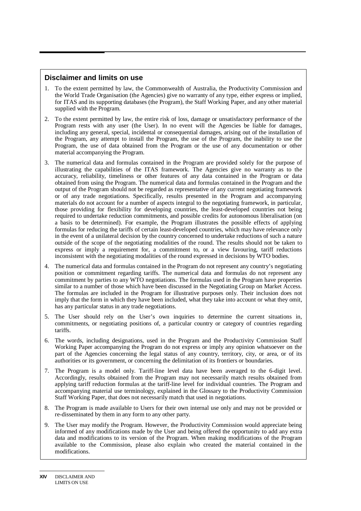#### **Disclaimer and limits on use**

- 1. To the extent permitted by law, the Commonwealth of Australia, the Productivity Commission and the World Trade Organisation (the Agencies) give no warranty of any type, either express or implied, for ITAS and its supporting databases (the Program), the Staff Working Paper, and any other material supplied with the Program.
- 2. To the extent permitted by law, the entire risk of loss, damage or unsatisfactory performance of the Program rests with any user (the User). In no event will the Agencies be liable for damages, including any general, special, incidental or consequential damages, arising out of the installation of the Program, any attempt to install the Program, the use of the Program, the inability to use the Program, the use of data obtained from the Program or the use of any documentation or other material accompanying the Program.
- 3. The numerical data and formulas contained in the Program are provided solely for the purpose of illustrating the capabilities of the ITAS framework. The Agencies give no warranty as to the accuracy, reliability, timeliness or other features of any data contained in the Program or data obtained from using the Program. The numerical data and formulas contained in the Program and the output of the Program should not be regarded as representative of any current negotiating framework or of any trade negotiations. Specifically, results presented in the Program and accompanying materials do not account for a number of aspects integral to the negotiating framework, in particular, those providing for flexibility for developing countries, the least-developed countries not being required to undertake reduction commitments, and possible credits for autonomous liberalisation (on a basis to be determined). For example, the Program illustrates the possible effects of applying formulas for reducing the tariffs of certain least-developed countries, which may have relevance only in the event of a unilateral decision by the country concerned to undertake reductions of such a nature outside of the scope of the negotiating modalities of the round. The results should not be taken to express or imply a requirement for, a commitment to, or a view favouring, tariff reductions inconsistent with the negotiating modalities of the round expressed in decisions by WTO bodies.
- 4. The numerical data and formulas contained in the Program do not represent any country's negotiating position or commitment regarding tariffs. The numerical data and formulas do not represent any commitment by parties to any WTO negotiations. The formulas used in the Program have properties similar to a number of those which have been discussed in the Negotiating Group on Market Access. The formulas are included in the Program for illustrative purposes only. Their inclusion does not imply that the form in which they have been included, what they take into account or what they omit, has any particular status in any trade negotiations.
- 5. The User should rely on the User's own inquiries to determine the current situations in, commitments, or negotiating positions of, a particular country or category of countries regarding tariffs.
- 6. The words, including designations, used in the Program and the Productivity Commission Staff Working Paper accompanying the Program do not express or imply any opinion whatsoever on the part of the Agencies concerning the legal status of any country, territory, city, or area, or of its authorities or its government, or concerning the delimitation of its frontiers or boundaries.
- 7. The Program is a model only. Tariff-line level data have been averaged to the 6-digit level. Accordingly, results obtained from the Program may not necessarily match results obtained from applying tariff reduction formulas at the tariff-line level for individual countries. The Program and accompanying material use terminology, explained in the Glossary to the Productivity Commission Staff Working Paper, that does not necessarily match that used in negotiations.
- 8. The Program is made available to Users for their own internal use only and may not be provided or re-disseminated by them in any form to any other party.
- 9. The User may modify the Program. However, the Productivity Commission would appreciate being informed of any modifications made by the User and being offered the opportunity to add any extra data and modifications to its version of the Program. When making modifications of the Program available to the Commission, please also explain who created the material contained in the modifications.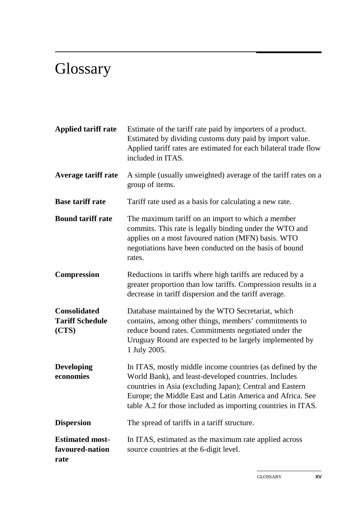# **Glossary**

| <b>Applied tariff rate</b>                             | Estimate of the tariff rate paid by importers of a product.<br>Estimated by dividing customs duty paid by import value.<br>Applied tariff rates are estimated for each bilateral trade flow<br>included in ITAS.                                                                                            |
|--------------------------------------------------------|-------------------------------------------------------------------------------------------------------------------------------------------------------------------------------------------------------------------------------------------------------------------------------------------------------------|
| <b>Average tariff rate</b>                             | A simple (usually unweighted) average of the tariff rates on a<br>group of items.                                                                                                                                                                                                                           |
| <b>Base tariff rate</b>                                | Tariff rate used as a basis for calculating a new rate.                                                                                                                                                                                                                                                     |
| <b>Bound tariff rate</b>                               | The maximum tariff on an import to which a member<br>commits. This rate is legally binding under the WTO and<br>applies on a most favoured nation (MFN) basis. WTO<br>negotiations have been conducted on the basis of bound<br>rates.                                                                      |
| <b>Compression</b>                                     | Reductions in tariffs where high tariffs are reduced by a<br>greater proportion than low tariffs. Compression results in a<br>decrease in tariff dispersion and the tariff average.                                                                                                                         |
| <b>Consolidated</b><br><b>Tariff Schedule</b><br>(CTS) | Database maintained by the WTO Secretariat, which<br>contains, among other things, members' commitments to<br>reduce bound rates. Commitments negotiated under the<br>Uruguay Round are expected to be largely implemented by<br>1 July 2005.                                                               |
| <b>Developing</b><br>economies                         | In ITAS, mostly middle income countries (as defined by the<br>World Bank), and least-developed countries. Includes<br>countries in Asia (excluding Japan); Central and Eastern<br>Europe; the Middle East and Latin America and Africa. See<br>table A.2 for those included as importing countries in ITAS. |
| <b>Dispersion</b>                                      | The spread of tariffs in a tariff structure.                                                                                                                                                                                                                                                                |
| <b>Estimated most-</b><br>favoured-nation<br>rate      | In ITAS, estimated as the maximum rate applied across<br>source countries at the 6-digit level.                                                                                                                                                                                                             |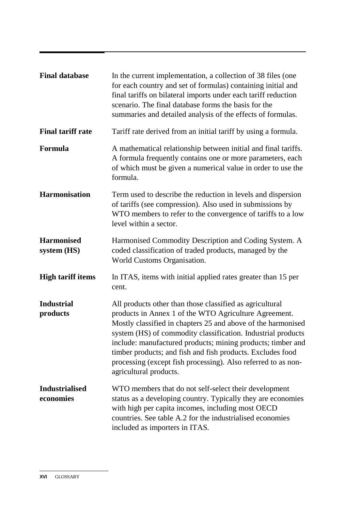| <b>Final database</b>              | In the current implementation, a collection of 38 files (one)<br>for each country and set of formulas) containing initial and<br>final tariffs on bilateral imports under each tariff reduction<br>scenario. The final database forms the basis for the<br>summaries and detailed analysis of the effects of formulas.                                                                                                                                                    |
|------------------------------------|---------------------------------------------------------------------------------------------------------------------------------------------------------------------------------------------------------------------------------------------------------------------------------------------------------------------------------------------------------------------------------------------------------------------------------------------------------------------------|
| <b>Final tariff rate</b>           | Tariff rate derived from an initial tariff by using a formula.                                                                                                                                                                                                                                                                                                                                                                                                            |
| Formula                            | A mathematical relationship between initial and final tariffs.<br>A formula frequently contains one or more parameters, each<br>of which must be given a numerical value in order to use the<br>formula.                                                                                                                                                                                                                                                                  |
| <b>Harmonisation</b>               | Term used to describe the reduction in levels and dispersion<br>of tariffs (see compression). Also used in submissions by<br>WTO members to refer to the convergence of tariffs to a low<br>level within a sector.                                                                                                                                                                                                                                                        |
| <b>Harmonised</b><br>system (HS)   | Harmonised Commodity Description and Coding System. A<br>coded classification of traded products, managed by the<br>World Customs Organisation.                                                                                                                                                                                                                                                                                                                           |
| <b>High tariff items</b>           | In ITAS, items with initial applied rates greater than 15 per<br>cent.                                                                                                                                                                                                                                                                                                                                                                                                    |
| <b>Industrial</b><br>products      | All products other than those classified as agricultural<br>products in Annex 1 of the WTO Agriculture Agreement.<br>Mostly classified in chapters 25 and above of the harmonised<br>system (HS) of commodity classification. Industrial products<br>include: manufactured products; mining products; timber and<br>timber products; and fish and fish products. Excludes food<br>processing (except fish processing). Also referred to as non-<br>agricultural products. |
| <b>Industrialised</b><br>economies | WTO members that do not self-select their development<br>status as a developing country. Typically they are economies<br>with high per capita incomes, including most OECD<br>countries. See table A.2 for the industrialised economies<br>included as importers in ITAS.                                                                                                                                                                                                 |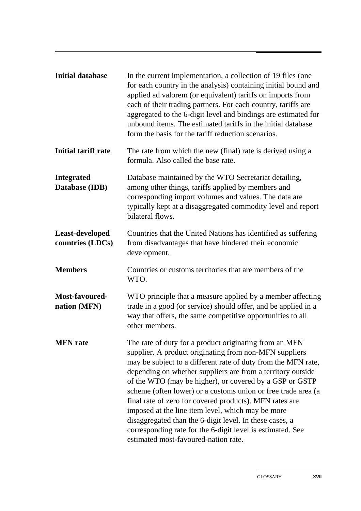| <b>Initial database</b>             | In the current implementation, a collection of 19 files (one)<br>for each country in the analysis) containing initial bound and<br>applied ad valorem (or equivalent) tariffs on imports from<br>each of their trading partners. For each country, tariffs are<br>aggregated to the 6-digit level and bindings are estimated for<br>unbound items. The estimated tariffs in the initial database<br>form the basis for the tariff reduction scenarios.                                                                                                                                                                                                        |
|-------------------------------------|---------------------------------------------------------------------------------------------------------------------------------------------------------------------------------------------------------------------------------------------------------------------------------------------------------------------------------------------------------------------------------------------------------------------------------------------------------------------------------------------------------------------------------------------------------------------------------------------------------------------------------------------------------------|
| <b>Initial tariff rate</b>          | The rate from which the new (final) rate is derived using a<br>formula. Also called the base rate.                                                                                                                                                                                                                                                                                                                                                                                                                                                                                                                                                            |
| <b>Integrated</b><br>Database (IDB) | Database maintained by the WTO Secretariat detailing,<br>among other things, tariffs applied by members and<br>corresponding import volumes and values. The data are<br>typically kept at a disaggregated commodity level and report<br>bilateral flows.                                                                                                                                                                                                                                                                                                                                                                                                      |
| Least-developed<br>countries (LDCs) | Countries that the United Nations has identified as suffering<br>from disadvantages that have hindered their economic<br>development.                                                                                                                                                                                                                                                                                                                                                                                                                                                                                                                         |
| <b>Members</b>                      | Countries or customs territories that are members of the<br>WTO.                                                                                                                                                                                                                                                                                                                                                                                                                                                                                                                                                                                              |
| Most-favoured-<br>nation (MFN)      | WTO principle that a measure applied by a member affecting<br>trade in a good (or service) should offer, and be applied in a<br>way that offers, the same competitive opportunities to all<br>other members.                                                                                                                                                                                                                                                                                                                                                                                                                                                  |
| <b>MFN</b> rate                     | The rate of duty for a product originating from an MFN<br>supplier. A product originating from non-MFN suppliers<br>may be subject to a different rate of duty from the MFN rate,<br>depending on whether suppliers are from a territory outside<br>of the WTO (may be higher), or covered by a GSP or GSTP<br>scheme (often lower) or a customs union or free trade area (a<br>final rate of zero for covered products). MFN rates are<br>imposed at the line item level, which may be more<br>disaggregated than the 6-digit level. In these cases, a<br>corresponding rate for the 6-digit level is estimated. See<br>estimated most-favoured-nation rate. |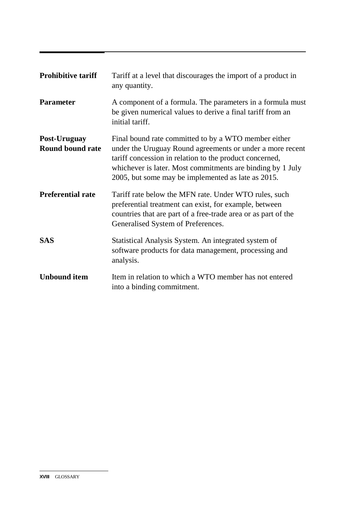| <b>Prohibitive tariff</b>               | Tariff at a level that discourages the import of a product in<br>any quantity.                                                                                                                                                                                                                   |
|-----------------------------------------|--------------------------------------------------------------------------------------------------------------------------------------------------------------------------------------------------------------------------------------------------------------------------------------------------|
| <b>Parameter</b>                        | A component of a formula. The parameters in a formula must<br>be given numerical values to derive a final tariff from an<br>initial tariff.                                                                                                                                                      |
| Post-Uruguay<br><b>Round bound rate</b> | Final bound rate committed to by a WTO member either<br>under the Uruguay Round agreements or under a more recent<br>tariff concession in relation to the product concerned,<br>whichever is later. Most commitments are binding by 1 July<br>2005, but some may be implemented as late as 2015. |
| <b>Preferential rate</b>                | Tariff rate below the MFN rate. Under WTO rules, such<br>preferential treatment can exist, for example, between<br>countries that are part of a free-trade area or as part of the<br>Generalised System of Preferences.                                                                          |
| <b>SAS</b>                              | Statistical Analysis System. An integrated system of<br>software products for data management, processing and<br>analysis.                                                                                                                                                                       |
| <b>Unbound item</b>                     | Item in relation to which a WTO member has not entered<br>into a binding commitment.                                                                                                                                                                                                             |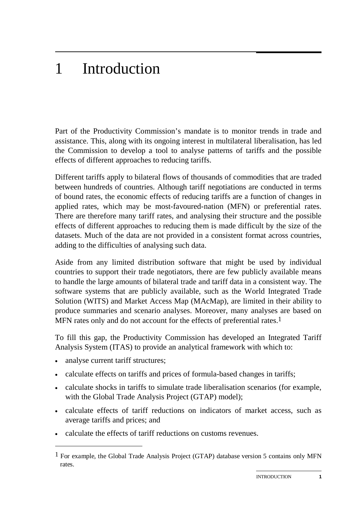# 1 Introduction

Part of the Productivity Commission's mandate is to monitor trends in trade and assistance. This, along with its ongoing interest in multilateral liberalisation, has led the Commission to develop a tool to analyse patterns of tariffs and the possible effects of different approaches to reducing tariffs.

Different tariffs apply to bilateral flows of thousands of commodities that are traded between hundreds of countries. Although tariff negotiations are conducted in terms of bound rates, the economic effects of reducing tariffs are a function of changes in applied rates, which may be most-favoured-nation (MFN) or preferential rates. There are therefore many tariff rates, and analysing their structure and the possible effects of different approaches to reducing them is made difficult by the size of the datasets. Much of the data are not provided in a consistent format across countries, adding to the difficulties of analysing such data.

Aside from any limited distribution software that might be used by individual countries to support their trade negotiators, there are few publicly available means to handle the large amounts of bilateral trade and tariff data in a consistent way. The software systems that are publicly available, such as the World Integrated Trade Solution (WITS) and Market Access Map (MAcMap), are limited in their ability to produce summaries and scenario analyses. Moreover, many analyses are based on MFN rates only and do not account for the effects of preferential rates.<sup>1</sup>

To fill this gap, the Productivity Commission has developed an Integrated Tariff Analysis System (ITAS) to provide an analytical framework with which to:

• analyse current tariff structures;

-

- calculate effects on tariffs and prices of formula-based changes in tariffs;
- calculate shocks in tariffs to simulate trade liberalisation scenarios (for example, with the Global Trade Analysis Project (GTAP) model);
- calculate effects of tariff reductions on indicators of market access, such as average tariffs and prices; and
- calculate the effects of tariff reductions on customs revenues.

<sup>1</sup> For example, the Global Trade Analysis Project (GTAP) database version 5 contains only MFN rates.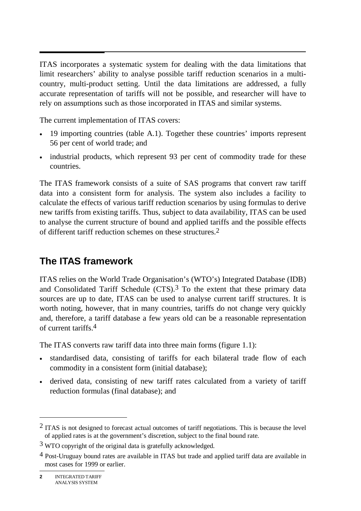$\overline{\phantom{a}}$ ITAS incorporates a systematic system for dealing with the data limitations that limit researchers' ability to analyse possible tariff reduction scenarios in a multicountry, multi-product setting. Until the data limitations are addressed, a fully accurate representation of tariffs will not be possible, and researcher will have to rely on assumptions such as those incorporated in ITAS and similar systems.

The current implementation of ITAS covers:

- 19 importing countries (table A.1). Together these countries' imports represent 56 per cent of world trade; and
- industrial products, which represent 93 per cent of commodity trade for these countries.

The ITAS framework consists of a suite of SAS programs that convert raw tariff data into a consistent form for analysis. The system also includes a facility to calculate the effects of various tariff reduction scenarios by using formulas to derive new tariffs from existing tariffs. Thus, subject to data availability, ITAS can be used to analyse the current structure of bound and applied tariffs and the possible effects of different tariff reduction schemes on these structures.2

## **The ITAS framework**

ITAS relies on the World Trade Organisation's (WTO's) Integrated Database (IDB) and Consolidated Tariff Schedule (CTS).3 To the extent that these primary data sources are up to date, ITAS can be used to analyse current tariff structures. It is worth noting, however, that in many countries, tariffs do not change very quickly and, therefore, a tariff database a few years old can be a reasonable representation of current tariffs.4

The ITAS converts raw tariff data into three main forms (figure 1.1):

- standardised data, consisting of tariffs for each bilateral trade flow of each commodity in a consistent form (initial database);
- derived data, consisting of new tariff rates calculated from a variety of tariff reduction formulas (final database); and

 $\overline{a}$ 

 $2$  ITAS is not designed to forecast actual outcomes of tariff negotiations. This is because the level of applied rates is at the government's discretion, subject to the final bound rate.

 $3$  WTO copyright of the original data is gratefully acknowledged.

<sup>4</sup> Post-Uruguay bound rates are available in ITAS but trade and applied tariff data are available in most cases for 1999 or earlier.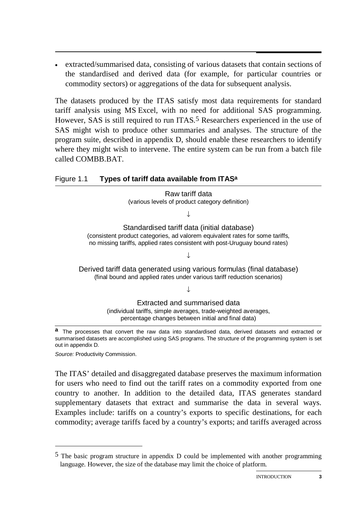• extracted/summarised data, consisting of various datasets that contain sections of the standardised and derived data (for example, for particular countries or commodity sectors) or aggregations of the data for subsequent analysis.

The datasets produced by the ITAS satisfy most data requirements for standard tariff analysis using MS Excel, with no need for additional SAS programming. However, SAS is still required to run ITAS.<sup>5</sup> Researchers experienced in the use of SAS might wish to produce other summaries and analyses. The structure of the program suite, described in appendix D, should enable these researchers to identify where they might wish to intervene. The entire system can be run from a batch file called COMBB.BAT.

#### Figure 1.1 **Types of tariff data available from ITASa**

Raw tariff data (various levels of product category definition)

↓

Standardised tariff data (initial database) (consistent product categories, ad valorem equivalent rates for some tariffs, no missing tariffs, applied rates consistent with post-Uruguay bound rates)

↓

Derived tariff data generated using various formulas (final database) (final bound and applied rates under various tariff reduction scenarios)

↓

Extracted and summarised data (individual tariffs, simple averages, trade-weighted averages, percentage changes between initial and final data)

**a** The processes that convert the raw data into standardised data, derived datasets and extracted or summarised datasets are accomplished using SAS programs. The structure of the programming system is set out in appendix D.

*Source:* Productivity Commission.

-

The ITAS' detailed and disaggregated database preserves the maximum information for users who need to find out the tariff rates on a commodity exported from one country to another. In addition to the detailed data, ITAS generates standard supplementary datasets that extract and summarise the data in several ways. Examples include: tariffs on a country's exports to specific destinations, for each commodity; average tariffs faced by a country's exports; and tariffs averaged across

<sup>5</sup> The basic program structure in appendix D could be implemented with another programming language. However, the size of the database may limit the choice of platform.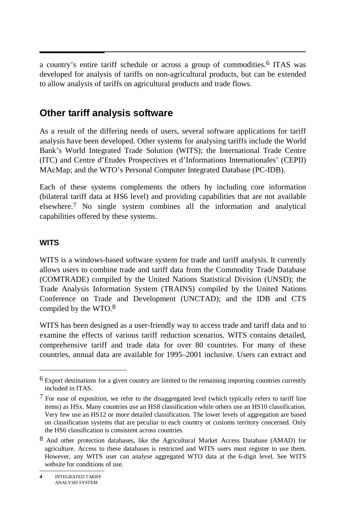a country's entire tariff schedule or across a group of commodities.6 ITAS was developed for analysis of tariffs on non-agricultural products, but can be extended to allow analysis of tariffs on agricultural products and trade flows.

## **Other tariff analysis software**

As a result of the differing needs of users, several software applications for tariff analysis have been developed. Other systems for analysing tariffs include the World Bank's World Integrated Trade Solution (WITS); the International Trade Centre (ITC) and Centre d'Etudes Prospectives et d'Informations Internationales' (CEPII) MAcMap; and the WTO's Personal Computer Integrated Database (PC-IDB).

Each of these systems complements the others by including core information (bilateral tariff data at HS6 level) and providing capabilities that are not available elsewhere.7 No single system combines all the information and analytical capabilities offered by these systems.

#### **WITS**

 $\overline{a}$ 

WITS is a windows-based software system for trade and tariff analysis. It currently allows users to combine trade and tariff data from the Commodity Trade Database (COMTRADE) compiled by the United Nations Statistical Division (UNSD); the Trade Analysis Information System (TRAINS) compiled by the United Nations Conference on Trade and Development (UNCTAD); and the IDB and CTS compiled by the WTO.8

WITS has been designed as a user-friendly way to access trade and tariff data and to examine the effects of various tariff reduction scenarios. WITS contains detailed, comprehensive tariff and trade data for over 80 countries. For many of these countries, annual data are available for 1995–2001 inclusive. Users can extract and

 $6$  Export destinations for a given country are limited to the remaining importing countries currently included in ITAS.

 $7$  For ease of exposition, we refer to the disaggregated level (which typically refers to tariff line items) as HSx. Many countries use an HS8 classification while others use an HS10 classification. Very few use an HS12 or more detailed classification. The lower levels of aggregation are based on classification systems that are peculiar to each country or customs territory concerned. Only the HS6 classification is consistent across countries.

<sup>8</sup> And other protection databases, like the Agricultural Market Access Database (AMAD) for agriculture. Access to these databases is restricted and WITS users must register to use them. However, any WITS user can analyse aggregated WTO data at the 6-digit level. See WITS website for conditions of use.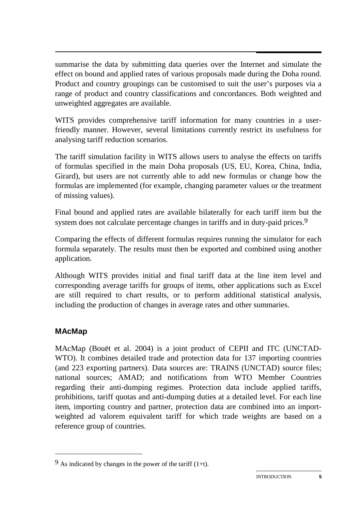summarise the data by submitting data queries over the Internet and simulate the effect on bound and applied rates of various proposals made during the Doha round. Product and country groupings can be customised to suit the user's purposes via a range of product and country classifications and concordances. Both weighted and unweighted aggregates are available.

WITS provides comprehensive tariff information for many countries in a userfriendly manner. However, several limitations currently restrict its usefulness for analysing tariff reduction scenarios.

The tariff simulation facility in WITS allows users to analyse the effects on tariffs of formulas specified in the main Doha proposals (US, EU, Korea, China, India, Girard), but users are not currently able to add new formulas or change how the formulas are implemented (for example, changing parameter values or the treatment of missing values).

Final bound and applied rates are available bilaterally for each tariff item but the system does not calculate percentage changes in tariffs and in duty-paid prices.<sup>9</sup>

Comparing the effects of different formulas requires running the simulator for each formula separately. The results must then be exported and combined using another application.

Although WITS provides initial and final tariff data at the line item level and corresponding average tariffs for groups of items, other applications such as Excel are still required to chart results, or to perform additional statistical analysis, including the production of changes in average rates and other summaries.

### **MAcMap**

-

MAcMap (Bouët et al. 2004) is a joint product of CEPII and ITC (UNCTAD-WTO). It combines detailed trade and protection data for 137 importing countries (and 223 exporting partners). Data sources are: TRAINS (UNCTAD) source files; national sources; AMAD; and notifications from WTO Member Countries regarding their anti-dumping regimes. Protection data include applied tariffs, prohibitions, tariff quotas and anti-dumping duties at a detailed level. For each line item, importing country and partner, protection data are combined into an importweighted ad valorem equivalent tariff for which trade weights are based on a reference group of countries.

 $9$  As indicated by changes in the power of the tariff (1+t).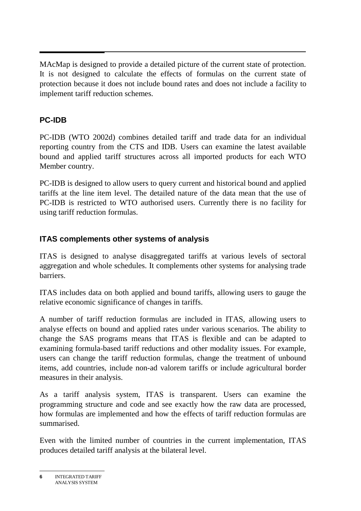$\overline{a}$ MAcMap is designed to provide a detailed picture of the current state of protection. It is not designed to calculate the effects of formulas on the current state of protection because it does not include bound rates and does not include a facility to implement tariff reduction schemes.

### **PC-IDB**

PC-IDB (WTO 2002d) combines detailed tariff and trade data for an individual reporting country from the CTS and IDB. Users can examine the latest available bound and applied tariff structures across all imported products for each WTO Member country.

PC-IDB is designed to allow users to query current and historical bound and applied tariffs at the line item level. The detailed nature of the data mean that the use of PC-IDB is restricted to WTO authorised users. Currently there is no facility for using tariff reduction formulas.

### **ITAS complements other systems of analysis**

ITAS is designed to analyse disaggregated tariffs at various levels of sectoral aggregation and whole schedules. It complements other systems for analysing trade barriers.

ITAS includes data on both applied and bound tariffs, allowing users to gauge the relative economic significance of changes in tariffs.

A number of tariff reduction formulas are included in ITAS, allowing users to analyse effects on bound and applied rates under various scenarios. The ability to change the SAS programs means that ITAS is flexible and can be adapted to examining formula-based tariff reductions and other modality issues. For example, users can change the tariff reduction formulas, change the treatment of unbound items, add countries, include non-ad valorem tariffs or include agricultural border measures in their analysis.

As a tariff analysis system, ITAS is transparent. Users can examine the programming structure and code and see exactly how the raw data are processed, how formulas are implemented and how the effects of tariff reduction formulas are summarised.

Even with the limited number of countries in the current implementation, ITAS produces detailed tariff analysis at the bilateral level.

**<sup>6</sup>** INTEGRATED TARIFF ANALYSIS SYSTEM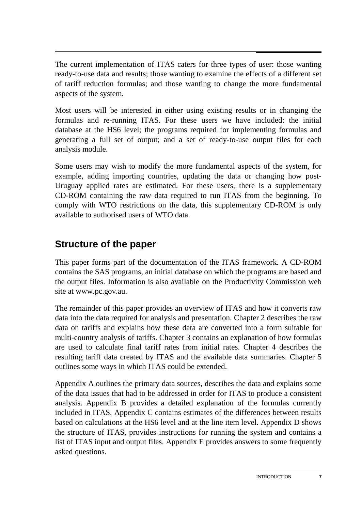$\overline{a}$ The current implementation of ITAS caters for three types of user: those wanting ready-to-use data and results; those wanting to examine the effects of a different set of tariff reduction formulas; and those wanting to change the more fundamental aspects of the system.

Most users will be interested in either using existing results or in changing the formulas and re-running ITAS. For these users we have included: the initial database at the HS6 level; the programs required for implementing formulas and generating a full set of output; and a set of ready-to-use output files for each analysis module.

Some users may wish to modify the more fundamental aspects of the system, for example, adding importing countries, updating the data or changing how post-Uruguay applied rates are estimated. For these users, there is a supplementary CD-ROM containing the raw data required to run ITAS from the beginning. To comply with WTO restrictions on the data, this supplementary CD-ROM is only available to authorised users of WTO data.

# **Structure of the paper**

This paper forms part of the documentation of the ITAS framework. A CD-ROM contains the SAS programs, an initial database on which the programs are based and the output files. Information is also available on the Productivity Commission web site at www.pc.gov.au.

The remainder of this paper provides an overview of ITAS and how it converts raw data into the data required for analysis and presentation. Chapter 2 describes the raw data on tariffs and explains how these data are converted into a form suitable for multi-country analysis of tariffs. Chapter 3 contains an explanation of how formulas are used to calculate final tariff rates from initial rates. Chapter 4 describes the resulting tariff data created by ITAS and the available data summaries. Chapter 5 outlines some ways in which ITAS could be extended.

Appendix A outlines the primary data sources, describes the data and explains some of the data issues that had to be addressed in order for ITAS to produce a consistent analysis. Appendix B provides a detailed explanation of the formulas currently included in ITAS. Appendix C contains estimates of the differences between results based on calculations at the HS6 level and at the line item level. Appendix D shows the structure of ITAS, provides instructions for running the system and contains a list of ITAS input and output files. Appendix E provides answers to some frequently asked questions.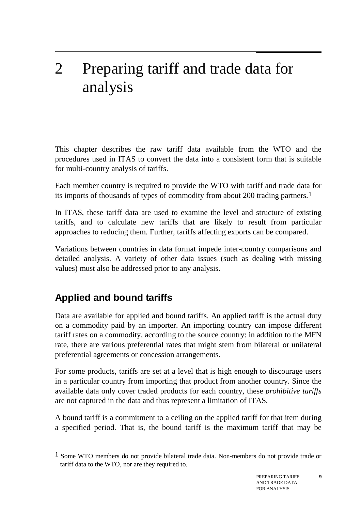# 2 Preparing tariff and trade data for analysis

This chapter describes the raw tariff data available from the WTO and the procedures used in ITAS to convert the data into a consistent form that is suitable for multi-country analysis of tariffs.

Each member country is required to provide the WTO with tariff and trade data for its imports of thousands of types of commodity from about 200 trading partners.1

In ITAS, these tariff data are used to examine the level and structure of existing tariffs, and to calculate new tariffs that are likely to result from particular approaches to reducing them. Further, tariffs affecting exports can be compared.

Variations between countries in data format impede inter-country comparisons and detailed analysis. A variety of other data issues (such as dealing with missing values) must also be addressed prior to any analysis.

# **Applied and bound tariffs**

-

Data are available for applied and bound tariffs. An applied tariff is the actual duty on a commodity paid by an importer. An importing country can impose different tariff rates on a commodity, according to the source country: in addition to the MFN rate, there are various preferential rates that might stem from bilateral or unilateral preferential agreements or concession arrangements.

For some products, tariffs are set at a level that is high enough to discourage users in a particular country from importing that product from another country. Since the available data only cover traded products for each country, these *prohibitive tariffs* are not captured in the data and thus represent a limitation of ITAS.

A bound tariff is a commitment to a ceiling on the applied tariff for that item during a specified period. That is, the bound tariff is the maximum tariff that may be

<sup>1</sup> Some WTO members do not provide bilateral trade data. Non-members do not provide trade or tariff data to the WTO, nor are they required to.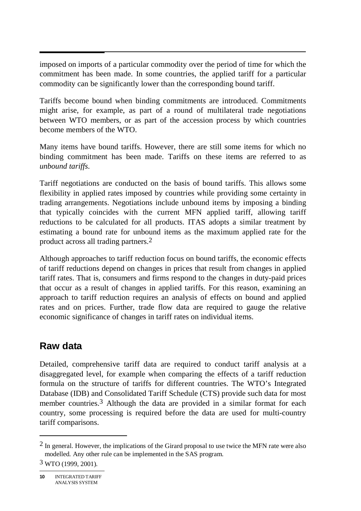$\ddot{\phantom{0}}$ imposed on imports of a particular commodity over the period of time for which the commitment has been made. In some countries, the applied tariff for a particular commodity can be significantly lower than the corresponding bound tariff.

Tariffs become bound when binding commitments are introduced. Commitments might arise, for example, as part of a round of multilateral trade negotiations between WTO members, or as part of the accession process by which countries become members of the WTO.

Many items have bound tariffs. However, there are still some items for which no binding commitment has been made. Tariffs on these items are referred to as *unbound tariffs*.

Tariff negotiations are conducted on the basis of bound tariffs. This allows some flexibility in applied rates imposed by countries while providing some certainty in trading arrangements. Negotiations include unbound items by imposing a binding that typically coincides with the current MFN applied tariff, allowing tariff reductions to be calculated for all products. ITAS adopts a similar treatment by estimating a bound rate for unbound items as the maximum applied rate for the product across all trading partners.2

Although approaches to tariff reduction focus on bound tariffs, the economic effects of tariff reductions depend on changes in prices that result from changes in applied tariff rates. That is, consumers and firms respond to the changes in duty-paid prices that occur as a result of changes in applied tariffs. For this reason, examining an approach to tariff reduction requires an analysis of effects on bound and applied rates and on prices. Further, trade flow data are required to gauge the relative economic significance of changes in tariff rates on individual items.

## **Raw data**

Detailed, comprehensive tariff data are required to conduct tariff analysis at a disaggregated level, for example when comparing the effects of a tariff reduction formula on the structure of tariffs for different countries. The WTO's Integrated Database (IDB) and Consolidated Tariff Schedule (CTS) provide such data for most member countries.<sup>3</sup> Although the data are provided in a similar format for each country, some processing is required before the data are used for multi-country tariff comparisons.

 $\overline{a}$ 

 $<sup>2</sup>$  In general. However, the implications of the Girard proposal to use twice the MFN rate were also</sup> modelled. Any other rule can be implemented in the SAS program.

 $3$  WTO (1999, 2001).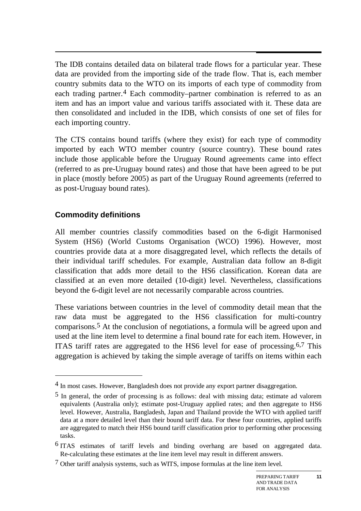$\overline{a}$ The IDB contains detailed data on bilateral trade flows for a particular year. These data are provided from the importing side of the trade flow. That is, each member country submits data to the WTO on its imports of each type of commodity from each trading partner.<sup>4</sup> Each commodity–partner combination is referred to as an item and has an import value and various tariffs associated with it. These data are then consolidated and included in the IDB, which consists of one set of files for each importing country.

The CTS contains bound tariffs (where they exist) for each type of commodity imported by each WTO member country (source country). These bound rates include those applicable before the Uruguay Round agreements came into effect (referred to as pre-Uruguay bound rates) and those that have been agreed to be put in place (mostly before 2005) as part of the Uruguay Round agreements (referred to as post-Uruguay bound rates).

#### **Commodity definitions**

-

All member countries classify commodities based on the 6-digit Harmonised System (HS6) (World Customs Organisation (WCO) 1996). However, most countries provide data at a more disaggregated level, which reflects the details of their individual tariff schedules. For example, Australian data follow an 8-digit classification that adds more detail to the HS6 classification. Korean data are classified at an even more detailed (10-digit) level. Nevertheless, classifications beyond the 6-digit level are not necessarily comparable across countries.

These variations between countries in the level of commodity detail mean that the raw data must be aggregated to the HS6 classification for multi-country comparisons.5 At the conclusion of negotiations, a formula will be agreed upon and used at the line item level to determine a final bound rate for each item. However, in ITAS tariff rates are aggregated to the HS6 level for ease of processing.6,7 This aggregation is achieved by taking the simple average of tariffs on items within each

**11**

<sup>4</sup> In most cases. However, Bangladesh does not provide any export partner disaggregation.

<sup>5</sup> In general, the order of processing is as follows: deal with missing data; estimate ad valorem equivalents (Australia only); estimate post-Uruguay applied rates; and then aggregate to HS6 level. However, Australia, Bangladesh, Japan and Thailand provide the WTO with applied tariff data at a more detailed level than their bound tariff data. For these four countries, applied tariffs are aggregated to match their HS6 bound tariff classification prior to performing other processing tasks.

<sup>6</sup> ITAS estimates of tariff levels and binding overhang are based on aggregated data. Re-calculating these estimates at the line item level may result in different answers.

<sup>7</sup> Other tariff analysis systems, such as WITS, impose formulas at the line item level.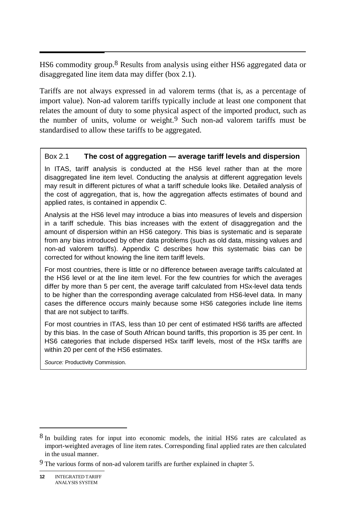$\overline{\phantom{a}}$ HS6 commodity group.<sup>8</sup> Results from analysis using either HS6 aggregated data or disaggregated line item data may differ (box 2.1).

Tariffs are not always expressed in ad valorem terms (that is, as a percentage of import value). Non-ad valorem tariffs typically include at least one component that relates the amount of duty to some physical aspect of the imported product, such as the number of units, volume or weight.<sup>9</sup> Such non-ad valorem tariffs must be standardised to allow these tariffs to be aggregated.

#### Box 2.1 **The cost of aggregation — average tariff levels and dispersion**

In ITAS, tariff analysis is conducted at the HS6 level rather than at the more disaggregated line item level. Conducting the analysis at different aggregation levels may result in different pictures of what a tariff schedule looks like. Detailed analysis of the cost of aggregation, that is, how the aggregation affects estimates of bound and applied rates, is contained in appendix C.

Analysis at the HS6 level may introduce a bias into measures of levels and dispersion in a tariff schedule. This bias increases with the extent of disaggregation and the amount of dispersion within an HS6 category. This bias is systematic and is separate from any bias introduced by other data problems (such as old data, missing values and non-ad valorem tariffs). Appendix C describes how this systematic bias can be corrected for without knowing the line item tariff levels.

For most countries, there is little or no difference between average tariffs calculated at the HS6 level or at the line item level. For the few countries for which the averages differ by more than 5 per cent, the average tariff calculated from HSx-level data tends to be higher than the corresponding average calculated from HS6-level data. In many cases the difference occurs mainly because some HS6 categories include line items that are not subject to tariffs.

For most countries in ITAS, less than 10 per cent of estimated HS6 tariffs are affected by this bias. In the case of South African bound tariffs, this proportion is 35 per cent. In HS6 categories that include dispersed HSx tariff levels, most of the HSx tariffs are within 20 per cent of the HS6 estimates.

*Source:* Productivity Commission.

 $\overline{a}$ 

<sup>8</sup> In building rates for input into economic models, the initial HS6 rates are calculated as import-weighted averages of line item rates. Corresponding final applied rates are then calculated in the usual manner.

<sup>9</sup> The various forms of non-ad valorem tariffs are further explained in chapter 5.

**<sup>12</sup>** INTEGRATED TARIFF ANALYSIS SYSTEM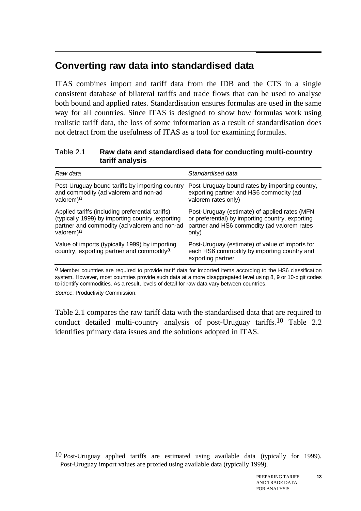# **Converting raw data into standardised data**

ITAS combines import and tariff data from the IDB and the CTS in a single consistent database of bilateral tariffs and trade flows that can be used to analyse both bound and applied rates. Standardisation ensures formulas are used in the same way for all countries. Since ITAS is designed to show how formulas work using realistic tariff data, the loss of some information as a result of standardisation does not detract from the usefulness of ITAS as a tool for examining formulas.

#### Table 2.1 **Raw data and standardised data for conducting multi-country tariff analysis**

| Post-Uruguay bound rates by importing country,<br>exporting partner and HS6 commodity (ad<br>valorem rates only)                                          |
|-----------------------------------------------------------------------------------------------------------------------------------------------------------|
| Post-Uruguay (estimate) of applied rates (MFN<br>or preferential) by importing country, exporting<br>partner and HS6 commodity (ad valorem rates<br>only) |
| Post-Uruguay (estimate) of value of imports for<br>each HS6 commodity by importing country and<br>exporting partner                                       |
|                                                                                                                                                           |

**a** Member countries are required to provide tariff data for imported items according to the HS6 classification system. However, most countries provide such data at a more disaggregated level using 8, 9 or 10-digit codes to identify commodities. As a result, levels of detail for raw data vary between countries.

*Source*: Productivity Commission.

-

Table 2.1 compares the raw tariff data with the standardised data that are required to conduct detailed multi-country analysis of post-Uruguay tariffs.10 Table 2.2 identifies primary data issues and the solutions adopted in ITAS.

<sup>10</sup> Post-Uruguay applied tariffs are estimated using available data (typically for 1999). Post-Uruguay import values are proxied using available data (typically 1999).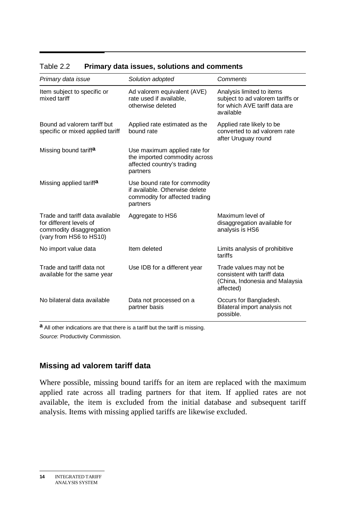| Primary data issue                                                                                                | Solution adopted                                                                                             | Comments                                                                                                    |
|-------------------------------------------------------------------------------------------------------------------|--------------------------------------------------------------------------------------------------------------|-------------------------------------------------------------------------------------------------------------|
| Item subject to specific or<br>mixed tariff                                                                       | Ad valorem equivalent (AVE)<br>rate used if available,<br>otherwise deleted                                  | Analysis limited to items<br>subject to ad valorem tariffs or<br>for which AVE tariff data are<br>available |
| Bound ad valorem tariff but<br>specific or mixed applied tariff                                                   | Applied rate estimated as the<br>bound rate                                                                  | Applied rate likely to be<br>converted to ad valorem rate<br>after Uruguay round                            |
| Missing bound tariffa                                                                                             | Use maximum applied rate for<br>the imported commodity across<br>affected country's trading<br>partners      |                                                                                                             |
| Missing applied tariffa                                                                                           | Use bound rate for commodity<br>if available. Otherwise delete<br>commodity for affected trading<br>partners |                                                                                                             |
| Trade and tariff data available<br>for different levels of<br>commodity disaggregation<br>(vary from HS6 to HS10) | Aggregate to HS6                                                                                             | Maximum level of<br>disaggregation available for<br>analysis is HS6                                         |
| No import value data                                                                                              | Item deleted                                                                                                 | Limits analysis of prohibitive<br>tariffs                                                                   |
| Trade and tariff data not<br>available for the same year                                                          | Use IDB for a different year                                                                                 | Trade values may not be<br>consistent with tariff data<br>(China, Indonesia and Malaysia<br>affected)       |
| No bilateral data available                                                                                       | Data not processed on a<br>partner basis                                                                     | Occurs for Bangladesh.<br>Bilateral import analysis not<br>possible.                                        |

### Table 2.2 **Primary data issues, solutions and comments**

**a** All other indications are that there is a tariff but the tariff is missing. *Source*: Productivity Commission.

#### **Missing ad valorem tariff data**

Where possible, missing bound tariffs for an item are replaced with the maximum applied rate across all trading partners for that item. If applied rates are not available, the item is excluded from the initial database and subsequent tariff analysis. Items with missing applied tariffs are likewise excluded.

**<sup>14</sup>** INTEGRATED TARIFF ANALYSIS SYSTEM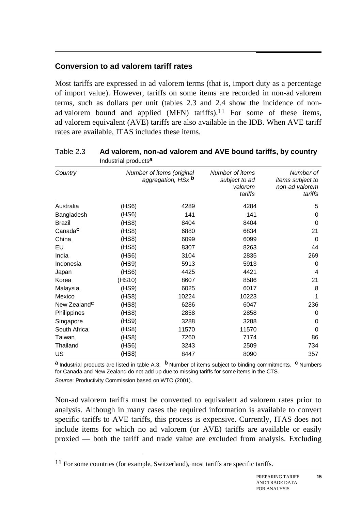#### **Conversion to ad valorem tariff rates**

Most tariffs are expressed in ad valorem terms (that is, import duty as a percentage of import value). However, tariffs on some items are recorded in non-ad valorem terms, such as dollars per unit (tables 2.3 and 2.4 show the incidence of nonad valorem bound and applied (MFN) tariffs).<sup>11</sup> For some of these items, ad valorem equivalent (AVE) tariffs are also available in the IDB. When AVE tariff rates are available, ITAS includes these items.

|                          | muustitat products-                                    |       |                                                        |                                                            |
|--------------------------|--------------------------------------------------------|-------|--------------------------------------------------------|------------------------------------------------------------|
| Country                  | Number of items (original<br>aggregation, HSx <b>b</b> |       | Number of items<br>subject to ad<br>valorem<br>tariffs | Number of<br>items subject to<br>non-ad valorem<br>tariffs |
| Australia                | (HS6)                                                  | 4289  | 4284                                                   | 5                                                          |
| Bangladesh               | (HS6)                                                  | 141   | 141                                                    | 0                                                          |
| <b>Brazil</b>            | (HS8)                                                  | 8404  | 8404                                                   | 0                                                          |
| Canada <sup>c</sup>      | (HS8)                                                  | 6880  | 6834                                                   | 21                                                         |
| China                    | (HS8)                                                  | 6099  | 6099                                                   | $\Omega$                                                   |
| EU                       | (HS8)                                                  | 8307  | 8263                                                   | 44                                                         |
| India                    | (HS6)                                                  | 3104  | 2835                                                   | 269                                                        |
| Indonesia                | (HS9)                                                  | 5913  | 5913                                                   | 0                                                          |
| Japan                    | (HS6)                                                  | 4425  | 4421                                                   | 4                                                          |
| Korea                    | (HS10)                                                 | 8607  | 8586                                                   | 21                                                         |
| Malaysia                 | (HS9)                                                  | 6025  | 6017                                                   | 8                                                          |
| Mexico                   | (HS8)                                                  | 10224 | 10223                                                  | 1                                                          |
| New Zealand <sup>c</sup> | (HS8)                                                  | 6286  | 6047                                                   | 236                                                        |
| Philippines              | (HS8)                                                  | 2858  | 2858                                                   | 0                                                          |
| Singapore                | (HS9)                                                  | 3288  | 3288                                                   | 0                                                          |
| South Africa             | (HS8)                                                  | 11570 | 11570                                                  | $\Omega$                                                   |
| Taiwan                   | (HS8)                                                  | 7260  | 7174                                                   | 86                                                         |
| Thailand                 | (HS6)                                                  | 3243  | 2509                                                   | 734                                                        |
| US                       | (HS8)                                                  | 8447  | 8090                                                   | 357                                                        |

#### Table 2.3 **Ad valorem, non-ad valorem and AVE bound tariffs, by country**  Industrial products**a**

**a** Industrial products are listed in table A.3. **b** Number of items subject to binding commitments. **c** Numbers for Canada and New Zealand do not add up due to missing tariffs for some items in the CTS.

*Source*: Productivity Commission based on WTO (2001).

-

Non-ad valorem tariffs must be converted to equivalent ad valorem rates prior to analysis. Although in many cases the required information is available to convert specific tariffs to AVE tariffs, this process is expensive. Currently, ITAS does not include items for which no ad valorem (or AVE) tariffs are available or easily proxied — both the tariff and trade value are excluded from analysis. Excluding

<sup>&</sup>lt;sup>11</sup> For some countries (for example, Switzerland), most tariffs are specific tariffs.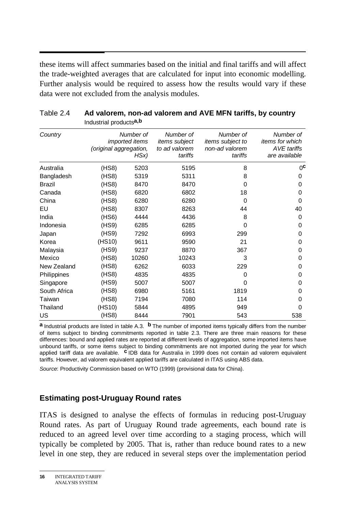these items will affect summaries based on the initial and final tariffs and will affect the trade-weighted averages that are calculated for input into economic modelling. Further analysis would be required to assess how the results would vary if these data were not excluded from the analysis modules.

| Country       | (original aggregation, | Number of<br><i>imported items</i><br>HSx) | Number of<br>items subject<br>to ad valorem<br>tariffs | Number of<br>items subject to<br>non-ad valorem<br>tariffs | Number of<br>items for which<br><b>AVE</b> tariffs<br>are available |
|---------------|------------------------|--------------------------------------------|--------------------------------------------------------|------------------------------------------------------------|---------------------------------------------------------------------|
| Australia     | (HS8)                  | 5203                                       | 5195                                                   | 8                                                          | 0 <sub>c</sub>                                                      |
| Bangladesh    | (HS8)                  | 5319                                       | 5311                                                   | 8                                                          | 0                                                                   |
| <b>Brazil</b> | (HS8)                  | 8470                                       | 8470                                                   | 0                                                          | 0                                                                   |
| Canada        | (HS8)                  | 6820                                       | 6802                                                   | 18                                                         | 0                                                                   |
| China         | (HS8)                  | 6280                                       | 6280                                                   | $\Omega$                                                   | 0                                                                   |
| EU            | (HS8)                  | 8307                                       | 8263                                                   | 44                                                         | 40                                                                  |
| India         | (HS6)                  | 4444                                       | 4436                                                   | 8                                                          | 0                                                                   |
| Indonesia     | (HS9)                  | 6285                                       | 6285                                                   | 0                                                          | 0                                                                   |
| Japan         | (HS9)                  | 7292                                       | 6993                                                   | 299                                                        | 0                                                                   |
| Korea         | (HS10)                 | 9611                                       | 9590                                                   | 21                                                         | 0                                                                   |
| Malaysia      | (HS9)                  | 9237                                       | 8870                                                   | 367                                                        | 0                                                                   |
| Mexico        | (HS8)                  | 10260                                      | 10243                                                  | 3                                                          | 0                                                                   |
| New Zealand   | (HS8)                  | 6262                                       | 6033                                                   | 229                                                        | 0                                                                   |
| Philippines   | (HS8)                  | 4835                                       | 4835                                                   | 0                                                          | 0                                                                   |
| Singapore     | (HS9)                  | 5007                                       | 5007                                                   | 0                                                          | 0                                                                   |
| South Africa  | (HS8)                  | 6980                                       | 5161                                                   | 1819                                                       | 0                                                                   |
| Taiwan        | (HS8)                  | 7194                                       | 7080                                                   | 114                                                        | 0                                                                   |
| Thailand      | (HS10)                 | 5844                                       | 4895                                                   | 949                                                        | O                                                                   |
| <b>US</b>     | (HS8)                  | 8444                                       | 7901                                                   | 543                                                        | 538                                                                 |

#### Table 2.4 **Ad valorem, non-ad valorem and AVE MFN tariffs, by country**  Industrial products**a,b**

**a** Industrial products are listed in table A.3. **b** The number of imported items typically differs from the number of items subject to binding commitments reported in table 2.3. There are three main reasons for these differences: bound and applied rates are reported at different levels of aggregation, some imported items have unbound tariffs, or some items subject to binding commitments are not imported during the year for which applied tariff data are available. **c** IDB data for Australia in 1999 does not contain ad valorem equivalent tariffs. However, ad valorem equivalent applied tariffs are calculated in ITAS using ABS data.

*Source*: Productivity Commission based on WTO (1999) (provisional data for China).

#### **Estimating post-Uruguay Round rates**

ITAS is designed to analyse the effects of formulas in reducing post-Uruguay Round rates. As part of Uruguay Round trade agreements, each bound rate is reduced to an agreed level over time according to a staging process, which will typically be completed by 2005. That is, rather than reduce bound rates to a new level in one step, they are reduced in several steps over the implementation period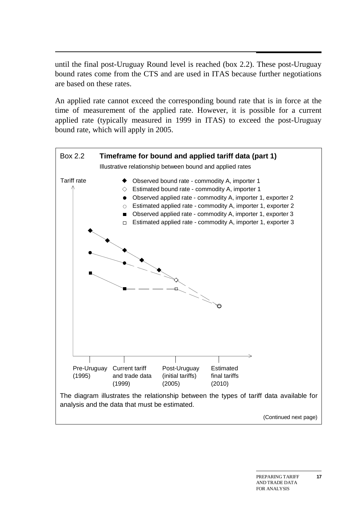until the final post-Uruguay Round level is reached (box 2.2). These post-Uruguay bound rates come from the CTS and are used in ITAS because further negotiations are based on these rates.

An applied rate cannot exceed the corresponding bound rate that is in force at the time of measurement of the applied rate. However, it is possible for a current applied rate (typically measured in 1999 in ITAS) to exceed the post-Uruguay bound rate, which will apply in 2005.



**17**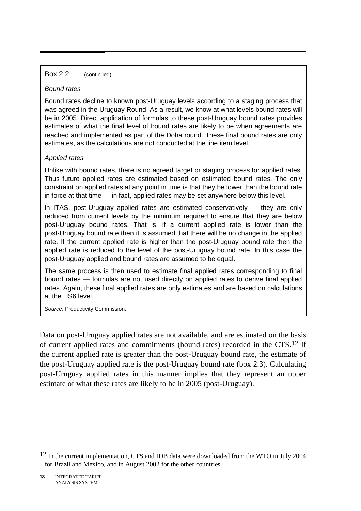#### Box 2.2 (continued)

#### *Bound rates*

Bound rates decline to known post-Uruguay levels according to a staging process that was agreed in the Uruguay Round. As a result, we know at what levels bound rates will be in 2005. Direct application of formulas to these post-Uruguay bound rates provides estimates of what the final level of bound rates are likely to be when agreements are reached and implemented as part of the Doha round. These final bound rates are only estimates, as the calculations are not conducted at the line item level.

#### *Applied rates*

Unlike with bound rates, there is no agreed target or staging process for applied rates. Thus future applied rates are estimated based on estimated bound rates. The only constraint on applied rates at any point in time is that they be lower than the bound rate in force at that time — in fact, applied rates may be set anywhere below this level.

In ITAS, post-Uruguay applied rates are estimated conservatively  $-$  they are only reduced from current levels by the minimum required to ensure that they are below post-Uruguay bound rates. That is, if a current applied rate is lower than the post-Uruguay bound rate then it is assumed that there will be no change in the applied rate. If the current applied rate is higher than the post-Uruguay bound rate then the applied rate is reduced to the level of the post-Uruguay bound rate. In this case the post-Uruguay applied and bound rates are assumed to be equal.

The same process is then used to estimate final applied rates corresponding to final bound rates — formulas are not used directly on applied rates to derive final applied rates. Again, these final applied rates are only estimates and are based on calculations at the HS6 level.

*Source:* Productivity Commission.

Data on post-Uruguay applied rates are not available, and are estimated on the basis of current applied rates and commitments (bound rates) recorded in the CTS.<sup>12</sup> If the current applied rate is greater than the post-Uruguay bound rate, the estimate of the post-Uruguay applied rate is the post-Uruguay bound rate (box 2.3). Calculating post-Uruguay applied rates in this manner implies that they represent an upper estimate of what these rates are likely to be in 2005 (post-Uruguay).

 $\overline{a}$ 

<sup>12</sup> In the current implementation, CTS and IDB data were downloaded from the WTO in July 2004 for Brazil and Mexico, and in August 2002 for the other countries.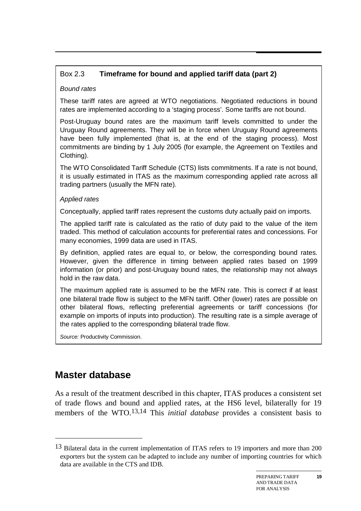# Box 2.3 **Timeframe for bound and applied tariff data (part 2)**

### *Bound rates*

These tariff rates are agreed at WTO negotiations. Negotiated reductions in bound rates are implemented according to a 'staging process'. Some tariffs are not bound.

Post-Uruguay bound rates are the maximum tariff levels committed to under the Uruguay Round agreements. They will be in force when Uruguay Round agreements have been fully implemented (that is, at the end of the staging process). Most commitments are binding by 1 July 2005 (for example, the Agreement on Textiles and Clothing).

The WTO Consolidated Tariff Schedule (CTS) lists commitments. If a rate is not bound, it is usually estimated in ITAS as the maximum corresponding applied rate across all trading partners (usually the MFN rate).

#### *Applied rates*

Conceptually, applied tariff rates represent the customs duty actually paid on imports.

The applied tariff rate is calculated as the ratio of duty paid to the value of the item traded. This method of calculation accounts for preferential rates and concessions. For many economies, 1999 data are used in ITAS.

By definition, applied rates are equal to, or below, the corresponding bound rates. However, given the difference in timing between applied rates based on 1999 information (or prior) and post-Uruguay bound rates, the relationship may not always hold in the raw data.

The maximum applied rate is assumed to be the MFN rate. This is correct if at least one bilateral trade flow is subject to the MFN tariff. Other (lower) rates are possible on other bilateral flows, reflecting preferential agreements or tariff concessions (for example on imports of inputs into production). The resulting rate is a simple average of the rates applied to the corresponding bilateral trade flow.

*Source:* Productivity Commission.

# **Master database**

-

As a result of the treatment described in this chapter, ITAS produces a consistent set of trade flows and bound and applied rates, at the HS6 level, bilaterally for 19 members of the WTO.13,14 This *initial database* provides a consistent basis to

<sup>&</sup>lt;sup>13</sup> Bilateral data in the current implementation of ITAS refers to 19 importers and more than 200 exporters but the system can be adapted to include any number of importing countries for which data are available in the CTS and IDB.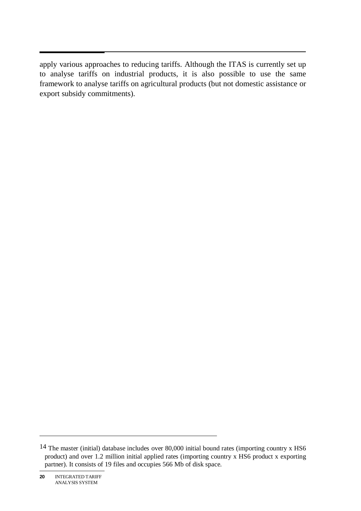apply various approaches to reducing tariffs. Although the ITAS is currently set up to analyse tariffs on industrial products, it is also possible to use the same framework to analyse tariffs on agricultural products (but not domestic assistance or export subsidy commitments).

<sup>14</sup> The master (initial) database includes over 80,000 initial bound rates (importing country x HS6 product) and over 1.2 million initial applied rates (importing country x HS6 product x exporting partner). It consists of 19 files and occupies 566 Mb of disk space.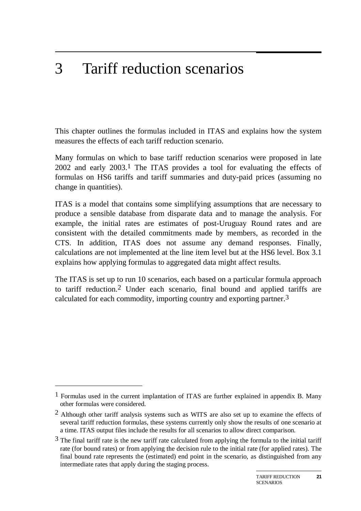#### 3 3 Tariff reduction scenarios

This chapter outlines the formulas included in ITAS and explains how the system measures the effects of each tariff reduction scenario.

Many formulas on which to base tariff reduction scenarios were proposed in late  $2002$  and early  $2003<sup>1</sup>$ . The ITAS provides a tool for evaluating the effects of formulas on HS6 tariffs and tariff summaries and duty-paid prices (assuming no change in quantities).

ITAS is a model that contains some simplifying assumptions that are necessary to produce a sensible database from disparate data and to manage the analysis. For example, the initial rates are estimates of post-Uruguay Round rates and are consistent with the detailed commitments made by members, as recorded in the CTS. In addition, ITAS does not assume any demand responses. Finally, calculations are not implemented at the line item level but at the HS6 level. Box 3.1 explains how applying formulas to aggregated data might affect results.

The ITAS is set up to run 10 scenarios, each based on a particular formula approach to tariff reduction.2 Under each scenario, final bound and applied tariffs are calculated for each commodity, importing country and exporting partner.3

-

<sup>&</sup>lt;sup>1</sup> Formulas used in the current implantation of ITAS are further explained in appendix B. Many other formulas were considered.

<sup>&</sup>lt;sup>2</sup> Although other tariff analysis systems such as WITS are also set up to examine the effects of several tariff reduction formulas, these systems currently only show the results of one scenario at a time. ITAS output files include the results for all scenarios to allow direct comparison.

 $3$  The final tariff rate is the new tariff rate calculated from applying the formula to the initial tariff rate (for bound rates) or from applying the decision rule to the initial rate (for applied rates). The final bound rate represents the (estimated) end point in the scenario, as distinguished from any intermediate rates that apply during the staging process.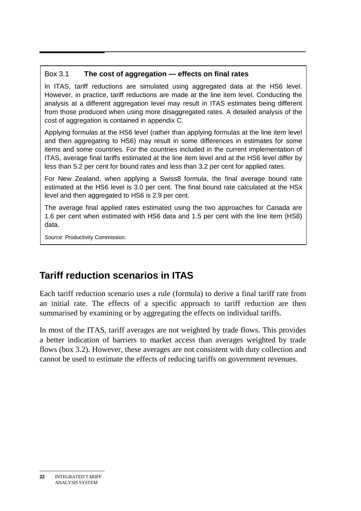## Box 3.1 **The cost of aggregation — effects on final rates**

In ITAS, tariff reductions are simulated using aggregated data at the HS6 level. However, in practice, tariff reductions are made at the line item level. Conducting the analysis at a different aggregation level may result in ITAS estimates being different from those produced when using more disaggregated rates. A detailed analysis of the cost of aggregation is contained in appendix C.

Applying formulas at the HS6 level (rather than applying formulas at the line item level and then aggregating to HS6) may result in some differences in estimates for some items and some countries. For the countries included in the current implementation of ITAS, average final tariffs estimated at the line item level and at the HS6 level differ by less than 5.2 per cent for bound rates and less than 3.2 per cent for applied rates.

For New Zealand, when applying a Swiss8 formula, the final average bound rate estimated at the HS6 level is 3.0 per cent. The final bound rate calculated at the HSx level and then aggregated to HS6 is 2.9 per cent.

The average final applied rates estimated using the two approaches for Canada are 1.6 per cent when estimated with HS6 data and 1.5 per cent with the line item (HS8) data.

*Source:* Productivity Commission.

# **Tariff reduction scenarios in ITAS**

Each tariff reduction scenario uses a rule (formula) to derive a final tariff rate from an initial rate. The effects of a specific approach to tariff reduction are then summarised by examining or by aggregating the effects on individual tariffs.

In most of the ITAS, tariff averages are not weighted by trade flows. This provides a better indication of barriers to market access than averages weighted by trade flows (box 3.2). However, these averages are not consistent with duty collection and cannot be used to estimate the effects of reducing tariffs on government revenues.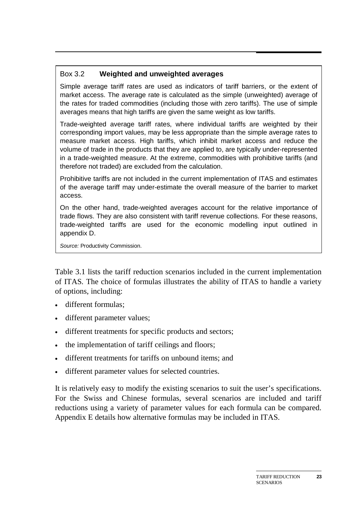## Box 3.2 **Weighted and unweighted averages**

Simple average tariff rates are used as indicators of tariff barriers, or the extent of market access. The average rate is calculated as the simple (unweighted) average of the rates for traded commodities (including those with zero tariffs). The use of simple averages means that high tariffs are given the same weight as low tariffs.

Trade-weighted average tariff rates, where individual tariffs are weighted by their corresponding import values, may be less appropriate than the simple average rates to measure market access. High tariffs, which inhibit market access and reduce the volume of trade in the products that they are applied to, are typically under-represented in a trade-weighted measure. At the extreme, commodities with prohibitive tariffs (and therefore not traded) are excluded from the calculation.

Prohibitive tariffs are not included in the current implementation of ITAS and estimates of the average tariff may under-estimate the overall measure of the barrier to market access.

On the other hand, trade-weighted averages account for the relative importance of trade flows. They are also consistent with tariff revenue collections. For these reasons, trade-weighted tariffs are used for the economic modelling input outlined in appendix D.

*Source:* Productivity Commission.

Table 3.1 lists the tariff reduction scenarios included in the current implementation of ITAS. The choice of formulas illustrates the ability of ITAS to handle a variety of options, including:

- different formulas:
- different parameter values;
- different treatments for specific products and sectors;
- the implementation of tariff ceilings and floors;
- different treatments for tariffs on unbound items; and
- different parameter values for selected countries.

It is relatively easy to modify the existing scenarios to suit the user's specifications. For the Swiss and Chinese formulas, several scenarios are included and tariff reductions using a variety of parameter values for each formula can be compared. Appendix E details how alternative formulas may be included in ITAS.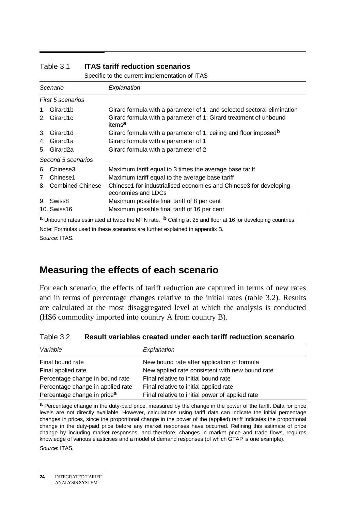|         | opoolito to tho carroth implomation of its to |                                                                                         |  |  |  |  |  |
|---------|-----------------------------------------------|-----------------------------------------------------------------------------------------|--|--|--|--|--|
|         | Scenario                                      | Explanation                                                                             |  |  |  |  |  |
|         | First 5 scenarios                             |                                                                                         |  |  |  |  |  |
| $1_{-}$ | Girard1b                                      | Girard formula with a parameter of 1; and selected sectoral elimination                 |  |  |  |  |  |
|         | 2. Girard1c                                   | Girard formula with a parameter of 1; Girard treatment of unbound<br>items <sup>a</sup> |  |  |  |  |  |
| 3.      | Girard1d                                      | Girard formula with a parameter of 1; ceiling and floor imposed <sup>b</sup>            |  |  |  |  |  |
|         | 4. Girard1a                                   | Girard formula with a parameter of 1                                                    |  |  |  |  |  |
|         | 5. Girard2a                                   | Girard formula with a parameter of 2                                                    |  |  |  |  |  |
|         | Second 5 scenarios                            |                                                                                         |  |  |  |  |  |
| 6.      | Chinese3                                      | Maximum tariff equal to 3 times the average base tariff                                 |  |  |  |  |  |
| 7.      | Chinese1                                      | Maximum tariff equal to the average base tariff                                         |  |  |  |  |  |
|         | 8. Combined Chinese                           | Chinese1 for industrialised economies and Chinese3 for developing<br>economies and LDCs |  |  |  |  |  |
| 9.      | Swiss8                                        | Maximum possible final tariff of 8 per cent                                             |  |  |  |  |  |
|         | <b>10. Swiss16</b>                            | Maximum possible final tariff of 16 per cent                                            |  |  |  |  |  |
|         | ь.                                            |                                                                                         |  |  |  |  |  |

# Table 3.1 **ITAS tariff reduction scenarios**

Specific to the current implementation of ITAS

**a** Unbound rates estimated at twice the MFN rate. **b** Ceiling at 25 and floor at 16 for developing countries. Note: Formulas used in these scenarios are further explained in appendix B. *Source*: ITAS.

# **Measuring the effects of each scenario**

For each scenario, the effects of tariff reduction are captured in terms of new rates and in terms of percentage changes relative to the initial rates (table 3.2). Results are calculated at the most disaggregated level at which the analysis is conducted (HS6 commodity imported into country A from country B).

| Table 3.2<br>Result variables created under each tariff reduction scenario |
|----------------------------------------------------------------------------|
|----------------------------------------------------------------------------|

| Variable                                | Explanation                                     |
|-----------------------------------------|-------------------------------------------------|
| Final bound rate                        | New bound rate after application of formula     |
| Final applied rate                      | New applied rate consistent with new bound rate |
| Percentage change in bound rate         | Final relative to initial bound rate            |
| Percentage change in applied rate       | Final relative to initial applied rate          |
| Percentage change in price <sup>a</sup> | Final relative to initial power of applied rate |

**a** Percentage change in the duty-paid price, measured by the change in the power of the tariff. Data for price levels are not directly available. However, calculations using tariff data can indicate the initial percentage changes in prices, since the proportional change in the power of the (applied) tariff indicates the proportional change in the duty-paid price before any market responses have occurred. Refining this estimate of price change by including market responses, and therefore, changes in market price and trade flows, requires knowledge of various elasticities and a model of demand responses (of which GTAP is one example).

*Source*: ITAS.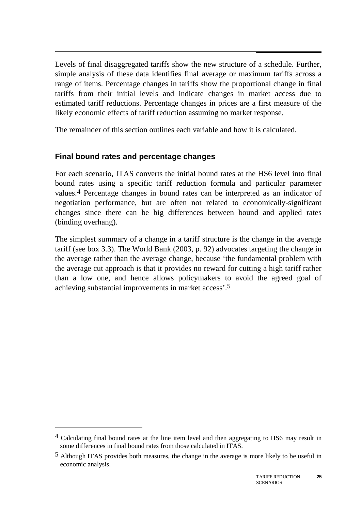$\overline{a}$ Levels of final disaggregated tariffs show the new structure of a schedule. Further, simple analysis of these data identifies final average or maximum tariffs across a range of items. Percentage changes in tariffs show the proportional change in final tariffs from their initial levels and indicate changes in market access due to estimated tariff reductions. Percentage changes in prices are a first measure of the likely economic effects of tariff reduction assuming no market response.

The remainder of this section outlines each variable and how it is calculated.

# **Final bound rates and percentage changes**

-

For each scenario, ITAS converts the initial bound rates at the HS6 level into final bound rates using a specific tariff reduction formula and particular parameter values.4 Percentage changes in bound rates can be interpreted as an indicator of negotiation performance, but are often not related to economically-significant changes since there can be big differences between bound and applied rates (binding overhang).

The simplest summary of a change in a tariff structure is the change in the average tariff (see box 3.3). The World Bank (2003, p. 92) advocates targeting the change in the average rather than the average change, because 'the fundamental problem with the average cut approach is that it provides no reward for cutting a high tariff rather than a low one, and hence allows policymakers to avoid the agreed goal of achieving substantial improvements in market access'.5

<sup>4</sup> Calculating final bound rates at the line item level and then aggregating to HS6 may result in some differences in final bound rates from those calculated in ITAS.

<sup>5</sup> Although ITAS provides both measures, the change in the average is more likely to be useful in economic analysis.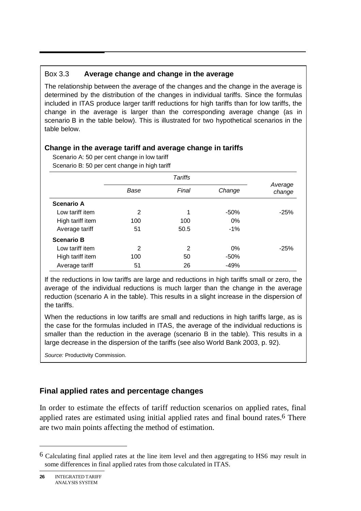# Box 3.3 **Average change and change in the average**

The relationship between the average of the changes and the change in the average is determined by the distribution of the changes in individual tariffs. Since the formulas included in ITAS produce larger tariff reductions for high tariffs than for low tariffs, the change in the average is larger than the corresponding average change (as in scenario B in the table below). This is illustrated for two hypothetical scenarios in the table below.

### **Change in the average tariff and average change in tariffs**

Scenario A: 50 per cent change in low tariff Scenario B: 50 per cent change in high tariff

|                   | Base | Final | Change | Average<br>change |  |
|-------------------|------|-------|--------|-------------------|--|
| <b>Scenario A</b> |      |       |        |                   |  |
| Low tariff item   | 2    | 1     | $-50%$ | $-25%$            |  |
| High tariff item  | 100  | 100   | 0%     |                   |  |
| Average tariff    | 51   | 50.5  | $-1\%$ |                   |  |
| <b>Scenario B</b> |      |       |        |                   |  |
| Low tariff item   | 2    | 2     | $0\%$  | $-25%$            |  |
| High tariff item  | 100  | 50    | $-50%$ |                   |  |
| Average tariff    | 51   | 26    | -49%   |                   |  |

If the reductions in low tariffs are large and reductions in high tariffs small or zero, the average of the individual reductions is much larger than the change in the average reduction (scenario A in the table). This results in a slight increase in the dispersion of the tariffs.

When the reductions in low tariffs are small and reductions in high tariffs large, as is the case for the formulas included in ITAS, the average of the individual reductions is smaller than the reduction in the average (scenario B in the table). This results in a large decrease in the dispersion of the tariffs (see also World Bank 2003, p. 92).

*Source:* Productivity Commission.

# **Final applied rates and percentage changes**

In order to estimate the effects of tariff reduction scenarios on applied rates, final applied rates are estimated using initial applied rates and final bound rates.<sup>6</sup> There are two main points affecting the method of estimation.

<sup>6</sup> Calculating final applied rates at the line item level and then aggregating to HS6 may result in some differences in final applied rates from those calculated in ITAS.

**<sup>26</sup>** INTEGRATED TARIFF ANALYSIS SYSTEM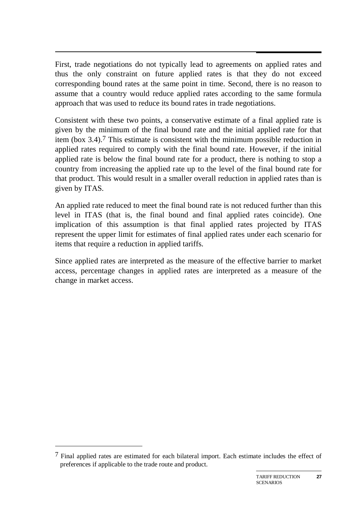$\overline{a}$ First, trade negotiations do not typically lead to agreements on applied rates and thus the only constraint on future applied rates is that they do not exceed corresponding bound rates at the same point in time. Second, there is no reason to assume that a country would reduce applied rates according to the same formula approach that was used to reduce its bound rates in trade negotiations.

Consistent with these two points, a conservative estimate of a final applied rate is given by the minimum of the final bound rate and the initial applied rate for that item (box 3.4).7 This estimate is consistent with the minimum possible reduction in applied rates required to comply with the final bound rate. However, if the initial applied rate is below the final bound rate for a product, there is nothing to stop a country from increasing the applied rate up to the level of the final bound rate for that product. This would result in a smaller overall reduction in applied rates than is given by ITAS.

An applied rate reduced to meet the final bound rate is not reduced further than this level in ITAS (that is, the final bound and final applied rates coincide). One implication of this assumption is that final applied rates projected by ITAS represent the upper limit for estimates of final applied rates under each scenario for items that require a reduction in applied tariffs.

Since applied rates are interpreted as the measure of the effective barrier to market access, percentage changes in applied rates are interpreted as a measure of the change in market access.

-

 $7$  Final applied rates are estimated for each bilateral import. Each estimate includes the effect of preferences if applicable to the trade route and product.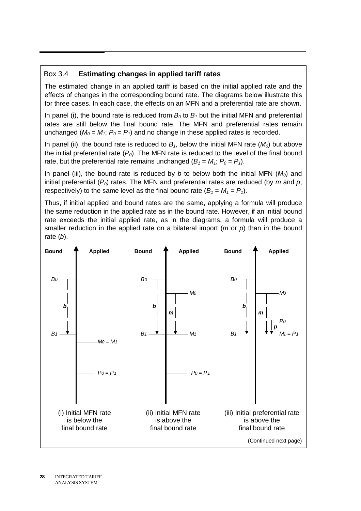### Box 3.4 **Estimating changes in applied tariff rates**

The estimated change in an applied tariff is based on the initial applied rate and the effects of changes in the corresponding bound rate. The diagrams below illustrate this for three cases. In each case, the effects on an MFN and a preferential rate are shown.

In panel (i), the bound rate is reduced from  $B_0$  to  $B_1$  but the initial MFN and preferential rates are still below the final bound rate. The MFN and preferential rates remain unchanged ( $M_0 = M_1$ ;  $P_0 = P_1$ ) and no change in these applied rates is recorded.

In panel (ii), the bound rate is reduced to  $B_1$ , below the initial MFN rate ( $M_0$ ) but above the initial preferential rate  $(P_0)$ . The MFN rate is reduced to the level of the final bound rate, but the preferential rate remains unchanged  $(B_1 = M_1; P_0 = P_1)$ .

In panel (iii), the bound rate is reduced by *b* to below both the initial MFN  $(M<sub>0</sub>)$  and initial preferential (*P0*) rates. The MFN and preferential rates are reduced (by *m* and *p*, respectively) to the same level as the final bound rate  $(B_1 = M_1 = P_1)$ .

Thus, if initial applied and bound rates are the same, applying a formula will produce the same reduction in the applied rate as in the bound rate. However, if an initial bound rate exceeds the initial applied rate, as in the diagrams, a formula will produce a smaller reduction in the applied rate on a bilateral import (*m* or *p*) than in the bound rate (*b*).

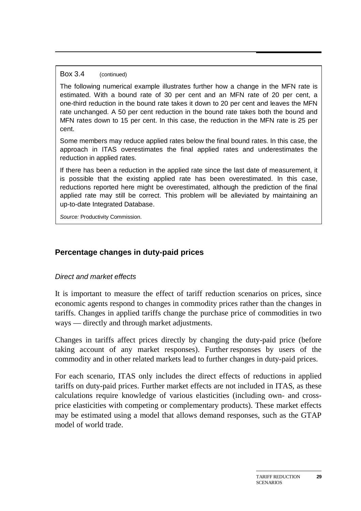#### Box 3.4 (continued)

The following numerical example illustrates further how a change in the MFN rate is estimated. With a bound rate of 30 per cent and an MFN rate of 20 per cent, a one-third reduction in the bound rate takes it down to 20 per cent and leaves the MFN rate unchanged. A 50 per cent reduction in the bound rate takes both the bound and MFN rates down to 15 per cent. In this case, the reduction in the MFN rate is 25 per cent.

Some members may reduce applied rates below the final bound rates. In this case, the approach in ITAS overestimates the final applied rates and underestimates the reduction in applied rates.

If there has been a reduction in the applied rate since the last date of measurement, it is possible that the existing applied rate has been overestimated. In this case, reductions reported here might be overestimated, although the prediction of the final applied rate may still be correct. This problem will be alleviated by maintaining an up-to-date Integrated Database.

*Source:* Productivity Commission.

# **Percentage changes in duty-paid prices**

### *Direct and market effects*

It is important to measure the effect of tariff reduction scenarios on prices, since economic agents respond to changes in commodity prices rather than the changes in tariffs. Changes in applied tariffs change the purchase price of commodities in two ways — directly and through market adjustments.

Changes in tariffs affect prices directly by changing the duty-paid price (before taking account of any market responses). Further responses by users of the commodity and in other related markets lead to further changes in duty-paid prices.

For each scenario, ITAS only includes the direct effects of reductions in applied tariffs on duty-paid prices. Further market effects are not included in ITAS, as these calculations require knowledge of various elasticities (including own- and crossprice elasticities with competing or complementary products). These market effects may be estimated using a model that allows demand responses, such as the GTAP model of world trade.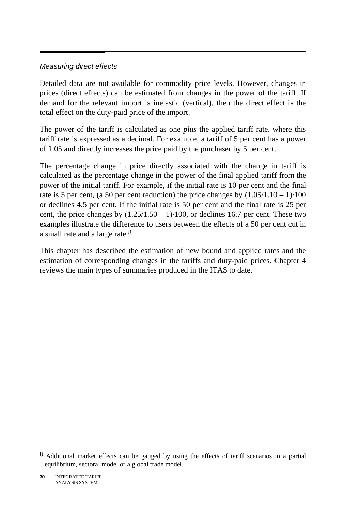### *Measuring direct effects*

Detailed data are not available for commodity price levels. However, changes in prices (direct effects) can be estimated from changes in the power of the tariff. If demand for the relevant import is inelastic (vertical), then the direct effect is the total effect on the duty-paid price of the import.

The power of the tariff is calculated as one *plus* the applied tariff rate, where this tariff rate is expressed as a decimal. For example, a tariff of 5 per cent has a power of 1.05 and directly increases the price paid by the purchaser by 5 per cent.

The percentage change in price directly associated with the change in tariff is calculated as the percentage change in the power of the final applied tariff from the power of the initial tariff. For example, if the initial rate is 10 per cent and the final rate is 5 per cent, (a 50 per cent reduction) the price changes by  $(1.05/1.10 - 1)$  100  $\begin{array}{c} 100 \\ \text{per} \\ \text{two} \end{array}$ or declines 4.5 per cent. If the initial rate is 50 per cent and the final rate is 25 per cent, the price changes by  $(1.25/1.50 - 1)$  100, or declines 16.7 per cent. These two ·100, or declines 16.7 per cent. These two examples illustrate the difference to users between the effects of a 50 per cent cut in a small rate and a large rate.8

This chapter has described the estimation of new bound and applied rates and the estimation of corresponding changes in the tariffs and duty-paid prices. Chapter 4 reviews the main types of summaries produced in the ITAS to date.

<sup>8</sup> Additional market effects can be gauged by using the effects of tariff scenarios in a partial equilibrium, sectoral model or a global trade model.

**<sup>30</sup>** INTEGRATED TARIFF ANALYSIS SYSTEM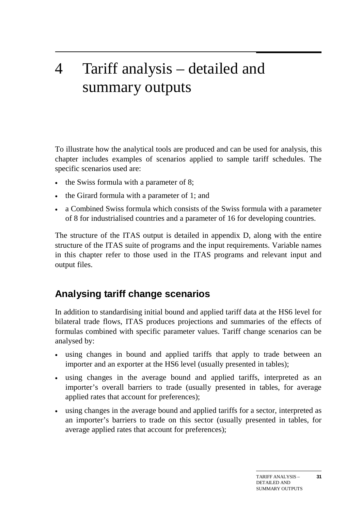# 4 Tariff analysis – detailed and summary outputs

To illustrate how the analytical tools are produced and can be used for analysis, this chapter includes examples of scenarios applied to sample tariff schedules. The specific scenarios used are:

- the Swiss formula with a parameter of 8;
- the Girard formula with a parameter of 1; and
- a Combined Swiss formula which consists of the Swiss formula with a parameter of 8 for industrialised countries and a parameter of 16 for developing countries.

The structure of the ITAS output is detailed in appendix D, along with the entire structure of the ITAS suite of programs and the input requirements. Variable names in this chapter refer to those used in the ITAS programs and relevant input and output files.

# **Analysing tariff change scenarios**

In addition to standardising initial bound and applied tariff data at the HS6 level for bilateral trade flows, ITAS produces projections and summaries of the effects of formulas combined with specific parameter values. Tariff change scenarios can be analysed by:

- using changes in bound and applied tariffs that apply to trade between an importer and an exporter at the HS6 level (usually presented in tables);
- using changes in the average bound and applied tariffs, interpreted as an importer's overall barriers to trade (usually presented in tables, for average applied rates that account for preferences);
- using changes in the average bound and applied tariffs for a sector, interpreted as an importer's barriers to trade on this sector (usually presented in tables, for average applied rates that account for preferences);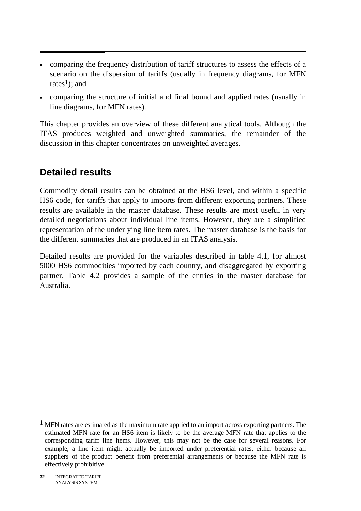- comparing the frequency distribution of tariff structures to assess the effects of a scenario on the dispersion of tariffs (usually in frequency diagrams, for MFN rates<sup>1</sup>); and
- comparing the structure of initial and final bound and applied rates (usually in line diagrams, for MFN rates).

This chapter provides an overview of these different analytical tools. Although the ITAS produces weighted and unweighted summaries, the remainder of the discussion in this chapter concentrates on unweighted averages.

# **Detailed results**

Commodity detail results can be obtained at the HS6 level, and within a specific HS6 code, for tariffs that apply to imports from different exporting partners. These results are available in the master database. These results are most useful in very detailed negotiations about individual line items. However, they are a simplified representation of the underlying line item rates. The master database is the basis for the different summaries that are produced in an ITAS analysis.

Detailed results are provided for the variables described in table 4.1, for almost 5000 HS6 commodities imported by each country, and disaggregated by exporting partner. Table 4.2 provides a sample of the entries in the master database for Australia.

 $<sup>1</sup>$  MFN rates are estimated as the maximum rate applied to an import across exporting partners. The</sup> estimated MFN rate for an HS6 item is likely to be the average MFN rate that applies to the corresponding tariff line items. However, this may not be the case for several reasons. For example, a line item might actually be imported under preferential rates, either because all suppliers of the product benefit from preferential arrangements or because the MFN rate is effectively prohibitive.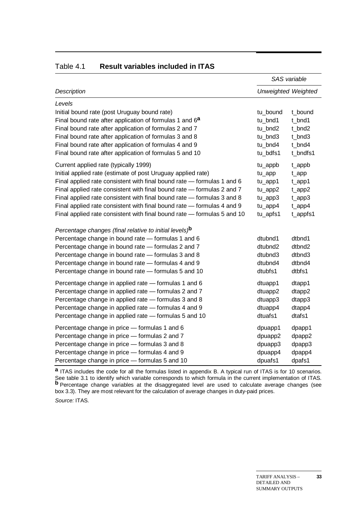|                                                                         | SAS variable |                            |  |
|-------------------------------------------------------------------------|--------------|----------------------------|--|
| <b>Description</b>                                                      |              | <b>Unweighted Weighted</b> |  |
| Levels                                                                  |              |                            |  |
| Initial bound rate (post Uruguay bound rate)                            | tu_bound     | t bound                    |  |
| Final bound rate after application of formulas 1 and 6 <sup>a</sup>     | tu_bnd1      | t_bnd1                     |  |
| Final bound rate after application of formulas 2 and 7                  | tu_bnd2      | t bnd2                     |  |
| Final bound rate after application of formulas 3 and 8                  | tu bnd3      | t bnd3                     |  |
| Final bound rate after application of formulas 4 and 9                  | tu_bnd4      | t_bnd4                     |  |
| Final bound rate after application of formulas 5 and 10                 | tu bdfs1     | t bndfs1                   |  |
| Current applied rate (typically 1999)                                   | tu_appb      | t_appb                     |  |
| Initial applied rate (estimate of post Uruguay applied rate)            | tu_app       | $t$ <sub>_app</sub>        |  |
| Final applied rate consistent with final bound rate - formulas 1 and 6  | tu_app1      | $t$ <sub>_app1</sub>       |  |
| Final applied rate consistent with final bound rate - formulas 2 and 7  | tu_app2      | $t$ <sub>_app2</sub>       |  |
| Final applied rate consistent with final bound rate - formulas 3 and 8  | tu_app3      | $t$ <sub>_app</sub> $3$    |  |
| Final applied rate consistent with final bound rate - formulas 4 and 9  | tu_app4      | $t$ <sub>_app4</sub>       |  |
| Final applied rate consistent with final bound rate - formulas 5 and 10 | tu_apfs1     | t_appfs1                   |  |
| Percentage changes (final relative to initial levels) <sup>b</sup>      |              |                            |  |
| Percentage change in bound rate - formulas 1 and 6                      | dtubnd1      | dtbnd1                     |  |
| Percentage change in bound rate - formulas 2 and 7                      | dtubnd2      | dtbnd2                     |  |
| Percentage change in bound rate - formulas 3 and 8                      | dtubnd3      | dtbnd3                     |  |
| Percentage change in bound rate - formulas 4 and 9                      | dtubnd4      | dtbnd4                     |  |
| Percentage change in bound rate - formulas 5 and 10                     | dtubfs1      | dtbfs1                     |  |
| Percentage change in applied rate - formulas 1 and 6                    | dtuapp1      | dtapp1                     |  |
| Percentage change in applied rate - formulas 2 and 7                    | dtuapp2      | dtapp2                     |  |
| Percentage change in applied rate - formulas 3 and 8                    | dtuapp3      | dtapp3                     |  |
| Percentage change in applied rate - formulas 4 and 9                    | dtuapp4      | dtapp4                     |  |
| Percentage change in applied rate - formulas 5 and 10                   | dtuafs1      | dtafs1                     |  |
| Percentage change in price - formulas 1 and 6                           | dpuapp1      | dpapp1                     |  |
| Percentage change in price - formulas 2 and 7                           | dpuapp2      | dpapp2                     |  |
| Percentage change in price - formulas 3 and 8                           | dpuapp3      | dpapp3                     |  |
| Percentage change in price - formulas 4 and 9                           | dpuapp4      | dpapp4                     |  |
| Percentage change in price - formulas 5 and 10                          | dpuafs1      | dpafs1                     |  |

#### Table 4.1 **Result variables included in ITAS**

**a** ITAS includes the code for all the formulas listed in appendix B. A typical run of ITAS is for 10 scenarios. See table 3.1 to identify which variable corresponds to which formula in the current implementation of ITAS. **b** Percentage change variables at the disaggregated level are used to calculate average changes (see box 3.3). They are most relevant for the calculation of average changes in duty-paid prices. *Source:* ITAS.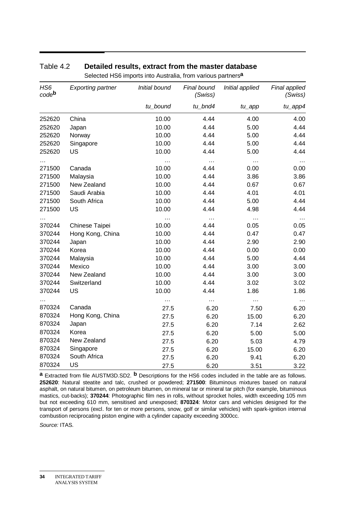| HS <sub>6</sub><br>code <sup>b</sup> | <b>Exporting partner</b> | Initial bound | Final bound<br>(Swiss) | Initial applied      | Final applied<br>(Swiss) |
|--------------------------------------|--------------------------|---------------|------------------------|----------------------|--------------------------|
|                                      |                          | tu_bound      | tu_bnd4                | $tu$ <sub>_app</sub> | tu_app4                  |
| 252620                               | China                    | 10.00         | 4.44                   | 4.00                 | 4.00                     |
| 252620                               | Japan                    | 10.00         | 4.44                   | 5.00                 | 4.44                     |
| 252620                               | Norway                   | 10.00         | 4.44                   | 5.00                 | 4.44                     |
| 252620                               | Singapore                | 10.00         | 4.44                   | 5.00                 | 4.44                     |
| 252620                               | US                       | 10.00         | 4.44                   | 5.00                 | 4.44                     |
|                                      |                          | .             | $\cdots$               | .                    | $\cdots$                 |
| 271500                               | Canada                   | 10.00         | 4.44                   | 0.00                 | 0.00                     |
| 271500                               | Malaysia                 | 10.00         | 4.44                   | 3.86                 | 3.86                     |
| 271500                               | New Zealand              | 10.00         | 4.44                   | 0.67                 | 0.67                     |
| 271500                               | Saudi Arabia             | 10.00         | 4.44                   | 4.01                 | 4.01                     |
| 271500                               | South Africa             | 10.00         | 4.44                   | 5.00                 | 4.44                     |
| 271500                               | US                       | 10.00         | 4.44                   | 4.98                 | 4.44                     |
|                                      |                          | $\cdots$      | $\cdots$               | $\cdots$             | $\cdots$                 |
| 370244                               | Chinese Taipei           | 10.00         | 4.44                   | 0.05                 | 0.05                     |
| 370244                               | Hong Kong, China         | 10.00         | 4.44                   | 0.47                 | 0.47                     |
| 370244                               | Japan                    | 10.00         | 4.44                   | 2.90                 | 2.90                     |
| 370244                               | Korea                    | 10.00         | 4.44                   | 0.00                 | 0.00                     |
| 370244                               | Malaysia                 | 10.00         | 4.44                   | 5.00                 | 4.44                     |
| 370244                               | Mexico                   | 10.00         | 4.44                   | 3.00                 | 3.00                     |
| 370244                               | New Zealand              | 10.00         | 4.44                   | 3.00                 | 3.00                     |
| 370244                               | Switzerland              | 10.00         | 4.44                   | 3.02                 | 3.02                     |
| 370244                               | US                       | 10.00         | 4.44                   | 1.86                 | 1.86                     |
|                                      |                          | $\cdots$      | $\cdots$               | $\cdots$             | $\sim$ $\sim$            |
| 870324                               | Canada                   | 27.5          | 6.20                   | 7.50                 | 6.20                     |
| 870324                               | Hong Kong, China         | 27.5          | 6.20                   | 15.00                | 6.20                     |
| 870324                               | Japan                    | 27.5          | 6.20                   | 7.14                 | 2.62                     |
| 870324                               | Korea                    | 27.5          | 6.20                   | 5.00                 | 5.00                     |
| 870324                               | New Zealand              | 27.5          | 6.20                   | 5.03                 | 4.79                     |
| 870324                               | Singapore                | 27.5          | 6.20                   | 15.00                | 6.20                     |
| 870324                               | South Africa             | 27.5          | 6.20                   | 9.41                 | 6.20                     |
| 870324                               | US                       | 27.5          | 6.20                   | 3.51                 | 3.22                     |

#### Table 4.2 **Detailed results, extract from the master database**

Selected HS6 imports into Australia, from various partners**a**

**a** Extracted from file AUSTM3D.SD2. **b** Descriptions for the HS6 codes included in the table are as follows. **252620**: Natural steatite and talc, crushed or powdered; **271500**: Bituminous mixtures based on natural asphalt, on natural bitumen, on petroleum bitumen, on mineral tar or mineral tar pitch (for example, bituminous mastics, cut-backs); **370244**: Photographic film nes in rolls, without sprocket holes, width exceeding 105 mm but not exceeding 610 mm, sensitised and unexposed; **870324**: Motor cars and vehicles designed for the transport of persons (excl. for ten or more persons, snow, golf or similar vehicles) with spark-ignition internal combustion reciprocating piston engine with a cylinder capacity exceeding 3000cc.

*Source:* ITAS.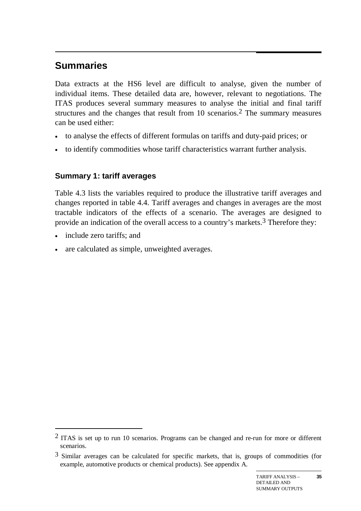#### $\overline{a}$ **Summaries**

Data extracts at the HS6 level are difficult to analyse, given the number of individual items. These detailed data are, however, relevant to negotiations. The ITAS produces several summary measures to analyse the initial and final tariff structures and the changes that result from 10 scenarios.2 The summary measures can be used either:

- to analyse the effects of different formulas on tariffs and duty-paid prices; or
- to identify commodities whose tariff characteristics warrant further analysis.

# **Summary 1: tariff averages**

Table 4.3 lists the variables required to produce the illustrative tariff averages and changes reported in table 4.4. Tariff averages and changes in averages are the most tractable indicators of the effects of a scenario. The averages are designed to provide an indication of the overall access to a country's markets.3 Therefore they:

• include zero tariffs; and

-

• are calculated as simple, unweighted averages.

<sup>2</sup> ITAS is set up to run 10 scenarios. Programs can be changed and re-run for more or different scenarios.

<sup>3</sup> Similar averages can be calculated for specific markets, that is, groups of commodities (for example, automotive products or chemical products). See appendix A.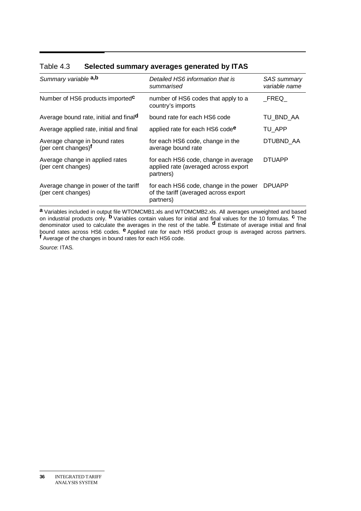| Summary variable a,b                                             | Detailed HS6 information that is<br>summarised                                               | <b>SAS</b> summary<br>variable name |
|------------------------------------------------------------------|----------------------------------------------------------------------------------------------|-------------------------------------|
| Number of HS6 products imported <sup>c</sup>                     | number of HS6 codes that apply to a<br>country's imports                                     | FREG                                |
| Average bound rate, initial and finald                           | bound rate for each HS6 code                                                                 | TU_BND_AA                           |
| Average applied rate, initial and final                          | applied rate for each HS6 code <sup>e</sup>                                                  | TU APP                              |
| Average change in bound rates<br>(per cent changes) <sup>f</sup> | for each HS6 code, change in the<br>average bound rate                                       | DTUBND AA                           |
| Average change in applied rates<br>(per cent changes)            | for each HS6 code, change in average<br>applied rate (averaged across export<br>partners)    | <b>DTUAPP</b>                       |
| Average change in power of the tariff<br>(per cent changes)      | for each HS6 code, change in the power<br>of the tariff (averaged across export<br>partners) | <b>DPUAPP</b>                       |

#### Table 4.3 **Selected summary averages generated by ITAS**

**a** Variables included in output file WTOMCMB1.xls and WTOMCMB2.xls. All averages unweighted and based on industrial products only. **b** Variables contain values for initial and final values for the 10 formulas. **c** The denominator used to calculate the averages in the rest of the table. **d** Estimate of average initial and final bound rates across HS6 codes. **e** Applied rate for each HS6 product group is averaged across partners. **f** Average of the changes in bound rates for each HS6 code.

*Source*: ITAS.

**<sup>36</sup>** INTEGRATED TARIFF ANALYSIS SYSTEM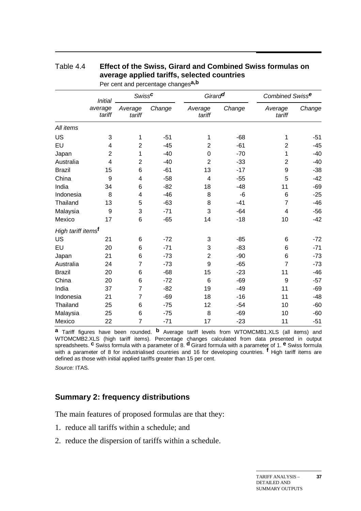|                                | <b>Initial</b><br>average<br>tariff | <b>Swissc</b>     |        | Girard <sup>d</sup> |        | Combined Swisse   |        |
|--------------------------------|-------------------------------------|-------------------|--------|---------------------|--------|-------------------|--------|
|                                |                                     | Average<br>tariff | Change | Average<br>tariff   | Change | Average<br>tariff | Change |
| All items                      |                                     |                   |        |                     |        |                   |        |
| US                             | 3                                   | 1                 | $-51$  | 1                   | $-68$  | 1                 | $-51$  |
| EU                             | 4                                   | $\overline{2}$    | $-45$  | $\overline{2}$      | $-61$  | $\overline{2}$    | $-45$  |
| Japan                          | $\overline{2}$                      | 1                 | $-40$  | $\mathbf 0$         | $-70$  | 1                 | $-40$  |
| Australia                      | 4                                   | $\overline{2}$    | $-40$  | $\overline{2}$      | $-33$  | $\overline{2}$    | $-40$  |
| <b>Brazil</b>                  | 15                                  | 6                 | $-61$  | 13                  | $-17$  | 9                 | $-38$  |
| China                          | 9                                   | 4                 | $-58$  | 4                   | $-55$  | 5                 | $-42$  |
| India                          | 34                                  | 6                 | $-82$  | 18                  | $-48$  | 11                | $-69$  |
| Indonesia                      | 8                                   | 4                 | $-46$  | 8                   | $-6$   | $\,6$             | $-25$  |
| Thailand                       | 13                                  | 5                 | $-63$  | 8                   | $-41$  | $\overline{7}$    | $-46$  |
| Malaysia                       | 9                                   | 3                 | $-71$  | 3                   | $-64$  | 4                 | $-56$  |
| Mexico                         | 17                                  | 6                 | $-65$  | 14                  | $-18$  | 10                | $-42$  |
| High tariff items <sup>f</sup> |                                     |                   |        |                     |        |                   |        |
| US                             | 21                                  | 6                 | $-72$  | 3                   | $-85$  | 6                 | $-72$  |
| EU                             | 20                                  | 6                 | $-71$  | 3                   | $-83$  | 6                 | $-71$  |
| Japan                          | 21                                  | 6                 | $-73$  | $\overline{2}$      | $-90$  | $6\phantom{1}6$   | $-73$  |
| Australia                      | 24                                  | 7                 | $-73$  | 9                   | $-65$  | $\overline{7}$    | $-73$  |
| <b>Brazil</b>                  | 20                                  | 6                 | $-68$  | 15                  | $-23$  | 11                | $-46$  |
| China                          | 20                                  | 6                 | $-72$  | 6                   | $-69$  | 9                 | $-57$  |
| India                          | 37                                  | $\overline{7}$    | $-82$  | 19                  | $-49$  | 11                | $-69$  |
| Indonesia                      | 21                                  | $\overline{7}$    | $-69$  | 18                  | $-16$  | 11                | $-48$  |
| Thailand                       | 25                                  | 6                 | $-75$  | 12                  | $-54$  | 10                | $-60$  |
| Malaysia                       | 25                                  | 6                 | $-75$  | 8                   | $-69$  | 10                | $-60$  |
| Mexico                         | 22                                  | $\overline{7}$    | $-71$  | 17                  | $-23$  | 11                | $-51$  |

## Table 4.4 **Effect of the Swiss, Girard and Combined Swiss formulas on average applied tariffs, selected countries**

Per cent and percentage changes**a,b**

**a** Tariff figures have been rounded. **b** Average tariff levels from WTOMCMB1.XLS (all items) and WTOMCMB2.XLS (high tariff items). Percentage changes calculated from data presented in output spreadsheets. **c** Swiss formula with a parameter of 8. **d** Girard formula with a parameter of 1. **e** Swiss formula with a parameter of 8 for industrialised countries and 16 for developing countries. **f** High tariff items are defined as those with initial applied tariffs greater than 15 per cent.

*Source:* ITAS.

### **Summary 2: frequency distributions**

The main features of proposed formulas are that they:

- 1. reduce all tariffs within a schedule; and
- 2. reduce the dispersion of tariffs within a schedule.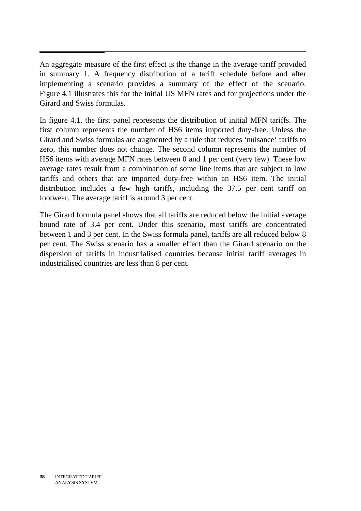An aggregate measure of the first effect is the change in the average tariff provided in summary 1. A frequency distribution of a tariff schedule before and after implementing a scenario provides a summary of the effect of the scenario. Figure 4.1 illustrates this for the initial US MFN rates and for projections under the Girard and Swiss formulas.

In figure 4.1, the first panel represents the distribution of initial MFN tariffs. The first column represents the number of HS6 items imported duty-free. Unless the Girard and Swiss formulas are augmented by a rule that reduces 'nuisance' tariffs to zero, this number does not change. The second column represents the number of HS6 items with average MFN rates between 0 and 1 per cent (very few). These low average rates result from a combination of some line items that are subject to low tariffs and others that are imported duty-free within an HS6 item. The initial distribution includes a few high tariffs, including the 37.5 per cent tariff on footwear. The average tariff is around 3 per cent.

The Girard formula panel shows that all tariffs are reduced below the initial average bound rate of 3.4 per cent. Under this scenario, most tariffs are concentrated between 1 and 3 per cent. In the Swiss formula panel, tariffs are all reduced below 8 per cent. The Swiss scenario has a smaller effect than the Girard scenario on the dispersion of tariffs in industrialised countries because initial tariff averages in industrialised countries are less than 8 per cent.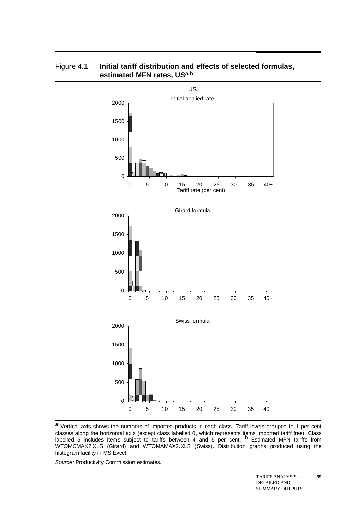

#### Figure 4.1 **Initial tariff distribution and effects of selected formulas, estimated MFN rates, USa,b**

**a** Vertical axis shows the numbers of imported products in each class. Tariff levels grouped in 1 per cent classes along the horizontal axis (except class labelled 0, which represents items imported tariff free). Class labelled 5 includes items subject to tariffs between 4 and 5 per cent. **b** Estimated MFN tariffs from WTOMCMAX2.XLS (Girard) and WTOMAMAX2.XLS (Swiss). Distribution graphs produced using the histogram facility in MS Excel.

*Source:* Productivity Commission estimates.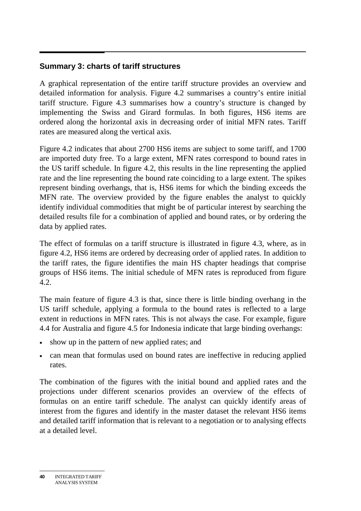## **Summary 3: charts of tariff structures**

A graphical representation of the entire tariff structure provides an overview and detailed information for analysis. Figure 4.2 summarises a country's entire initial tariff structure. Figure 4.3 summarises how a country's structure is changed by implementing the Swiss and Girard formulas. In both figures, HS6 items are ordered along the horizontal axis in decreasing order of initial MFN rates. Tariff rates are measured along the vertical axis.

Figure 4.2 indicates that about 2700 HS6 items are subject to some tariff, and 1700 are imported duty free. To a large extent, MFN rates correspond to bound rates in the US tariff schedule. In figure 4.2, this results in the line representing the applied rate and the line representing the bound rate coinciding to a large extent. The spikes represent binding overhangs, that is, HS6 items for which the binding exceeds the MFN rate. The overview provided by the figure enables the analyst to quickly identify individual commodities that might be of particular interest by searching the detailed results file for a combination of applied and bound rates, or by ordering the data by applied rates.

The effect of formulas on a tariff structure is illustrated in figure 4.3, where, as in figure 4.2, HS6 items are ordered by decreasing order of applied rates. In addition to the tariff rates, the figure identifies the main HS chapter headings that comprise groups of HS6 items. The initial schedule of MFN rates is reproduced from figure 4.2.

The main feature of figure 4.3 is that, since there is little binding overhang in the US tariff schedule, applying a formula to the bound rates is reflected to a large extent in reductions in MFN rates. This is not always the case. For example, figure 4.4 for Australia and figure 4.5 for Indonesia indicate that large binding overhangs:

- show up in the pattern of new applied rates; and
- can mean that formulas used on bound rates are ineffective in reducing applied rates.

The combination of the figures with the initial bound and applied rates and the projections under different scenarios provides an overview of the effects of formulas on an entire tariff schedule. The analyst can quickly identify areas of interest from the figures and identify in the master dataset the relevant HS6 items and detailed tariff information that is relevant to a negotiation or to analysing effects at a detailed level.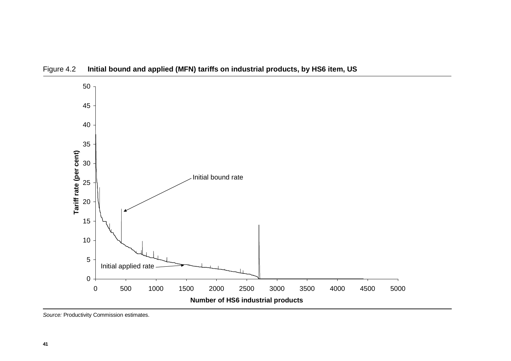

Figure 4.2 **Initial bound and applied (MFN) tariffs on industrial products, by HS6 item, US** 

*Source:* Productivity Commission estimates.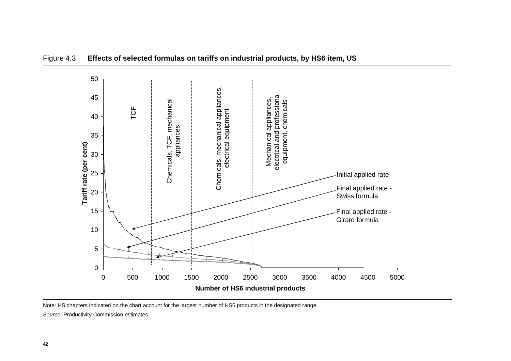

### Figure 4.3 **Effects of selected formulas on tariffs on industrial products, by HS6 item, US**

Note: HS chapters indicated on the chart account for the largest number of HS6 products in the designated range. *Source:* Productivity Commission estimates.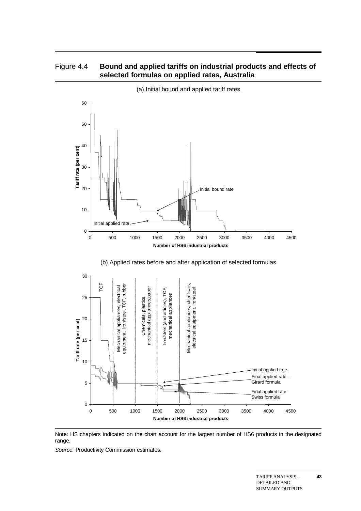### Figure 4.4 **Bound and applied tariffs on industrial products and effects of selected formulas on applied rates, Australia**





Note: HS chapters indicated on the chart account for the largest number of HS6 products in the designated range.

*Source:* Productivity Commission estimates.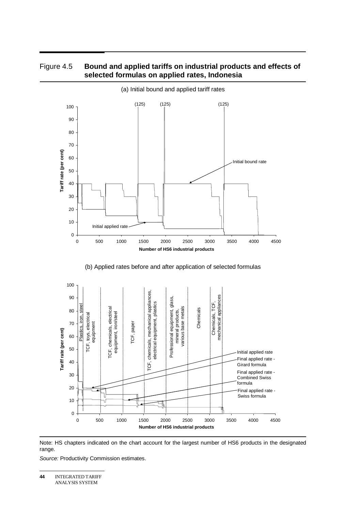

#### Figure 4.5 **Bound and applied tariffs on industrial products and effects of selected formulas on applied rates, Indonesia**

(b) Applied rates before and after application of selected formulas



Note: HS chapters indicated on the chart account for the largest number of HS6 products in the designated range.

*Source:* Productivity Commission estimates.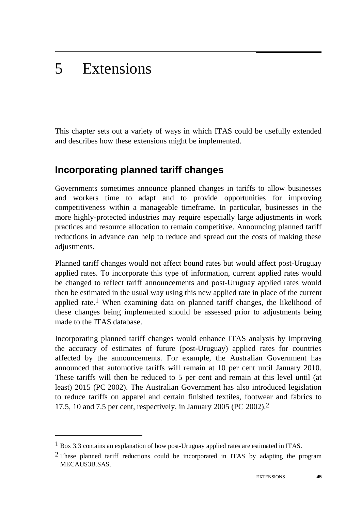#### 5 **Extensions**

-

This chapter sets out a variety of ways in which ITAS could be usefully extended and describes how these extensions might be implemented.

# **Incorporating planned tariff changes**

Governments sometimes announce planned changes in tariffs to allow businesses and workers time to adapt and to provide opportunities for improving competitiveness within a manageable timeframe. In particular, businesses in the more highly-protected industries may require especially large adjustments in work practices and resource allocation to remain competitive. Announcing planned tariff reductions in advance can help to reduce and spread out the costs of making these adjustments.

Planned tariff changes would not affect bound rates but would affect post-Uruguay applied rates. To incorporate this type of information, current applied rates would be changed to reflect tariff announcements and post-Uruguay applied rates would then be estimated in the usual way using this new applied rate in place of the current applied rate.<sup>1</sup> When examining data on planned tariff changes, the likelihood of these changes being implemented should be assessed prior to adjustments being made to the ITAS database.

Incorporating planned tariff changes would enhance ITAS analysis by improving the accuracy of estimates of future (post-Uruguay) applied rates for countries affected by the announcements. For example, the Australian Government has announced that automotive tariffs will remain at 10 per cent until January 2010. These tariffs will then be reduced to 5 per cent and remain at this level until (at least) 2015 (PC 2002). The Australian Government has also introduced legislation to reduce tariffs on apparel and certain finished textiles, footwear and fabrics to 17.5, 10 and 7.5 per cent, respectively, in January 2005 (PC 2002).2

<sup>1</sup> Box 3.3 contains an explanation of how post-Uruguay applied rates are estimated in ITAS.

 $2$  These planned tariff reductions could be incorporated in ITAS by adapting the program MECAUS3B.SAS.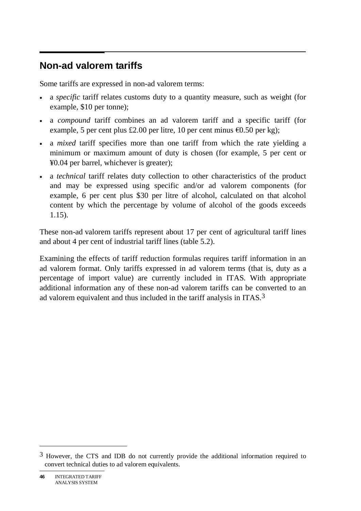#### $\overline{a}$ **Non-ad valorem tariffs**

Some tariffs are expressed in non-ad valorem terms:

- a *specific* tariff relates customs duty to a quantity measure, such as weight (for example, \$10 per tonne);
- a *compound* tariff combines an ad valorem tariff and a specific tariff (for example, 5 per cent plus £2.00 per litre, 10 per cent minus  $\epsilon$ 0.50 per kg);
- a *mixed* tariff specifies more than one tariff from which the rate yielding a minimum or maximum amount of duty is chosen (for example, 5 per cent or ¥0.04 per barrel, whichever is greater);
- a *technical* tariff relates duty collection to other characteristics of the product and may be expressed using specific and/or ad valorem components (for example, 6 per cent plus \$30 per litre of alcohol, calculated on that alcohol content by which the percentage by volume of alcohol of the goods exceeds 1.15).

These non-ad valorem tariffs represent about 17 per cent of agricultural tariff lines and about 4 per cent of industrial tariff lines (table 5.2).

Examining the effects of tariff reduction formulas requires tariff information in an ad valorem format. Only tariffs expressed in ad valorem terms (that is, duty as a percentage of import value) are currently included in ITAS. With appropriate additional information any of these non-ad valorem tariffs can be converted to an ad valorem equivalent and thus included in the tariff analysis in ITAS.3

<sup>3</sup> However, the CTS and IDB do not currently provide the additional information required to convert technical duties to ad valorem equivalents.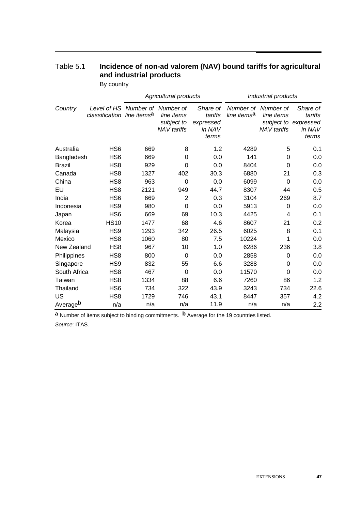|                      |                               |                                                | Agricultural products                          |                                                     |                         | Industrial products                                     |                                                                |
|----------------------|-------------------------------|------------------------------------------------|------------------------------------------------|-----------------------------------------------------|-------------------------|---------------------------------------------------------|----------------------------------------------------------------|
| Country              | Level of HS<br>classification | Number of Number of<br>line items <sup>a</sup> | line items<br>subject to<br><b>NAV</b> tariffs | Share of<br>tariffs<br>expressed<br>in NAV<br>terms | line items <sup>a</sup> | Number of Number of<br>line items<br><b>NAV</b> tariffs | Share of<br>tariffs<br>subject to expressed<br>in NAV<br>terms |
| Australia            | HS <sub>6</sub>               | 669                                            | 8                                              | 1.2                                                 | 4289                    | 5                                                       | 0.1                                                            |
| Bangladesh           | HS <sub>6</sub>               | 669                                            | 0                                              | 0.0                                                 | 141                     | 0                                                       | 0.0                                                            |
| <b>Brazil</b>        | HS <sub>8</sub>               | 929                                            | 0                                              | 0.0                                                 | 8404                    | 0                                                       | 0.0                                                            |
| Canada               | HS <sub>8</sub>               | 1327                                           | 402                                            | 30.3                                                | 6880                    | 21                                                      | 0.3                                                            |
| China                | HS <sub>8</sub>               | 963                                            | 0                                              | 0.0                                                 | 6099                    | $\Omega$                                                | 0.0                                                            |
| EU                   | HS <sub>8</sub>               | 2121                                           | 949                                            | 44.7                                                | 8307                    | 44                                                      | 0.5                                                            |
| India                | HS <sub>6</sub>               | 669                                            | $\overline{2}$                                 | 0.3                                                 | 3104                    | 269                                                     | 8.7                                                            |
| Indonesia            | HS <sub>9</sub>               | 980                                            | 0                                              | 0.0                                                 | 5913                    | 0                                                       | 0.0                                                            |
| Japan                | HS <sub>6</sub>               | 669                                            | 69                                             | 10.3                                                | 4425                    | 4                                                       | 0.1                                                            |
| Korea                | <b>HS10</b>                   | 1477                                           | 68                                             | 4.6                                                 | 8607                    | 21                                                      | 0.2                                                            |
| Malaysia             | HS <sub>9</sub>               | 1293                                           | 342                                            | 26.5                                                | 6025                    | 8                                                       | 0.1                                                            |
| Mexico               | HS <sub>8</sub>               | 1060                                           | 80                                             | 7.5                                                 | 10224                   | 1                                                       | 0.0                                                            |
| New Zealand          | HS <sub>8</sub>               | 967                                            | 10                                             | 1.0                                                 | 6286                    | 236                                                     | 3.8                                                            |
| Philippines          | HS <sub>8</sub>               | 800                                            | 0                                              | 0.0                                                 | 2858                    | 0                                                       | 0.0                                                            |
| Singapore            | HS <sub>9</sub>               | 832                                            | 55                                             | 6.6                                                 | 3288                    | 0                                                       | 0.0                                                            |
| South Africa         | HS <sub>8</sub>               | 467                                            | $\overline{0}$                                 | 0.0                                                 | 11570                   | 0                                                       | 0.0                                                            |
| Taiwan               | HS <sub>8</sub>               | 1334                                           | 88                                             | 6.6                                                 | 7260                    | 86                                                      | 1.2                                                            |
| Thailand             | HS <sub>6</sub>               | 734                                            | 322                                            | 43.9                                                | 3243                    | 734                                                     | 22.6                                                           |
| US                   | HS <sub>8</sub>               | 1729                                           | 746                                            | 43.1                                                | 8447                    | 357                                                     | 4.2                                                            |
| Average <sup>b</sup> | n/a                           | n/a                                            | n/a                                            | 11.9                                                | n/a                     | n/a                                                     | 2.2                                                            |

### Table 5.1 **Incidence of non-ad valorem (NAV) bound tariffs for agricultural and industrial products**

By country

**a** Number of items subject to binding commitments. **b** Average for the 19 countries listed. *Source*: ITAS.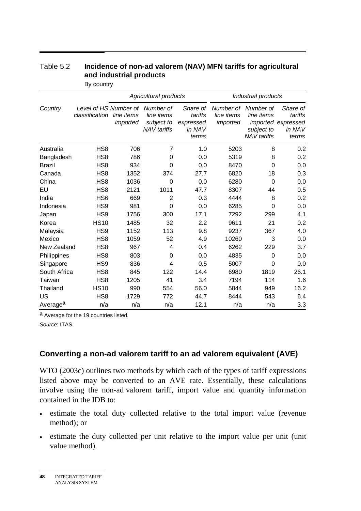|                      |                                         |                        | Agricultural products                                       |                                                     |                                     | Industrial products                                         |                                                              |
|----------------------|-----------------------------------------|------------------------|-------------------------------------------------------------|-----------------------------------------------------|-------------------------------------|-------------------------------------------------------------|--------------------------------------------------------------|
| Country              | Level of HS Number of<br>classification | line items<br>imported | Number of<br>line items<br>subject to<br><b>NAV</b> tariffs | Share of<br>tariffs<br>expressed<br>in NAV<br>terms | Number of<br>line items<br>imported | Number of<br>line items<br>subject to<br><b>NAV</b> tariffs | Share of<br>tariffs<br>imported expressed<br>in NAV<br>terms |
| Australia            | HS <sub>8</sub>                         | 706                    | 7                                                           | 1.0                                                 | 5203                                | 8                                                           | 0.2                                                          |
| Bangladesh           | HS <sub>8</sub>                         | 786                    | $\Omega$                                                    | 0.0                                                 | 5319                                | 8                                                           | 0.2                                                          |
| <b>Brazil</b>        | HS <sub>8</sub>                         | 934                    | $\Omega$                                                    | 0.0                                                 | 8470                                | $\overline{0}$                                              | 0.0                                                          |
| Canada               | HS <sub>8</sub>                         | 1352                   | 374                                                         | 27.7                                                | 6820                                | 18                                                          | 0.3                                                          |
| China                | HS <sub>8</sub>                         | 1036                   | $\Omega$                                                    | 0.0                                                 | 6280                                | 0                                                           | 0.0                                                          |
| EU                   | HS <sub>8</sub>                         | 2121                   | 1011                                                        | 47.7                                                | 8307                                | 44                                                          | 0.5                                                          |
| India                | HS <sub>6</sub>                         | 669                    | $\overline{2}$                                              | 0.3                                                 | 4444                                | 8                                                           | 0.2                                                          |
| Indonesia            | HS9                                     | 981                    | $\overline{0}$                                              | 0.0                                                 | 6285                                | $\Omega$                                                    | 0.0                                                          |
| Japan                | HS <sub>9</sub>                         | 1756                   | 300                                                         | 17.1                                                | 7292                                | 299                                                         | 4.1                                                          |
| Korea                | <b>HS10</b>                             | 1485                   | 32                                                          | 2.2                                                 | 9611                                | 21                                                          | 0.2                                                          |
| Malaysia             | HS9                                     | 1152                   | 113                                                         | 9.8                                                 | 9237                                | 367                                                         | 4.0                                                          |
| Mexico               | HS <sub>8</sub>                         | 1059                   | 52                                                          | 4.9                                                 | 10260                               | 3                                                           | 0.0                                                          |
| New Zealand          | HS <sub>8</sub>                         | 967                    | 4                                                           | 0.4                                                 | 6262                                | 229                                                         | 3.7                                                          |
| Philippines          | HS <sub>8</sub>                         | 803                    | 0                                                           | 0.0                                                 | 4835                                | 0                                                           | 0.0                                                          |
| Singapore            | HS9                                     | 836                    | 4                                                           | 0.5                                                 | 5007                                | $\Omega$                                                    | 0.0                                                          |
| South Africa         | HS <sub>8</sub>                         | 845                    | 122                                                         | 14.4                                                | 6980                                | 1819                                                        | 26.1                                                         |
| Taiwan               | HS <sub>8</sub>                         | 1205                   | 41                                                          | 3.4                                                 | 7194                                | 114                                                         | 1.6                                                          |
| Thailand             | <b>HS10</b>                             | 990                    | 554                                                         | 56.0                                                | 5844                                | 949                                                         | 16.2                                                         |
| US                   | HS <sub>8</sub>                         | 1729                   | 772                                                         | 44.7                                                | 8444                                | 543                                                         | 6.4                                                          |
| Average <sup>a</sup> | n/a                                     | n/a                    | n/a                                                         | 12.1                                                | n/a                                 | n/a                                                         | 3.3                                                          |

# Table 5.2 **Incidence of non-ad valorem (NAV) MFN tariffs for agricultural and industrial products**

By country

**a** Average for the 19 countries listed.

*Source*: ITAS.

### **Converting a non-ad valorem tariff to an ad valorem equivalent (AVE)**

WTO (2003c) outlines two methods by which each of the types of tariff expressions listed above may be converted to an AVE rate. Essentially, these calculations involve using the non-ad valorem tariff, import value and quantity information contained in the IDB to:

- estimate the total duty collected relative to the total import value (revenue method); or
- estimate the duty collected per unit relative to the import value per unit (unit value method).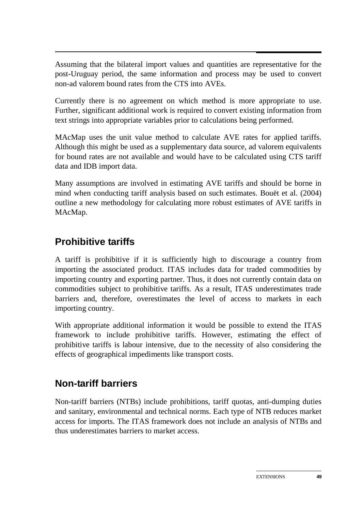Assuming that the bilateral import values and quantities are representative for the post-Uruguay period, the same information and process may be used to convert non-ad valorem bound rates from the CTS into AVEs.

Currently there is no agreement on which method is more appropriate to use. Further, significant additional work is required to convert existing information from text strings into appropriate variables prior to calculations being performed.

MAcMap uses the unit value method to calculate AVE rates for applied tariffs. Although this might be used as a supplementary data source, ad valorem equivalents for bound rates are not available and would have to be calculated using CTS tariff data and IDB import data.

Many assumptions are involved in estimating AVE tariffs and should be borne in mind when conducting tariff analysis based on such estimates. Bouët et al. (2004) outline a new methodology for calculating more robust estimates of AVE tariffs in MAcMap.

# **Prohibitive tariffs**

A tariff is prohibitive if it is sufficiently high to discourage a country from importing the associated product. ITAS includes data for traded commodities by importing country and exporting partner. Thus, it does not currently contain data on commodities subject to prohibitive tariffs. As a result, ITAS underestimates trade barriers and, therefore, overestimates the level of access to markets in each importing country.

With appropriate additional information it would be possible to extend the ITAS framework to include prohibitive tariffs. However, estimating the effect of prohibitive tariffs is labour intensive, due to the necessity of also considering the effects of geographical impediments like transport costs.

# **Non-tariff barriers**

Non-tariff barriers (NTBs) include prohibitions, tariff quotas, anti-dumping duties and sanitary, environmental and technical norms. Each type of NTB reduces market access for imports. The ITAS framework does not include an analysis of NTBs and thus underestimates barriers to market access.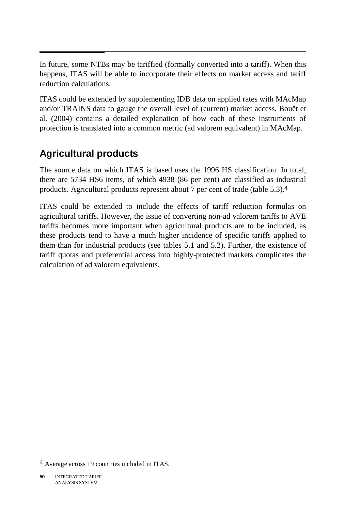$\overline{\phantom{a}}$ In future, some NTBs may be tariffied (formally converted into a tariff). When this happens, ITAS will be able to incorporate their effects on market access and tariff reduction calculations.

ITAS could be extended by supplementing IDB data on applied rates with MAcMap and/or TRAINS data to gauge the overall level of (current) market access. Bouët et al. (2004) contains a detailed explanation of how each of these instruments of protection is translated into a common metric (ad valorem equivalent) in MAcMap.

# **Agricultural products**

The source data on which ITAS is based uses the 1996 HS classification. In total, there are 5734 HS6 items, of which 4938 (86 per cent) are classified as industrial products. Agricultural products represent about 7 per cent of trade (table 5.3).4

ITAS could be extended to include the effects of tariff reduction formulas on agricultural tariffs. However, the issue of converting non-ad valorem tariffs to AVE tariffs becomes more important when agricultural products are to be included, as these products tend to have a much higher incidence of specific tariffs applied to them than for industrial products (see tables 5.1 and 5.2). Further, the existence of tariff quotas and preferential access into highly-protected markets complicates the calculation of ad valorem equivalents.

<sup>4</sup> Average across 19 countries included in ITAS.

**<sup>50</sup>** INTEGRATED TARIFF ANALYSIS SYSTEM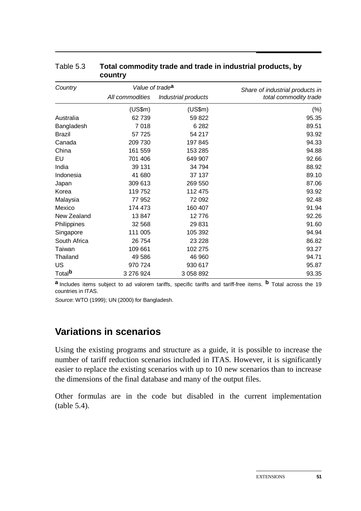| Country            | Value of trade <sup>a</sup> |                     | Share of industrial products in |
|--------------------|-----------------------------|---------------------|---------------------------------|
|                    | All commodities             | Industrial products | total commodity trade           |
|                    | (US\$m)                     | (US\$m)             | $(\%)$                          |
| Australia          | 62739                       | 59 822              | 95.35                           |
| Bangladesh         | 7018                        | 6 2 8 2             | 89.51                           |
| <b>Brazil</b>      | 57 725                      | 54 217              | 93.92                           |
| Canada             | 209 730                     | 197 845             | 94.33                           |
| China              | 161 559                     | 153 285             | 94.88                           |
| EU                 | 701 406                     | 649 907             | 92.66                           |
| India              | 39 131                      | 34 794              | 88.92                           |
| Indonesia          | 41 680                      | 37 137              | 89.10                           |
| Japan              | 309 613                     | 269 550             | 87.06                           |
| Korea              | 119 752                     | 112 475             | 93.92                           |
| Malaysia           | 77 952                      | 72 092              | 92.48                           |
| Mexico             | 174 473                     | 160 407             | 91.94                           |
| New Zealand        | 13847                       | 12776               | 92.26                           |
| Philippines        | 32 568                      | 29 831              | 91.60                           |
| Singapore          | 111 005                     | 105 392             | 94.94                           |
| South Africa       | 26 754                      | 23 2 28             | 86.82                           |
| Taiwan             | 109 661                     | 102 275             | 93.27                           |
| Thailand           | 49 586                      | 46 960              | 94.71                           |
| <b>US</b>          | 970 724                     | 930 617             | 95.87                           |
| Total <sup>b</sup> | 3 276 924                   | 3 058 892           | 93.35                           |

#### Table 5.3 **Total commodity trade and trade in industrial products, by country**

**a** Includes items subject to ad valorem tariffs, specific tariffs and tariff-free items. **b** Total across the 19 countries in ITAS.

*Source*: WTO (1999); UN (2000) for Bangladesh.

# **Variations in scenarios**

Using the existing programs and structure as a guide, it is possible to increase the number of tariff reduction scenarios included in ITAS. However, it is significantly easier to replace the existing scenarios with up to 10 new scenarios than to increase the dimensions of the final database and many of the output files.

Other formulas are in the code but disabled in the current implementation (table 5.4).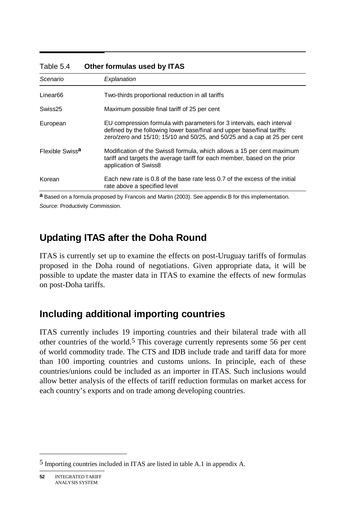| Scenario                    | Explanation                                                                                                                                                                                                                  |
|-----------------------------|------------------------------------------------------------------------------------------------------------------------------------------------------------------------------------------------------------------------------|
| Linear <sub>66</sub>        | Two-thirds proportional reduction in all tariffs                                                                                                                                                                             |
| Swiss25                     | Maximum possible final tariff of 25 per cent                                                                                                                                                                                 |
| European                    | EU compression formula with parameters for 3 intervals, each interval<br>defined by the following lower base/final and upper base/final tariffs:<br>zero/zero and 15/10; 15/10 and 50/25, and 50/25 and a cap at 25 per cent |
| Flexible Swiss <sup>a</sup> | Modification of the Swiss8 formula, which allows a 15 per cent maximum<br>tariff and targets the average tariff for each member, based on the prior<br>application of Swiss8                                                 |
| Korean                      | Each new rate is 0.8 of the base rate less 0.7 of the excess of the initial<br>rate above a specified level                                                                                                                  |

#### Table 5.4 **Other formulas used by ITAS**

**a** Based on a formula proposed by Francois and Martin (2003). See appendix B for this implementation. *Source*: Productivity Commission.

# **Updating ITAS after the Doha Round**

ITAS is currently set up to examine the effects on post-Uruguay tariffs of formulas proposed in the Doha round of negotiations. Given appropriate data, it will be possible to update the master data in ITAS to examine the effects of new formulas on post-Doha tariffs.

# **Including additional importing countries**

ITAS currently includes 19 importing countries and their bilateral trade with all other countries of the world.<sup>5</sup> This coverage currently represents some 56 per cent of world commodity trade. The CTS and IDB include trade and tariff data for more than 100 importing countries and customs unions. In principle, each of these countries/unions could be included as an importer in ITAS. Such inclusions would allow better analysis of the effects of tariff reduction formulas on market access for each country's exports and on trade among developing countries.

<sup>5</sup> Importing countries included in ITAS are listed in table A.1 in appendix A.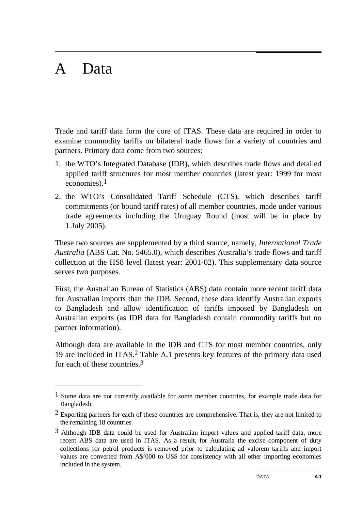# A Data

-

Trade and tariff data form the core of ITAS. These data are required in order to examine commodity tariffs on bilateral trade flows for a variety of countries and partners. Primary data come from two sources:

- 1. the WTO's Integrated Database (IDB), which describes trade flows and detailed applied tariff structures for most member countries (latest year: 1999 for most economies).1
- 2. the WTO's Consolidated Tariff Schedule (CTS), which describes tariff commitments (or bound tariff rates) of all member countries, made under various trade agreements including the Uruguay Round (most will be in place by 1 July 2005).

These two sources are supplemented by a third source, namely, *International Trade Australia* (ABS Cat. No. 5465.0), which describes Australia's trade flows and tariff collection at the HS8 level (latest year: 2001-02). This supplementary data source serves two purposes.

First, the Australian Bureau of Statistics (ABS) data contain more recent tariff data for Australian imports than the IDB. Second, these data identify Australian exports to Bangladesh and allow identification of tariffs imposed by Bangladesh on Australian exports (as IDB data for Bangladesh contain commodity tariffs but no partner information).

Although data are available in the IDB and CTS for most member countries, only 19 are included in ITAS.2 Table A.1 presents key features of the primary data used for each of these countries.3

 $<sup>1</sup>$  Some data are not currently available for some member countries, for example trade data for</sup> Bangladesh.

 $2$  Exporting partners for each of these countries are comprehensive. That is, they are not limited to the remaining 18 countries.

 $3$  Although IDB data could be used for Australian import values and applied tariff data, more recent ABS data are used in ITAS. As a result, for Australia the excise component of duty collections for petrol products is removed prior to calculating ad valorem tariffs and import values are converted from A\$'000 to US\$ for consistency with all other importing economies included in the system.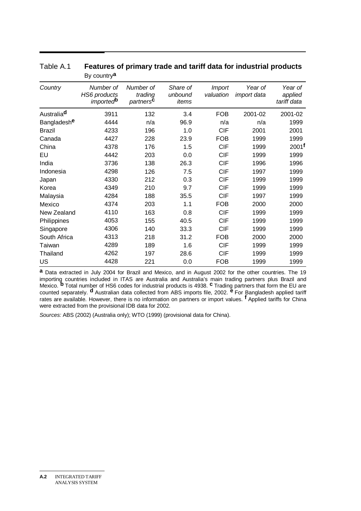|               | Dy country                                                       |                                               |                              |                            |                               |                                   |
|---------------|------------------------------------------------------------------|-----------------------------------------------|------------------------------|----------------------------|-------------------------------|-----------------------------------|
| Country       | Number of<br><b>HS6</b> products<br><i>imported</i> <sup>b</sup> | Number of<br>trading<br>partners <sup>c</sup> | Share of<br>unbound<br>items | <b>Import</b><br>valuation | Year of<br><i>import</i> data | Year of<br>applied<br>tariff data |
| Australiad    | 3911                                                             | 132                                           | 3.4                          | <b>FOB</b>                 | 2001-02                       | 2001-02                           |
| Bangladeshe   | 4444                                                             | n/a                                           | 96.9                         | n/a                        | n/a                           | 1999                              |
| <b>Brazil</b> | 4233                                                             | 196                                           | 1.0                          | <b>CIF</b>                 | 2001                          | 2001                              |
| Canada        | 4427                                                             | 228                                           | 23.9                         | <b>FOB</b>                 | 1999                          | 1999                              |
| China         | 4378                                                             | 176                                           | 1.5                          | <b>CIF</b>                 | 1999                          | 2001 <sup>f</sup>                 |
| EU            | 4442                                                             | 203                                           | 0.0                          | <b>CIF</b>                 | 1999                          | 1999                              |
| India         | 3736                                                             | 138                                           | 26.3                         | <b>CIF</b>                 | 1996                          | 1996                              |
| Indonesia     | 4298                                                             | 126                                           | 7.5                          | <b>CIF</b>                 | 1997                          | 1999                              |
| Japan         | 4330                                                             | 212                                           | 0.3                          | <b>CIF</b>                 | 1999                          | 1999                              |
| Korea         | 4349                                                             | 210                                           | 9.7                          | <b>CIF</b>                 | 1999                          | 1999                              |
| Malaysia      | 4284                                                             | 188                                           | 35.5                         | <b>CIF</b>                 | 1997                          | 1999                              |
| Mexico        | 4374                                                             | 203                                           | 1.1                          | <b>FOB</b>                 | 2000                          | 2000                              |
| New Zealand   | 4110                                                             | 163                                           | 0.8                          | <b>CIF</b>                 | 1999                          | 1999                              |
| Philippines   | 4053                                                             | 155                                           | 40.5                         | <b>CIF</b>                 | 1999                          | 1999                              |
| Singapore     | 4306                                                             | 140                                           | 33.3                         | <b>CIF</b>                 | 1999                          | 1999                              |
| South Africa  | 4313                                                             | 218                                           | 31.2                         | <b>FOB</b>                 | 2000                          | 2000                              |
| Taiwan        | 4289                                                             | 189                                           | 1.6                          | <b>CIF</b>                 | 1999                          | 1999                              |
| Thailand      | 4262                                                             | 197                                           | 28.6                         | <b>CIF</b>                 | 1999                          | 1999                              |
| US            | 4428                                                             | 221                                           | 0.0                          | <b>FOB</b>                 | 1999                          | 1999                              |

#### Table A.1 **Features of primary trade and tariff data for industrial products**  By country**a**

**a** Data extracted in July 2004 for Brazil and Mexico, and in August 2002 for the other countries. The 19 importing countries included in ITAS are Australia and Australia's main trading partners plus Brazil and<br>Mexico. <sup>b</sup> Total number of HS6 codes for industrial products is 4938. <sup>c</sup> Trading partners that form the EU are counted separately. **d** Australian data collected from ABS imports file, 2002. **e** For Bangladesh applied tariff rates are available. However, there is no information on partners or import values. **f** Applied tariffs for China were extracted from the provisional IDB data for 2002.

*Sources:* ABS (2002) (Australia only); WTO (1999) (provisional data for China).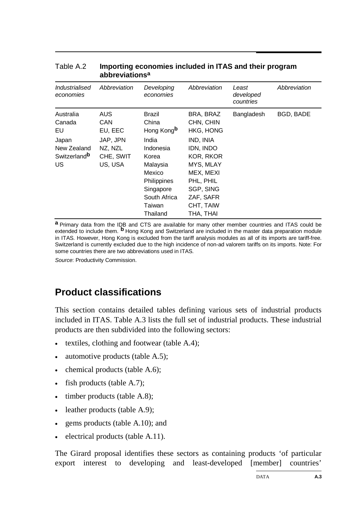| Industrialised<br>economies                                                         | Abbreviation                                                          | Developing<br>economies                                                                                                                       | Abbreviation                                                                                                                                              | Least<br>developed<br>countries | Abbreviation |
|-------------------------------------------------------------------------------------|-----------------------------------------------------------------------|-----------------------------------------------------------------------------------------------------------------------------------------------|-----------------------------------------------------------------------------------------------------------------------------------------------------------|---------------------------------|--------------|
| Australia<br>Canada<br>EU<br>Japan<br>New Zealand<br>Switzerland <sup>b</sup><br>US | AUS<br>CAN.<br>EU, EEC<br>JAP, JPN<br>NZ, NZL<br>CHE, SWIT<br>US, USA | <b>Brazil</b><br>China<br>Hong Kong <b>b</b><br>India<br>Indonesia<br>Korea<br>Malaysia<br>Mexico<br>Philippines<br>Singapore<br>South Africa | BRA, BRAZ<br>CHN, CHIN<br><b>HKG, HONG</b><br>IND, INIA<br>IDN, INDO<br><b>KOR, RKOR</b><br>MYS, MLAY<br>MEX, MEXI<br>PHL, PHIL<br>SGP, SING<br>ZAF, SAFR | Bangladesh                      | BGD, BADE    |
|                                                                                     |                                                                       | Taiwan<br>Thailand                                                                                                                            | CHT, TAIW<br>THA, THAI                                                                                                                                    |                                 |              |

#### Table A.2 **Importing economies included in ITAS and their program abbreviationsa**

**a** Primary data from the IDB and CTS are available for many other member countries and ITAS could be extended to include them. **b** Hong Kong and Switzerland are included in the master data preparation module in ITAS. However, Hong Kong is excluded from the tariff analysis modules as all of its imports are tariff-free. Switzerland is currently excluded due to the high incidence of non-ad valorem tariffs on its imports. Note: For some countries there are two abbreviations used in ITAS.

*Source*: Productivity Commission.

### **Product classifications**

This section contains detailed tables defining various sets of industrial products included in ITAS. Table A.3 lists the full set of industrial products. These industrial products are then subdivided into the following sectors:

- textiles, clothing and footwear (table A.4);
- automotive products (table A.5);
- chemical products (table A.6);
- fish products (table A.7);
- timber products (table A.8);
- leather products (table A.9);
- gems products (table A.10); and
- electrical products (table A.11).

The Girard proposal identifies these sectors as containing products 'of particular export interest to developing and least-developed [member] countries'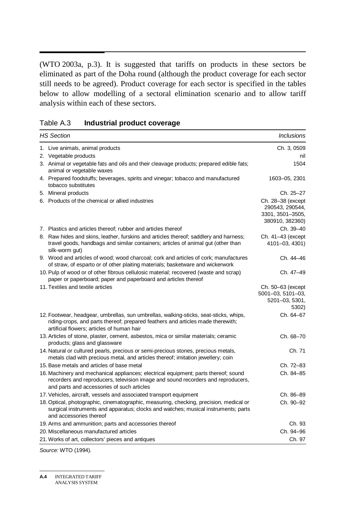$\overline{\phantom{a}}$ (WTO 2003a, p.3). It is suggested that tariffs on products in these sectors be eliminated as part of the Doha round (although the product coverage for each sector still needs to be agreed). Product coverage for each sector is specified in the tables below to allow modelling of a sectoral elimination scenario and to allow tariff analysis within each of these sectors.

| Table A.3 | Industrial product coverage |
|-----------|-----------------------------|
|-----------|-----------------------------|

| <b>HS Section</b>                                                                                                                                                                                                      | <b>Inclusions</b>                                                           |
|------------------------------------------------------------------------------------------------------------------------------------------------------------------------------------------------------------------------|-----------------------------------------------------------------------------|
| 1. Live animals, animal products                                                                                                                                                                                       | Ch. 3, 0509                                                                 |
| 2. Vegetable products                                                                                                                                                                                                  | nil                                                                         |
| 3. Animal or vegetable fats and oils and their cleavage products; prepared edible fats;<br>animal or vegetable waxes                                                                                                   | 1504                                                                        |
| 4. Prepared foodstuffs; beverages, spirits and vinegar; tobacco and manufactured<br>tobacco substitutes                                                                                                                | 1603-05, 2301                                                               |
| 5. Mineral products                                                                                                                                                                                                    | Ch. 25–27                                                                   |
| 6. Products of the chemical or allied industries                                                                                                                                                                       | Ch. 28-38 (except<br>290543, 290544,<br>3301, 3501-3505,<br>380910, 382360) |
| 7. Plastics and articles thereof; rubber and articles thereof                                                                                                                                                          | Ch. 39-40                                                                   |
| 8. Raw hides and skins, leather, furskins and articles thereof; saddlery and harness;<br>travel goods, handbags and similar containers; articles of animal gut (other than<br>silk-worm gut)                           | Ch. 41-43 (except<br>4101-03, 4301)                                         |
| 9. Wood and articles of wood; wood charcoal; cork and articles of cork; manufactures<br>of straw, of esparto or of other plaiting materials; basketware and wickerwork                                                 | Ch. 44-46                                                                   |
| 10. Pulp of wood or of other fibrous cellulosic material; recovered (waste and scrap)<br>paper or paperboard; paper and paperboard and articles thereof                                                                | Ch. 47-49                                                                   |
| 11. Textiles and textile articles                                                                                                                                                                                      | Ch. 50–63 (except<br>5001-03, 5101-03,<br>5201-03, 5301,<br>5302)           |
| 12. Footwear, headgear, umbrellas, sun umbrellas, walking-sticks, seat-sticks, whips,<br>riding-crops, and parts thereof; prepared feathers and articles made therewith;<br>artificial flowers; articles of human hair | Ch. 64-67                                                                   |
| 13. Articles of stone, plaster, cement, asbestos, mica or similar materials; ceramic<br>products; glass and glassware                                                                                                  | Ch. 68-70                                                                   |
| 14. Natural or cultured pearls, precious or semi-precious stones, precious metals,<br>metals clad with precious metal, and articles thereof; imitation jewellery; coin                                                 | Ch. 71                                                                      |
| 15. Base metals and articles of base metal                                                                                                                                                                             | Ch. 72-83                                                                   |
| 16. Machinery and mechanical appliances; electrical equipment; parts thereof; sound<br>recorders and reproducers, television image and sound recorders and reproducers,<br>and parts and accessories of such articles  | Ch. 84-85                                                                   |
| 17. Vehicles, aircraft, vessels and associated transport equipment                                                                                                                                                     | Ch. 86-89                                                                   |
| 18. Optical, photographic, cinematographic, measuring, checking, precision, medical or<br>surgical instruments and apparatus; clocks and watches; musical instruments; parts<br>and accessories thereof                | Ch. 90-92                                                                   |
| 19. Arms and ammunition; parts and accessories thereof                                                                                                                                                                 | Ch. 93                                                                      |
| 20. Miscellaneous manufactured articles                                                                                                                                                                                | Ch. 94-96                                                                   |
| 21. Works of art, collectors' pieces and antiques                                                                                                                                                                      | Ch. 97                                                                      |

*Source:* WTO (1994).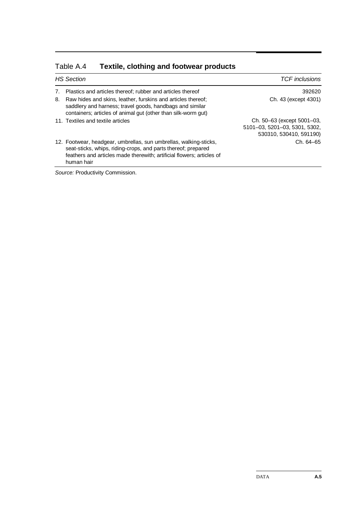|    | <b>HS Section</b>                                                                                                                                                                                                         | <b>TCF</b> inclusions                                                                  |  |
|----|---------------------------------------------------------------------------------------------------------------------------------------------------------------------------------------------------------------------------|----------------------------------------------------------------------------------------|--|
|    | Plastics and articles thereof; rubber and articles thereof                                                                                                                                                                | 392620                                                                                 |  |
| 8. | Raw hides and skins, leather, furskins and articles thereof;<br>saddlery and harness; travel goods, handbags and similar<br>containers; articles of animal gut (other than silk-worm gut)                                 | Ch. 43 (except 4301)                                                                   |  |
|    | 11. Textiles and textile articles                                                                                                                                                                                         | Ch. 50–63 (except 5001–03,<br>5101-03, 5201-03, 5301, 5302,<br>530310, 530410, 591190) |  |
|    | 12. Footwear, headgear, umbrellas, sun umbrellas, walking-sticks,<br>seat-sticks, whips, riding-crops, and parts thereof; prepared<br>feathers and articles made therewith: artificial flowers: articles of<br>human hair | Ch. 64-65                                                                              |  |

#### Table A.4 **Textile, clothing and footwear products**

*Source:* Productivity Commission.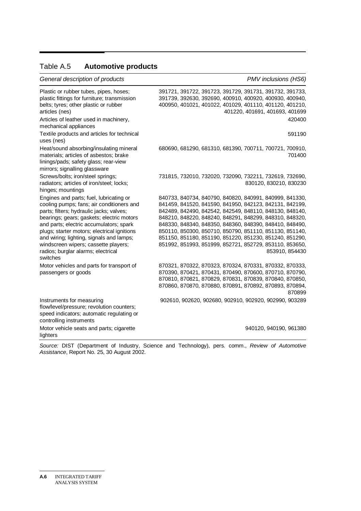#### Table A.5 **Automotive products**

| General description of products | PMV inclusions (HS6) |
|---------------------------------|----------------------|
|---------------------------------|----------------------|

| Plastic or rubber tubes, pipes, hoses;<br>plastic fittings for furniture; transmission<br>belts; tyres; other plastic or rubber<br>articles (nes)<br>Articles of leather used in machinery,<br>mechanical appliances<br>Textile products and articles for technical<br>uses (nes)                                                                                                                             | 391721, 391722, 391723, 391729, 391731, 391732, 391733,<br>391739, 392630, 392690, 400910, 400920, 400930, 400940,<br>400950, 401021, 401022, 401029, 401110, 401120, 401210,<br>401220, 401691, 401693, 401699<br>420400<br>591190                                                                                                                                                                                                                                                                    |  |
|---------------------------------------------------------------------------------------------------------------------------------------------------------------------------------------------------------------------------------------------------------------------------------------------------------------------------------------------------------------------------------------------------------------|--------------------------------------------------------------------------------------------------------------------------------------------------------------------------------------------------------------------------------------------------------------------------------------------------------------------------------------------------------------------------------------------------------------------------------------------------------------------------------------------------------|--|
| Heat/sound absorbing/insulating mineral<br>materials; articles of asbestos; brake<br>linings/pads; safety glass; rear-view<br>mirrors; signalling glassware                                                                                                                                                                                                                                                   | 680690, 681290, 681310, 681390, 700711, 700721, 700910,<br>701400                                                                                                                                                                                                                                                                                                                                                                                                                                      |  |
| Screws/bolts; iron/steel springs;<br>radiators; articles of iron/steel; locks;<br>hinges; mountings                                                                                                                                                                                                                                                                                                           | 731815, 732010, 732020, 732090, 732211, 732619, 732690,<br>830120, 830210, 830230                                                                                                                                                                                                                                                                                                                                                                                                                      |  |
| Engines and parts; fuel, lubricating or<br>cooling pumps; fans; air conditioners and<br>parts; filters; hydraulic jacks; valves;<br>bearings; gears; gaskets; electric motors<br>and parts; electric accumulators; spark<br>plugs; starter motors; electrical ignitions<br>and wiring; lighting, signals and lamps;<br>windscreen wipers; cassette players;<br>radios; burglar alarms; electrical<br>switches | 840733, 840734, 840790, 840820, 840991, 840999, 841330,<br>841459, 841520, 841590, 841950, 842123, 842131, 842199,<br>842489, 842490, 842542, 842549, 848110, 848130, 848140,<br>848210, 848220, 848240, 848291, 848299, 848310, 848320,<br>848330, 848340, 848350, 848360, 848390, 848410, 848490,<br>850110, 850300, 850710, 850790, 851110, 851130, 851140,<br>851150, 851180, 851190, 851220, 851230, 851240, 851290,<br>851992, 851993, 851999, 852721, 852729, 853110, 853650,<br>853910, 854430 |  |
| Motor vehicles and parts for transport of<br>passengers or goods                                                                                                                                                                                                                                                                                                                                              | 870321, 870322, 870323, 870324, 870331, 870332, 870333,<br>870390, 870421, 870431, 870490, 870600, 870710, 870790,<br>870810, 870821, 870829, 870831, 870839, 870840, 870850,<br>870860, 870870, 870880, 870891, 870892, 870893, 870894,<br>870899                                                                                                                                                                                                                                                     |  |
| Instruments for measuring<br>flow/level/pressure; revolution counters;<br>speed indicators; automatic regulating or<br>controlling instruments                                                                                                                                                                                                                                                                | 902610, 902620, 902680, 902910, 902920, 902990, 903289                                                                                                                                                                                                                                                                                                                                                                                                                                                 |  |
| Motor vehicle seats and parts; cigarette<br>lighters                                                                                                                                                                                                                                                                                                                                                          | 940120, 940190, 961380                                                                                                                                                                                                                                                                                                                                                                                                                                                                                 |  |

*Source:* DIST (Department of Industry, Science and Technology), pers. comm., *Review of Automotive Assistance*, Report No. 25, 30 August 2002.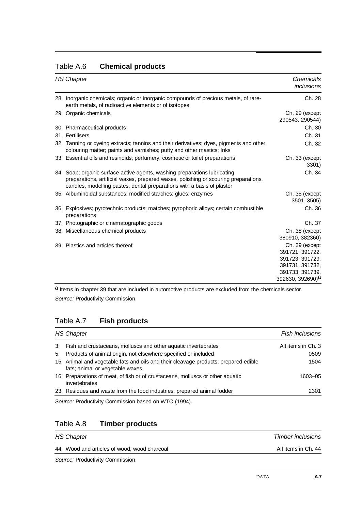| Table A.6 | <b>Chemical products</b> |
|-----------|--------------------------|
|-----------|--------------------------|

| <b>HS Chapter</b>                                                                                                                                                                                                                          | Chemicals<br>inclusions                                                                                                    |
|--------------------------------------------------------------------------------------------------------------------------------------------------------------------------------------------------------------------------------------------|----------------------------------------------------------------------------------------------------------------------------|
| 28. Inorganic chemicals; organic or inorganic compounds of precious metals, of rare-<br>earth metals, of radioactive elements or of isotopes                                                                                               | Ch. 28                                                                                                                     |
| 29. Organic chemicals                                                                                                                                                                                                                      | Ch. 29 (except<br>290543, 290544)                                                                                          |
| 30. Pharmaceutical products                                                                                                                                                                                                                | Ch. 30                                                                                                                     |
| 31. Fertilisers                                                                                                                                                                                                                            | Ch. 31                                                                                                                     |
| 32. Tanning or dyeing extracts; tannins and their derivatives; dyes, pigments and other<br>colouring matter; paints and varnishes; putty and other mastics; lnks                                                                           | Ch. 32                                                                                                                     |
| 33. Essential oils and resinoids; perfumery, cosmetic or toilet preparations                                                                                                                                                               | Ch. 33 (except<br>3301)                                                                                                    |
| 34. Soap; organic surface-active agents, washing preparations lubricating<br>preparations, artificial waxes, prepared waxes, polishing or scouring preparations,<br>candles, modelling pastes, dental preparations with a basis of plaster | Ch. 34                                                                                                                     |
| 35. Albuminoidal substances; modified starches; glues; enzymes                                                                                                                                                                             | Ch. 35 (except<br>$3501 - 3505$                                                                                            |
| 36. Explosives; pyrotechnic products; matches; pyrophoric alloys; certain combustible<br>preparations                                                                                                                                      | Ch. 36                                                                                                                     |
| 37. Photographic or cinematographic goods                                                                                                                                                                                                  | Ch. 37                                                                                                                     |
| 38. Miscellaneous chemical products                                                                                                                                                                                                        | Ch. 38 (except<br>380910, 382360)                                                                                          |
| 39. Plastics and articles thereof                                                                                                                                                                                                          | Ch. 39 (except<br>391721, 391722,<br>391723, 391729,<br>391731, 391732,<br>391733, 391739,<br>392630, 392690) <sup>a</sup> |

**a** Items in chapter 39 that are included in automotive products are excluded from the chemicals sector. *Source:* Productivity Commission.

#### Table A.7 **Fish products**

| <b>HS Chapter</b> |                                                                                                                        | Fish inclusions    |
|-------------------|------------------------------------------------------------------------------------------------------------------------|--------------------|
|                   | 3. Fish and crustaceans, molluscs and other aquatic invertebrates                                                      | All items in Ch. 3 |
| 5.                | Products of animal origin, not elsewhere specified or included                                                         | 0509               |
|                   | 15. Animal and vegetable fats and oils and their cleavage products; prepared edible<br>fats; animal or vegetable waxes | 1504               |
|                   | 16. Preparations of meat, of fish or of crustaceans, molluscs or other aguatic<br>invertebrates                        | 1603-05            |
|                   | 23. Residues and waste from the food industries; prepared animal fodder                                                | 2301               |
|                   | Source: Productivity Commission based on WTO (1994).                                                                   |                    |

*Source:* Productivity Commission based on WTO (1994).

#### Table A.8 **Timber products**

| <b>HS Chapter</b>                            | <b>Timber inclusions</b> |
|----------------------------------------------|--------------------------|
| 44. Wood and articles of wood; wood charcoal | All items in Ch. 44      |
|                                              |                          |

*Source:* Productivity Commission.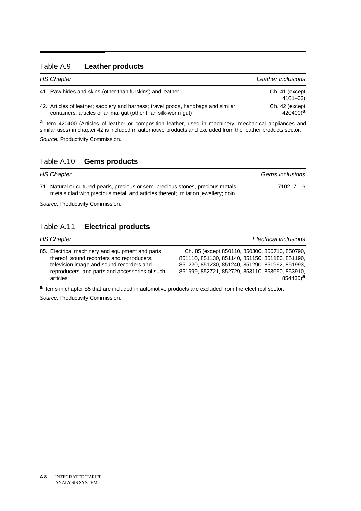#### Table A.9 **Leather products**

| <b>HS Chapter</b> |                                                                                                                                                    | Leather inclusions                     |
|-------------------|----------------------------------------------------------------------------------------------------------------------------------------------------|----------------------------------------|
|                   | 41. Raw hides and skins (other than furskins) and leather                                                                                          | Ch. 41 (except)<br>4101-03)            |
|                   | 42. Articles of leather; saddlery and harness; travel goods, handbags and similar<br>containers; articles of animal gut (other than silk-worm gut) | Ch. 42 (except<br>420400) <sup>a</sup> |

**a** Item 420400 (Articles of leather or composition leather, used in machinery, mechanical appliances and similar uses) in chapter 42 is included in automotive products and excluded from the leather products sector. *Source:* Productivity Commission.

#### Table A.10 **Gems products**

| <b>HS Chapter</b>                                                                                                                                                      | Gems inclusions |  |
|------------------------------------------------------------------------------------------------------------------------------------------------------------------------|-----------------|--|
| 71. Natural or cultured pearls, precious or semi-precious stones, precious metals,<br>metals clad with precious metal, and articles thereof; imitation jewellery; coin | 7102-7116       |  |

*Source:* Productivity Commission.

#### Table A.11 **Electrical products**

| <b>HS Chapter</b>                                                                                                                                                                                       | <b>Electrical inclusions</b>                                                                                                                                                                                                     |
|---------------------------------------------------------------------------------------------------------------------------------------------------------------------------------------------------------|----------------------------------------------------------------------------------------------------------------------------------------------------------------------------------------------------------------------------------|
| 85. Electrical machinery and equipment and parts<br>thereof; sound recorders and reproducers,<br>television image and sound recorders and<br>reproducers, and parts and accessories of such<br>articles | Ch. 85 (except 850110, 850300, 850710, 850790,<br>851110, 851130, 851140, 851150, 851180, 851190,<br>851220, 851230, 851240, 851290, 851992, 851993,<br>851999, 852721, 852729, 853110, 853650, 853910,<br>$854430$ <sup>a</sup> |

**a** Items in chapter 85 that are included in automotive products are excluded from the electrical sector.

*Source:* Productivity Commission.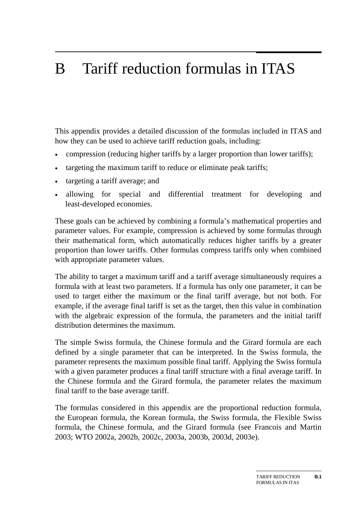# B Tariff reduction formulas in ITAS

This appendix provides a detailed discussion of the formulas included in ITAS and how they can be used to achieve tariff reduction goals, including:

- compression (reducing higher tariffs by a larger proportion than lower tariffs);
- targeting the maximum tariff to reduce or eliminate peak tariffs;
- targeting a tariff average; and
- allowing for special and differential treatment for developing and least-developed economies.

These goals can be achieved by combining a formula's mathematical properties and parameter values. For example, compression is achieved by some formulas through their mathematical form, which automatically reduces higher tariffs by a greater proportion than lower tariffs. Other formulas compress tariffs only when combined with appropriate parameter values.

The ability to target a maximum tariff and a tariff average simultaneously requires a formula with at least two parameters. If a formula has only one parameter, it can be used to target either the maximum or the final tariff average, but not both. For example, if the average final tariff is set as the target, then this value in combination with the algebraic expression of the formula, the parameters and the initial tariff distribution determines the maximum.

The simple Swiss formula, the Chinese formula and the Girard formula are each defined by a single parameter that can be interpreted. In the Swiss formula, the parameter represents the maximum possible final tariff. Applying the Swiss formula with a given parameter produces a final tariff structure with a final average tariff. In the Chinese formula and the Girard formula, the parameter relates the maximum final tariff to the base average tariff.

The formulas considered in this appendix are the proportional reduction formula, the European formula, the Korean formula, the Swiss formula, the Flexible Swiss formula, the Chinese formula, and the Girard formula (see Francois and Martin 2003; WTO 2002a, 2002b, 2002c, 2003a, 2003b, 2003d, 2003e).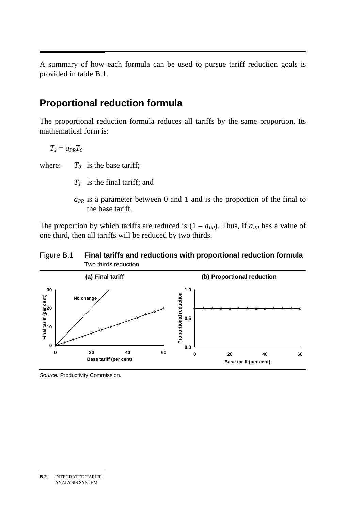A summary of how each formula can be used to pursue tariff reduction goals is provided in table B.1.

### **Proportional reduction formula**

The proportional reduction formula reduces all tariffs by the same proportion. Its mathematical form is:

 $T_1 = a_{PR}T_0$ 

where:  $T_0$  is the base tariff;

- *T1* is the final tariff; and
- $a_{PR}$  is a parameter between 0 and 1 and is the proportion of the final to the base tariff.

The proportion by which tariffs are reduced is  $(1 - a_{PR})$ . Thus, if  $a_{PR}$  has a value of one third, then all tariffs will be reduced by two thirds.

#### Figure B.1 **Final tariffs and reductions with proportional reduction formula**  Two thirds reduction



*Source:* Productivity Commission.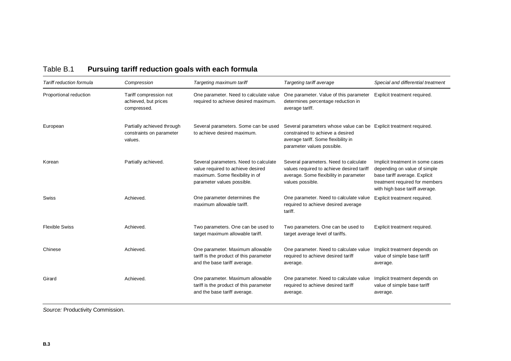| Tariff reduction formula | Compression                                                       | Targeting maximum tariff                                                                                                                    | Targeting tariff average                                                                                                                                                    | Special and differential treatment                                                                                                                                    |
|--------------------------|-------------------------------------------------------------------|---------------------------------------------------------------------------------------------------------------------------------------------|-----------------------------------------------------------------------------------------------------------------------------------------------------------------------------|-----------------------------------------------------------------------------------------------------------------------------------------------------------------------|
| Proportional reduction   | Tariff compression not<br>achieved, but prices<br>compressed.     | One parameter. Need to calculate value<br>required to achieve desired maximum.                                                              | One parameter. Value of this parameter<br>determines percentage reduction in<br>average tariff.                                                                             | Explicit treatment required.                                                                                                                                          |
| European                 | Partially achieved through<br>constraints on parameter<br>values. | Several parameters. Some can be used<br>to achieve desired maximum.                                                                         | Several parameters whose value can be Explicit treatment required.<br>constrained to achieve a desired<br>average tariff. Some flexibility in<br>parameter values possible. |                                                                                                                                                                       |
| Korean                   | Partially achieved.                                               | Several parameters. Need to calculate<br>value required to achieve desired<br>maximum. Some flexibility in of<br>parameter values possible. | Several parameters. Need to calculate<br>values required to achieve desired tariff<br>average. Some flexibility in parameter<br>values possible.                            | Implicit treatment in some cases<br>depending on value of simple<br>base tariff average. Explicit<br>treatment required for members<br>with high base tariff average. |
| Swiss                    | Achieved.                                                         | One parameter determines the<br>maximum allowable tariff.                                                                                   | One parameter. Need to calculate value<br>required to achieve desired average<br>tariff.                                                                                    | Explicit treatment required.                                                                                                                                          |
| <b>Flexible Swiss</b>    | Achieved.                                                         | Two parameters. One can be used to<br>target maximum allowable tariff.                                                                      | Two parameters. One can be used to<br>target average level of tariffs.                                                                                                      | Explicit treatment required.                                                                                                                                          |
| Chinese                  | Achieved.                                                         | One parameter. Maximum allowable<br>tariff is the product of this parameter<br>and the base tariff average.                                 | One parameter. Need to calculate value<br>required to achieve desired tariff<br>average.                                                                                    | Implicit treatment depends on<br>value of simple base tariff<br>average.                                                                                              |
| Girard                   | Achieved.                                                         | One parameter. Maximum allowable<br>tariff is the product of this parameter<br>and the base tariff average.                                 | One parameter. Need to calculate value<br>required to achieve desired tariff<br>average.                                                                                    | Implicit treatment depends on<br>value of simple base tariff<br>average.                                                                                              |

### Table B.1 **Pursuing tariff reduction goals with each formula**

*Source:* Productivity Commission.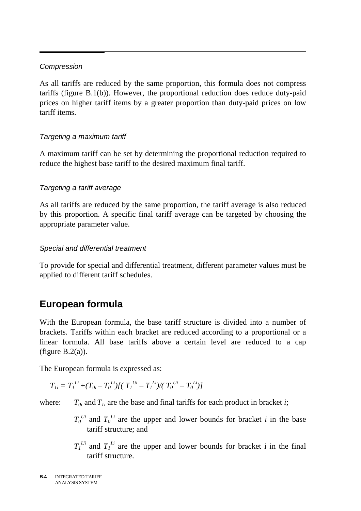#### *Compression*

As all tariffs are reduced by the same proportion, this formula does not compress tariffs (figure B.1(b)). However, the proportional reduction does reduce duty-paid prices on higher tariff items by a greater proportion than duty-paid prices on low tariff items.

#### *Targeting a maximum tariff*

A maximum tariff can be set by determining the proportional reduction required to reduce the highest base tariff to the desired maximum final tariff.

#### *Targeting a tariff average*

As all tariffs are reduced by the same proportion, the tariff average is also reduced by this proportion. A specific final tariff average can be targeted by choosing the appropriate parameter value.

#### *Special and differential treatment*

To provide for special and differential treatment, different parameter values must be applied to different tariff schedules.

## **European formula**

With the European formula, the base tariff structure is divided into a number of brackets. Tariffs within each bracket are reduced according to a proportional or a linear formula. All base tariffs above a certain level are reduced to a cap (figure  $B.2(a)$ ).

The European formula is expressed as:

$$
T_{Ii} = T_I^{Li} + (T_{0i} - T_0^{Li})[(T_I^{Ui} - T_I^{Li})/(T_0^{Ui} - T_0^{Li})]
$$

where:  $T_{0i}$  and  $T_{1i}$  are the base and final tariffs for each product in bracket *i*;

- $T_0$ <sup>*Ui*</sup> and  $T_0$ <sup>*Li*</sup> are the upper and lower bounds for bracket *i* in the base tariff structure; and
- $T_1^{U_i}$  and  $T_1^{L_i}$  are the upper and lower bounds for bracket i in the final tariff structure.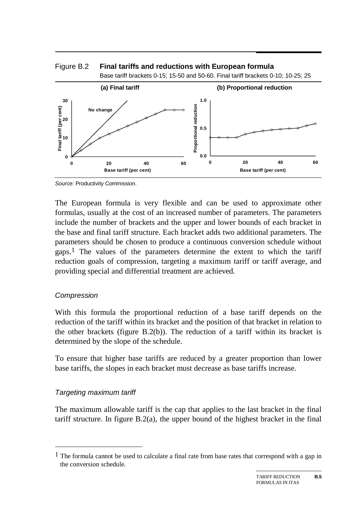

Figure B.2 **Final tariffs and reductions with European formula** 

The European formula is very flexible and can be used to approximate other formulas, usually at the cost of an increased number of parameters. The parameters include the number of brackets and the upper and lower bounds of each bracket in the base and final tariff structure. Each bracket adds two additional parameters. The parameters should be chosen to produce a continuous conversion schedule without gaps.<sup>1</sup> The values of the parameters determine the extent to which the tariff reduction goals of compression, targeting a maximum tariff or tariff average, and providing special and differential treatment are achieved.

#### *Compression*

With this formula the proportional reduction of a base tariff depends on the reduction of the tariff within its bracket and the position of that bracket in relation to the other brackets (figure B.2(b)). The reduction of a tariff within its bracket is determined by the slope of the schedule.

To ensure that higher base tariffs are reduced by a greater proportion than lower base tariffs, the slopes in each bracket must decrease as base tariffs increase.

#### *Targeting maximum tariff*

-

The maximum allowable tariff is the cap that applies to the last bracket in the final tariff structure. In figure B.2(a), the upper bound of the highest bracket in the final

*Source:* Productivity Commission.

<sup>&</sup>lt;sup>1</sup> The formula cannot be used to calculate a final rate from base rates that correspond with a gap in the conversion schedule.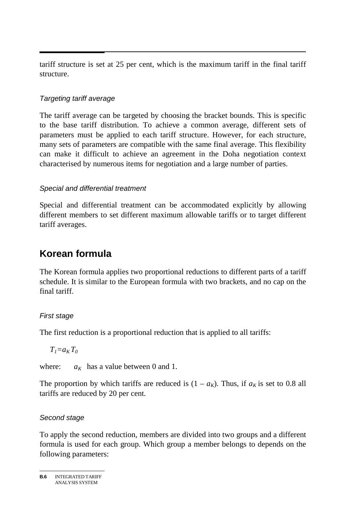tariff structure is set at 25 per cent, which is the maximum tariff in the final tariff structure.

#### *Targeting tariff average*

The tariff average can be targeted by choosing the bracket bounds. This is specific to the base tariff distribution. To achieve a common average, different sets of parameters must be applied to each tariff structure. However, for each structure, many sets of parameters are compatible with the same final average. This flexibility can make it difficult to achieve an agreement in the Doha negotiation context characterised by numerous items for negotiation and a large number of parties.

#### *Special and differential treatment*

Special and differential treatment can be accommodated explicitly by allowing different members to set different maximum allowable tariffs or to target different tariff averages.

### **Korean formula**

The Korean formula applies two proportional reductions to different parts of a tariff schedule. It is similar to the European formula with two brackets, and no cap on the final tariff.

#### *First stage*

The first reduction is a proportional reduction that is applied to all tariffs:

 $T_1=a_K T_0$ 

where:  $a_K$  has a value between 0 and 1.

The proportion by which tariffs are reduced is  $(1 - a_K)$ . Thus, if  $a_K$  is set to 0.8 all tariffs are reduced by 20 per cent.

#### *Second stage*

To apply the second reduction, members are divided into two groups and a different formula is used for each group. Which group a member belongs to depends on the following parameters:

**B.6** INTEGRATED TARIFF ANALYSIS SYSTEM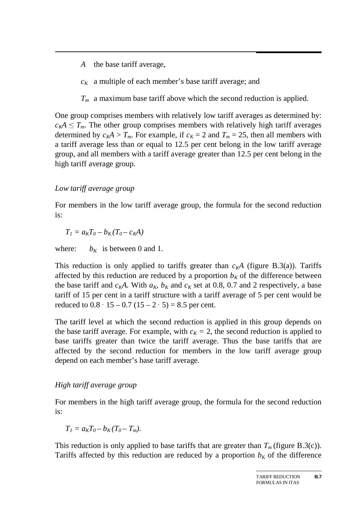- *A* the base tariff average,
- $c_K$  a multiple of each member's base tariff average; and
- *Tm* a maximum base tariff above which the second reduction is applied.

One group comprises members with relatively low tariff averages as determined by:  $c_K A \leq T_m$ . The other group comprises members with relatively high tariff averages determined by  $c_K A > T_m$ . For example, if  $c_K = 2$  and  $T_m = 25$ , then all members with a tariff average less than or equal to 12.5 per cent belong in the low tariff average group, and all members with a tariff average greater than 12.5 per cent belong in the high tariff average group.

#### *Low tariff average group*

For members in the low tariff average group, the formula for the second reduction is:

$$
T_I = a_K T_0 - b_K (T_0 - c_K A)
$$

where:  $b_K$  is between 0 and 1.

This reduction is only applied to tariffs greater than  $c<sub>K</sub>A$  (figure B.3(a)). Tariffs affected by this reduction are reduced by a proportion  $b<sub>K</sub>$  of the difference between the base tariff and  $c_K A$ . With  $a_K$ ,  $b_K$  and  $c_K$  set at 0.8, 0.7 and 2 respectively, a base tariff of 15 per cent in a tariff structure with a tariff average of 5 per cent would be reduced to  $0.8 \cdot 15 - 0.7(15 - 2 \cdot 5) = 8.5$  per cent.

· 15 – 0.7 (15 – 2 · 5) = 8.5 per cent.<br>1 at which the second reduction is a average. For example, with  $c_K = 2$ , then The tariff level at which the second reduction is applied in this group depends on the base tariff average. For example, with  $c_K = 2$ , the second reduction is applied to base tariffs greater than twice the tariff average. Thus the base tariffs that are affected by the second reduction for members in the low tariff average group depend on each member's base tariff average.

#### *High tariff average group*

For members in the high tariff average group, the formula for the second reduction is:

$$
T_I = a_K T_0 - b_K (T_0 - T_m).
$$

This reduction is only applied to base tariffs that are greater than  $T_m$  (figure B.3(c)). Tariffs affected by this reduction are reduced by a proportion  $b_K$  of the difference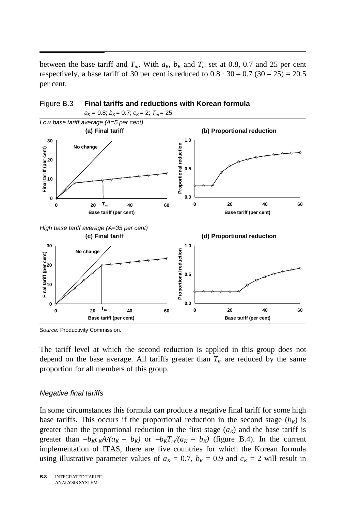$\overline{a}$ between the base tariff and  $T_m$ . With  $a_K$ ,  $b_K$  and  $T_m$  set at 0.8, 0.7 and 25 per cent respectively, a base tariff of 30 per cent is reduced to  $0.8 \cdot 30 - 0.7 (30 - 25) = 20.5$ <br>per cent.<br>Figure B.3 Final tariffs and reductions with Korean formula per cent.



Figure B.3 **Final tariffs and reductions with Korean formula** 

*Source:* Productivity Commission.

The tariff level at which the second reduction is applied in this group does not depend on the base average. All tariffs greater than  $T_m$  are reduced by the same proportion for all members of this group.

#### *Negative final tariffs*

In some circumstances this formula can produce a negative final tariff for some high base tariffs. This occurs if the proportional reduction in the second stage  $(b_K)$  is greater than the proportional reduction in the first stage  $(a<sub>K</sub>)$  and the base tariff is greater than  $-b_Kc_KA/(a_K - b_K)$  or  $-b_KT_m/(a_K - b_K)$  (figure B.4). In the current implementation of ITAS, there are five countries for which the Korean formula using illustrative parameter values of  $a_K = 0.7$ ,  $b_K = 0.9$  and  $c_K = 2$  will result in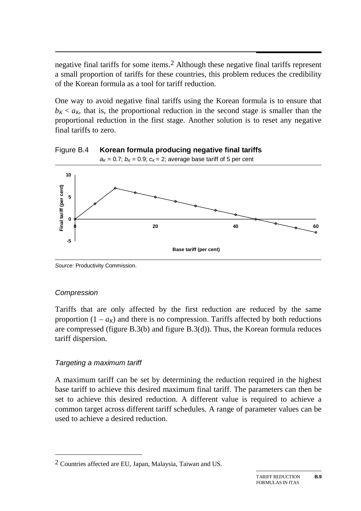negative final tariffs for some items.<sup>2</sup> Although these negative final tariffs represent a small proportion of tariffs for these countries, this problem reduces the credibility of the Korean formula as a tool for tariff reduction.

One way to avoid negative final tariffs using the Korean formula is to ensure that  $b_K < a_K$ , that is, the proportional reduction in the second stage is smaller than the proportional reduction in the first stage. Another solution is to reset any negative final tariffs to zero.

Figure B.4 **Korean formula producing negative final tariffs** 



*Source:* Productivity Commission.

#### *Compression*

-

Tariffs that are only affected by the first reduction are reduced by the same proportion  $(1 - a_K)$  and there is no compression. Tariffs affected by both reductions are compressed (figure B.3(b) and figure B.3(d)). Thus, the Korean formula reduces tariff dispersion.

#### *Targeting a maximum tariff*

A maximum tariff can be set by determining the reduction required in the highest base tariff to achieve this desired maximum final tariff. The parameters can then be set to achieve this desired reduction. A different value is required to achieve a common target across different tariff schedules. A range of parameter values can be used to achieve a desired reduction.

<sup>2</sup> Countries affected are EU, Japan, Malaysia, Taiwan and US.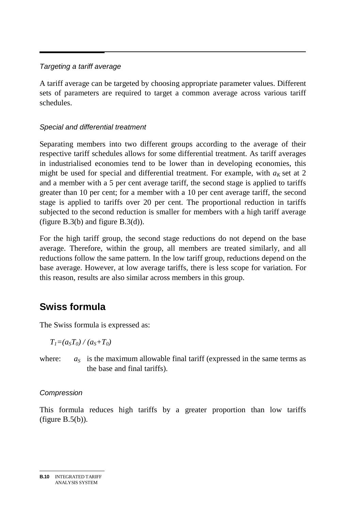#### *Targeting a tariff average*

A tariff average can be targeted by choosing appropriate parameter values. Different sets of parameters are required to target a common average across various tariff schedules.

#### *Special and differential treatment*

Separating members into two different groups according to the average of their respective tariff schedules allows for some differential treatment. As tariff averages in industrialised economies tend to be lower than in developing economies, this might be used for special and differential treatment. For example, with  $a<sub>K</sub>$  set at 2 and a member with a 5 per cent average tariff, the second stage is applied to tariffs greater than 10 per cent; for a member with a 10 per cent average tariff, the second stage is applied to tariffs over 20 per cent. The proportional reduction in tariffs subjected to the second reduction is smaller for members with a high tariff average (figure B.3(b) and figure B.3(d)).

For the high tariff group, the second stage reductions do not depend on the base average. Therefore, within the group, all members are treated similarly, and all reductions follow the same pattern. In the low tariff group, reductions depend on the base average. However, at low average tariffs, there is less scope for variation. For this reason, results are also similar across members in this group.

## **Swiss formula**

The Swiss formula is expressed as:

 $T_1 = (a_s T_0) / (a_s + T_0)$ 

where:  $a_S$  is the maximum allowable final tariff (expressed in the same terms as the base and final tariffs).

#### *Compression*

This formula reduces high tariffs by a greater proportion than low tariffs (figure  $B.5(b)$ ).

**B.10** INTEGRATED TARIFF ANALYSIS SYSTEM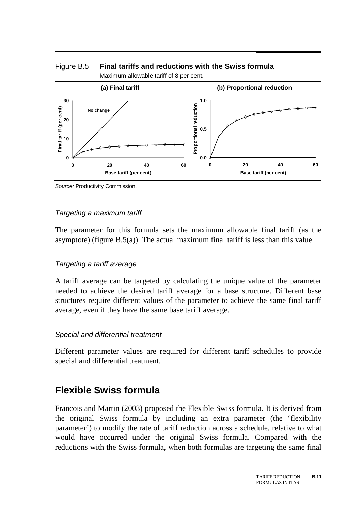

#### Figure B.5 **Final tariffs and reductions with the Swiss formula**  Maximum allowable tariff of 8 per cent.

*Source:* Productivity Commission.

#### *Targeting a maximum tariff*

The parameter for this formula sets the maximum allowable final tariff (as the asymptote) (figure  $B.5(a)$ ). The actual maximum final tariff is less than this value.

#### *Targeting a tariff average*

A tariff average can be targeted by calculating the unique value of the parameter needed to achieve the desired tariff average for a base structure. Different base structures require different values of the parameter to achieve the same final tariff average, even if they have the same base tariff average.

#### *Special and differential treatment*

Different parameter values are required for different tariff schedules to provide special and differential treatment.

### **Flexible Swiss formula**

Francois and Martin (2003) proposed the Flexible Swiss formula. It is derived from the original Swiss formula by including an extra parameter (the 'flexibility parameter') to modify the rate of tariff reduction across a schedule, relative to what would have occurred under the original Swiss formula. Compared with the reductions with the Swiss formula, when both formulas are targeting the same final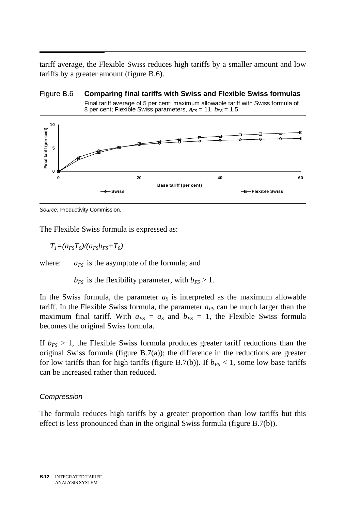tariff average, the Flexible Swiss reduces high tariffs by a smaller amount and low tariffs by a greater amount (figure B.6).



Figure B.6 **Comparing final tariffs with Swiss and Flexible Swiss formulas** 

*Source:* Productivity Commission.

The Flexible Swiss formula is expressed as:

 $T_1 = (a_{FS}T_0)/(a_{FS}b_{FS}+T_0)$ 

where:  $a_{FS}$  is the asymptote of the formula; and

 $b_{FS}$  is the flexibility parameter, with  $b_{FS} \geq 1$ .

In the Swiss formula, the parameter  $a<sub>S</sub>$  is interpreted as the maximum allowable tariff. In the Flexible Swiss formula, the parameter  $a_{FS}$  can be much larger than the maximum final tariff. With  $a_{FS} = a_S$  and  $b_{FS} = 1$ , the Flexible Swiss formula becomes the original Swiss formula.

If  $b_{FS} > 1$ , the Flexible Swiss formula produces greater tariff reductions than the original Swiss formula (figure B.7(a)); the difference in the reductions are greater for low tariffs than for high tariffs (figure B.7(b)). If  $b_{FS}$  < 1, some low base tariffs can be increased rather than reduced.

#### *Compression*

The formula reduces high tariffs by a greater proportion than low tariffs but this effect is less pronounced than in the original Swiss formula (figure B.7(b)).

**B.12** INTEGRATED TARIFF ANALYSIS SYSTEM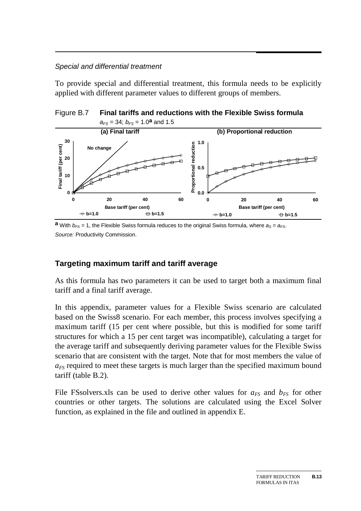#### *Special and differential treatment*

To provide special and differential treatment, this formula needs to be explicitly applied with different parameter values to different groups of members.





**a** With  $b_{FS}$  = 1, the Flexible Swiss formula reduces to the original Swiss formula, where  $a_S = a_{FS}$ . *Source:* Productivity Commission.

#### **Targeting maximum tariff and tariff average**

As this formula has two parameters it can be used to target both a maximum final tariff and a final tariff average.

In this appendix, parameter values for a Flexible Swiss scenario are calculated based on the Swiss8 scenario. For each member, this process involves specifying a maximum tariff (15 per cent where possible, but this is modified for some tariff structures for which a 15 per cent target was incompatible), calculating a target for the average tariff and subsequently deriving parameter values for the Flexible Swiss scenario that are consistent with the target. Note that for most members the value of *aFS* required to meet these targets is much larger than the specified maximum bound tariff (table B.2).

File FSsolvers.xls can be used to derive other values for  $a_{FS}$  and  $b_{FS}$  for other countries or other targets. The solutions are calculated using the Excel Solver function, as explained in the file and outlined in appendix E.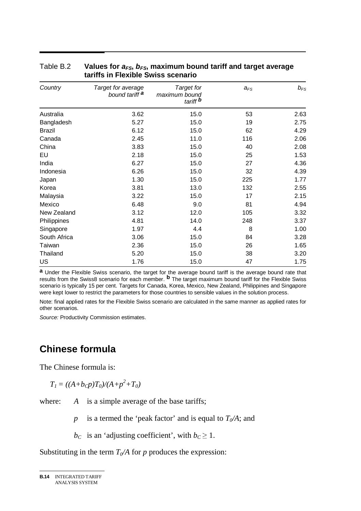| Country       | Target for average<br>bound tariff <sup>a</sup> | <b>Target for</b><br>maximum bound<br>tariff <b>b</b> | $a_{FS}$ | $b_{FS}$ |
|---------------|-------------------------------------------------|-------------------------------------------------------|----------|----------|
| Australia     | 3.62                                            | 15.0                                                  | 53       | 2.63     |
| Bangladesh    | 5.27                                            | 15.0                                                  | 19       | 2.75     |
| <b>Brazil</b> | 6.12                                            | 15.0                                                  | 62       | 4.29     |
| Canada        | 2.45                                            | 11.0                                                  | 116      | 2.06     |
| China         | 3.83                                            | 15.0                                                  | 40       | 2.08     |
| EU            | 2.18                                            | 15.0                                                  | 25       | 1.53     |
| India         | 6.27                                            | 15.0                                                  | 27       | 4.36     |
| Indonesia     | 6.26                                            | 15.0                                                  | 32       | 4.39     |
| Japan         | 1.30                                            | 15.0                                                  | 225      | 1.77     |
| Korea         | 3.81                                            | 13.0                                                  | 132      | 2.55     |
| Malaysia      | 3.22                                            | 15.0                                                  | 17       | 2.15     |
| Mexico        | 6.48                                            | 9.0                                                   | 81       | 4.94     |
| New Zealand   | 3.12                                            | 12.0                                                  | 105      | 3.32     |
| Philippines   | 4.81                                            | 14.0                                                  | 248      | 3.37     |
| Singapore     | 1.97                                            | 4.4                                                   | 8        | 1.00     |
| South Africa  | 3.06                                            | 15.0                                                  | 84       | 3.28     |
| Taiwan        | 2.36                                            | 15.0                                                  | 26       | 1.65     |
| Thailand      | 5.20                                            | 15.0                                                  | 38       | 3.20     |
| <b>US</b>     | 1.76                                            | 15.0                                                  | 47       | 1.75     |

#### Table B.2 Values for  $a_{FS}$ ,  $b_{FS}$ , maximum bound tariff and target average **tariffs in Flexible Swiss scenario**

**a** Under the Flexible Swiss scenario, the target for the average bound tariff is the average bound rate that results from the Swiss8 scenario for each member. **b** The target maximum bound tariff for the Flexible Swiss scenario is typically 15 per cent. Targets for Canada, Korea, Mexico, New Zealand, Philippines and Singapore were kept lower to restrict the parameters for those countries to sensible values in the solution process.

Note: final applied rates for the Flexible Swiss scenario are calculated in the same manner as applied rates for other scenarios.

*Source:* Productivity Commission estimates.

### **Chinese formula**

The Chinese formula is:

$$
T_I = ((A+b_Cp)T_0)/(A+p^2+T_0)
$$

where: *A* is a simple average of the base tariffs;

*p* is a termed the 'peak factor' and is equal to  $T<sub>0</sub>/A$ ; and

 $b<sub>C</sub>$  is an 'adjusting coefficient', with  $b<sub>C</sub> \ge 1$ .

Substituting in the term  $T_0/A$  for p produces the expression: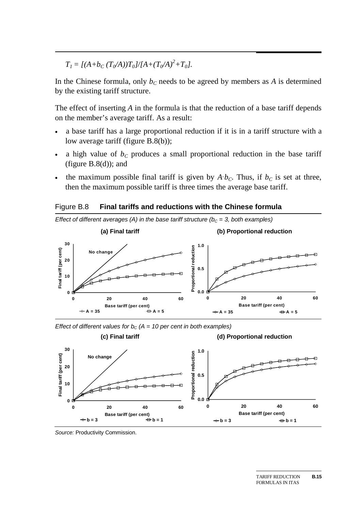$T_I = \frac{\left[ (A + b_C (T_0/A)) T_0 \right]}{A + (T_0/A)^2 + T_0}$ .

In the Chinese formula, only  $b<sub>C</sub>$  needs to be agreed by members as *A* is determined by the existing tariff structure.

The effect of inserting *A* in the formula is that the reduction of a base tariff depends on the member's average tariff. As a result:

- a base tariff has a large proportional reduction if it is in a tariff structure with a low average tariff (figure B.8(b));
- a high value of  $b<sub>C</sub>$  produces a small proportional reduction in the base tariff (figure  $B.8(d)$ ); and
- the maximum possible final tariff is given by  $A \cdot b_C$ . Thus, if  $b_C$  is set at three, then the maximum possible tariff is three times the average base tariff.<br>Figure B.8 **Final tariffs and reductions with the Chinese fo** then the maximum possible tariff is three times the average base tariff.

Figure B.8 **Final tariffs and reductions with the Chinese formula** 



*Effect of different values for b<sub>c</sub> (A = 10 per cent in both examples)* 



*Source:* Productivity Commission.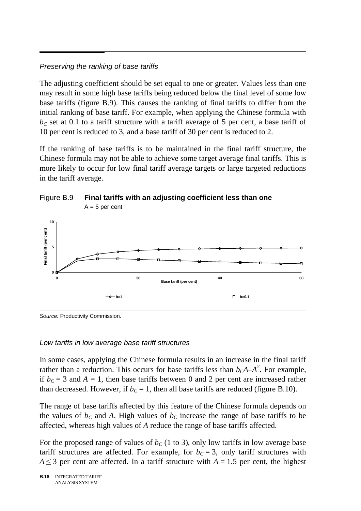#### *Preserving the ranking of base tariffs*

The adjusting coefficient should be set equal to one or greater. Values less than one may result in some high base tariffs being reduced below the final level of some low base tariffs (figure B.9). This causes the ranking of final tariffs to differ from the initial ranking of base tariff. For example, when applying the Chinese formula with  $b<sub>C</sub>$  set at 0.1 to a tariff structure with a tariff average of 5 per cent, a base tariff of 10 per cent is reduced to 3, and a base tariff of 30 per cent is reduced to 2.

If the ranking of base tariffs is to be maintained in the final tariff structure, the Chinese formula may not be able to achieve some target average final tariffs. This is more likely to occur for low final tariff average targets or large targeted reductions in the tariff average.



Figure B.9 **Final tariffs with an adjusting coefficient less than one** 

*Source:* Productivity Commission.

#### *Low tariffs in low average base tariff structures*

In some cases, applying the Chinese formula results in an increase in the final tariff rather than a reduction. This occurs for base tariffs less than  $b_cA-A^2$ . For example, if  $b<sub>C</sub> = 3$  and  $A = 1$ , then base tariffs between 0 and 2 per cent are increased rather than decreased. However, if  $b<sub>C</sub> = 1$ , then all base tariffs are reduced (figure B.10).

The range of base tariffs affected by this feature of the Chinese formula depends on the values of  $b<sub>C</sub>$  and A. High values of  $b<sub>C</sub>$  increase the range of base tariffs to be affected, whereas high values of *A* reduce the range of base tariffs affected.

For the proposed range of values of  $b<sub>C</sub>$  (1 to 3), only low tariffs in low average base tariff structures are affected. For example, for  $b<sub>C</sub> = 3$ , only tariff structures with  $A \leq 3$  per cent are affected. In a tariff structure with  $A = 1.5$  per cent, the highest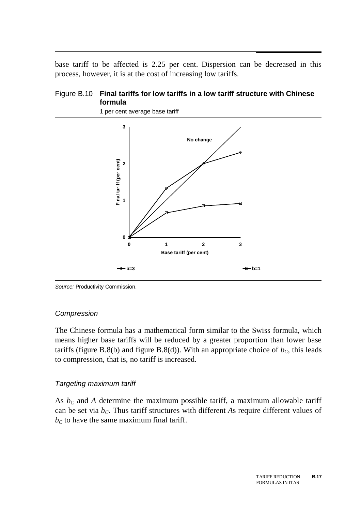$\overline{a}$ base tariff to be affected is 2.25 per cent. Dispersion can be decreased in this process, however, it is at the cost of increasing low tariffs.

#### Figure B.10 **Final tariffs for low tariffs in a low tariff structure with Chinese formula**



1 per cent average base tariff

*Source:* Productivity Commission.

#### *Compression*

The Chinese formula has a mathematical form similar to the Swiss formula, which means higher base tariffs will be reduced by a greater proportion than lower base tariffs (figure B.8(b) and figure B.8(d)). With an appropriate choice of  $b<sub>C</sub>$ , this leads to compression, that is, no tariff is increased.

#### *Targeting maximum tariff*

As  $b<sub>C</sub>$  and A determine the maximum possible tariff, a maximum allowable tariff can be set via  $b<sub>C</sub>$ . Thus tariff structures with different *As* require different values of  $b<sub>C</sub>$  to have the same maximum final tariff.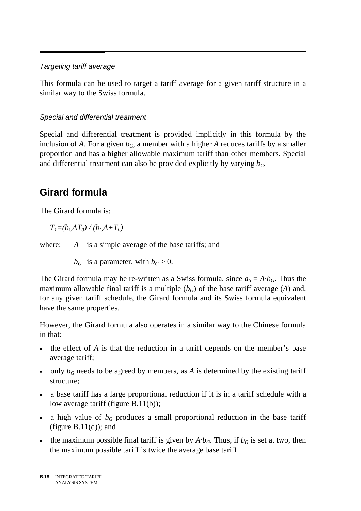#### *Targeting tariff average*

This formula can be used to target a tariff average for a given tariff structure in a similar way to the Swiss formula.

#### *Special and differential treatment*

Special and differential treatment is provided implicitly in this formula by the inclusion of *A*. For a given  $b<sub>C</sub>$ , a member with a higher *A* reduces tariffs by a smaller proportion and has a higher allowable maximum tariff than other members. Special and differential treatment can also be provided explicitly by varying  $b<sub>C</sub>$ .

### **Girard formula**

The Girard formula is:

 $T_1=(b_GAT_0)/(b_GA+T_0)$ 

where: *A* is a simple average of the base tariffs; and

 $b_G$  is a parameter, with  $b_G > 0$ .

The Girard formula may be re-written as a Swiss formula, since  $a_S = A b_G$ . Thus the  $\cdot b_G$ . Thus the rage (*A*) and, la equivalent maximum allowable final tariff is a multiple  $(b_G)$  of the base tariff average (A) and, for any given tariff schedule, the Girard formula and its Swiss formula equivalent have the same properties.

However, the Girard formula also operates in a similar way to the Chinese formula in that:

- the effect of *A* is that the reduction in a tariff depends on the member's base average tariff;
- only  $b_G$  needs to be agreed by members, as  $A$  is determined by the existing tariff structure;
- a base tariff has a large proportional reduction if it is in a tariff schedule with a low average tariff (figure B.11(b));
- a high value of  $b_G$  produces a small proportional reduction in the base tariff (figure  $B.11(d)$ ); and
- the maximum possible final tariff is given by  $A \cdot b_G$ . Thus, if  $b_G$  is set at two, then the maximum possible tariff is twice the average base tariff. the maximum possible tariff is twice the average base tariff.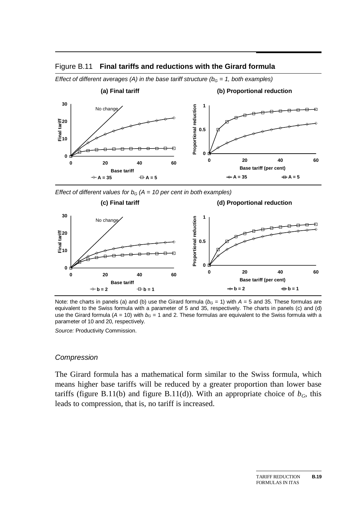



*Effect of different averages (A) in the base tariff structure (* $b<sub>G</sub> = 1$ *, both examples)* 

*Effect of different values for*  $b_G$  *(A = 10 per cent in both examples)* 



Note: the charts in panels (a) and (b) use the Girard formula ( $b<sub>G</sub> = 1$ ) with  $A = 5$  and 35. These formulas are equivalent to the Swiss formula with a parameter of 5 and 35, respectively. The charts in panels (c) and (d) use the Girard formula ( $A = 10$ ) with  $b<sub>G</sub> = 1$  and 2. These formulas are equivalent to the Swiss formula with a parameter of 10 and 20, respectively.

*Source:* Productivity Commission.

#### *Compression*

The Girard formula has a mathematical form similar to the Swiss formula, which means higher base tariffs will be reduced by a greater proportion than lower base tariffs (figure B.11(b) and figure B.11(d)). With an appropriate choice of  $b_G$ , this leads to compression, that is, no tariff is increased.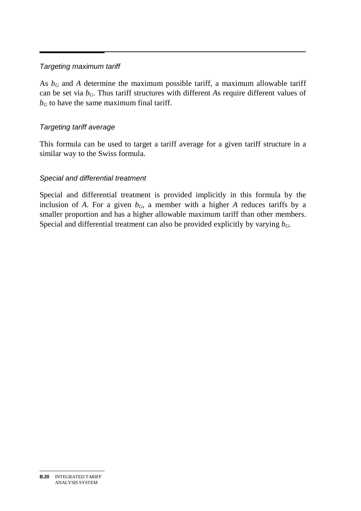#### *Targeting maximum tariff*

As  $b_G$  and *A* determine the maximum possible tariff, a maximum allowable tariff can be set via *bG*. Thus tariff structures with different *A*s require different values of  $b<sub>G</sub>$  to have the same maximum final tariff.

#### *Targeting tariff average*

This formula can be used to target a tariff average for a given tariff structure in a similar way to the Swiss formula.

#### *Special and differential treatment*

Special and differential treatment is provided implicitly in this formula by the inclusion of *A*. For a given  $b_G$ , a member with a higher *A* reduces tariffs by a smaller proportion and has a higher allowable maximum tariff than other members. Special and differential treatment can also be provided explicitly by varying  $b_G$ .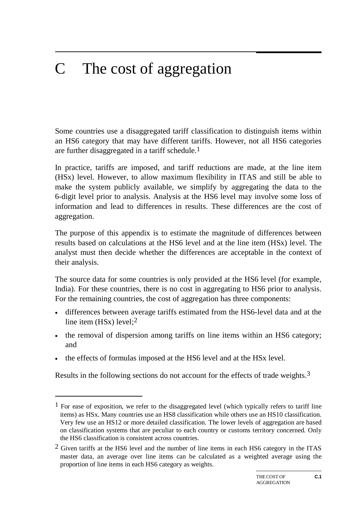#### $\overline{C}$ The cost of aggregation

Some countries use a disaggregated tariff classification to distinguish items within an HS6 category that may have different tariffs. However, not all HS6 categories are further disaggregated in a tariff schedule.<sup>1</sup>

In practice, tariffs are imposed, and tariff reductions are made, at the line item (HSx) level. However, to allow maximum flexibility in ITAS and still be able to make the system publicly available, we simplify by aggregating the data to the 6-digit level prior to analysis. Analysis at the HS6 level may involve some loss of information and lead to differences in results. These differences are the cost of aggregation.

The purpose of this appendix is to estimate the magnitude of differences between results based on calculations at the HS6 level and at the line item (HSx) level. The analyst must then decide whether the differences are acceptable in the context of their analysis.

The source data for some countries is only provided at the HS6 level (for example, India). For these countries, there is no cost in aggregating to HS6 prior to analysis. For the remaining countries, the cost of aggregation has three components:

- differences between average tariffs estimated from the HS6-level data and at the line item (HSx) level;<sup>2</sup>
- the removal of dispersion among tariffs on line items within an HS6 category; and
- the effects of formulas imposed at the HS6 level and at the HSx level.

-

Results in the following sections do not account for the effects of trade weights.3

 $<sup>1</sup>$  For ease of exposition, we refer to the disaggregated level (which typically refers to tariff line</sup> items) as HSx. Many countries use an HS8 classification while others use an HS10 classification. Very few use an HS12 or more detailed classification. The lower levels of aggregation are based on classification systems that are peculiar to each country or customs territory concerned. Only the HS6 classification is consistent across countries.

 $2$  Given tariffs at the HS6 level and the number of line items in each HS6 category in the ITAS master data, an average over line items can be calculated as a weighted average using the proportion of line items in each HS6 category as weights.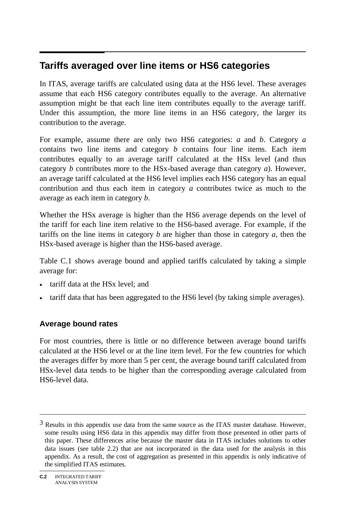#### $\overline{a}$ **Tariffs averaged over line items or HS6 categories**

In ITAS, average tariffs are calculated using data at the HS6 level. These averages assume that each HS6 category contributes equally to the average. An alternative assumption might be that each line item contributes equally to the average tariff. Under this assumption, the more line items in an HS6 category, the larger its contribution to the average.

For example, assume there are only two HS6 categories: *a* and *b*. Category *a* contains two line items and category *b* contains four line items. Each item contributes equally to an average tariff calculated at the HSx level (and thus category *b* contributes more to the HSx-based average than category *a*). However, an average tariff calculated at the HS6 level implies each HS6 category has an equal contribution and thus each item in category *a* contributes twice as much to the average as each item in category *b*.

Whether the HSx average is higher than the HS6 average depends on the level of the tariff for each line item relative to the HS6-based average. For example, if the tariffs on the line items in category *b* are higher than those in category *a*, then the HSx-based average is higher than the HS6-based average.

Table C.1 shows average bound and applied tariffs calculated by taking a simple average for:

- tariff data at the HS<sub>x</sub> level: and
- tariff data that has been aggregated to the HS6 level (by taking simple averages).

#### **Average bound rates**

For most countries, there is little or no difference between average bound tariffs calculated at the HS6 level or at the line item level. For the few countries for which the averages differ by more than 5 per cent, the average bound tariff calculated from HSx-level data tends to be higher than the corresponding average calculated from HS6-level data.

 $\overline{a}$ 

 $3$  Results in this appendix use data from the same source as the ITAS master database. However, some results using HS6 data in this appendix may differ from those presented in other parts of this paper. These differences arise because the master data in ITAS includes solutions to other data issues (see table 2.2) that are not incorporated in the data used for the analysis in this appendix. As a result, the cost of aggregation as presented in this appendix is only indicative of the simplified ITAS estimates.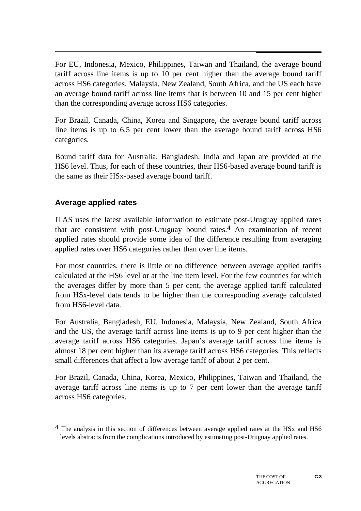$\overline{a}$ For EU, Indonesia, Mexico, Philippines, Taiwan and Thailand, the average bound tariff across line items is up to 10 per cent higher than the average bound tariff across HS6 categories. Malaysia, New Zealand, South Africa, and the US each have an average bound tariff across line items that is between 10 and 15 per cent higher than the corresponding average across HS6 categories.

For Brazil, Canada, China, Korea and Singapore, the average bound tariff across line items is up to 6.5 per cent lower than the average bound tariff across HS6 categories.

Bound tariff data for Australia, Bangladesh, India and Japan are provided at the HS6 level. Thus, for each of these countries, their HS6-based average bound tariff is the same as their HSx-based average bound tariff.

### **Average applied rates**

-

ITAS uses the latest available information to estimate post-Uruguay applied rates that are consistent with post-Uruguay bound rates.4 An examination of recent applied rates should provide some idea of the difference resulting from averaging applied rates over HS6 categories rather than over line items.

For most countries, there is little or no difference between average applied tariffs calculated at the HS6 level or at the line item level. For the few countries for which the averages differ by more than 5 per cent, the average applied tariff calculated from HSx-level data tends to be higher than the corresponding average calculated from HS6-level data.

For Australia, Bangladesh, EU, Indonesia, Malaysia, New Zealand, South Africa and the US, the average tariff across line items is up to 9 per cent higher than the average tariff across HS6 categories. Japan's average tariff across line items is almost 18 per cent higher than its average tariff across HS6 categories. This reflects small differences that affect a low average tariff of about 2 per cent.

For Brazil, Canada, China, Korea, Mexico, Philippines, Taiwan and Thailand, the average tariff across line items is up to 7 per cent lower than the average tariff across HS6 categories.

<sup>&</sup>lt;sup>4</sup> The analysis in this section of differences between average applied rates at the HSx and HS6 levels abstracts from the complications introduced by estimating post-Uruguay applied rates.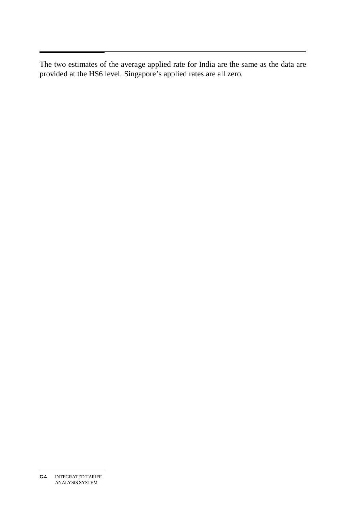$\overline{a}$ The two estimates of the average applied rate for India are the same as the data are provided at the HS6 level. Singapore's applied rates are all zero.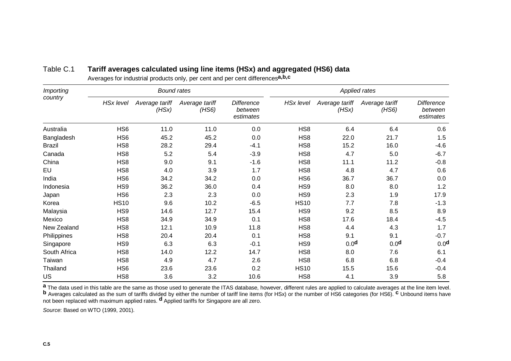| <b>Importing</b> | <b>Bound rates</b> |                         |                         |                                           | <b>Applied rates</b> |                         |                         |                                    |
|------------------|--------------------|-------------------------|-------------------------|-------------------------------------------|----------------------|-------------------------|-------------------------|------------------------------------|
| country          | <b>HSx level</b>   | Average tariff<br>(HSx) | Average tariff<br>(HS6) | <b>Difference</b><br>between<br>estimates | <b>HSx level</b>     | Average tariff<br>(HSx) | Average tariff<br>(HS6) | Difference<br>between<br>estimates |
| Australia        | HS <sub>6</sub>    | 11.0                    | 11.0                    | 0.0                                       | HS8                  | 6.4                     | 6.4                     | 0.6                                |
| Bangladesh       | HS <sub>6</sub>    | 45.2                    | 45.2                    | 0.0                                       | HS <sub>8</sub>      | 22.0                    | 21.7                    | 1.5                                |
| <b>Brazil</b>    | HS <sub>8</sub>    | 28.2                    | 29.4                    | $-4.1$                                    | HS8                  | 15.2                    | 16.0                    | $-4.6$                             |
| Canada           | HS <sub>8</sub>    | 5.2                     | 5.4                     | $-3.9$                                    | HS <sub>8</sub>      | 4.7                     | 5.0                     | $-6.7$                             |
| China            | HS <sub>8</sub>    | 9.0                     | 9.1                     | $-1.6$                                    | HS <sub>8</sub>      | 11.1                    | 11.2                    | $-0.8$                             |
| EU               | HS <sub>8</sub>    | 4.0                     | 3.9                     | 1.7                                       | HS8                  | 4.8                     | 4.7                     | 0.6                                |
| India            | HS <sub>6</sub>    | 34.2                    | 34.2                    | 0.0                                       | HS <sub>6</sub>      | 36.7                    | 36.7                    | 0.0                                |
| Indonesia        | HS <sub>9</sub>    | 36.2                    | 36.0                    | 0.4                                       | HS <sub>9</sub>      | 8.0                     | 8.0                     | 1.2                                |
| Japan            | HS <sub>6</sub>    | 2.3                     | 2.3                     | 0.0                                       | HS9                  | 2.3                     | 1.9                     | 17.9                               |
| Korea            | <b>HS10</b>        | 9.6                     | 10.2                    | $-6.5$                                    | <b>HS10</b>          | 7.7                     | 7.8                     | $-1.3$                             |
| Malaysia         | HS <sub>9</sub>    | 14.6                    | 12.7                    | 15.4                                      | HS9                  | 9.2                     | 8.5                     | 8.9                                |
| Mexico           | HS <sub>8</sub>    | 34.9                    | 34.9                    | 0.1                                       | HS <sub>8</sub>      | 17.6                    | 18.4                    | $-4.5$                             |
| New Zealand      | HS <sub>8</sub>    | 12.1                    | 10.9                    | 11.8                                      | HS <sub>8</sub>      | 4.4                     | 4.3                     | 1.7                                |
| Philippines      | HS <sub>8</sub>    | 20.4                    | 20.4                    | 0.1                                       | HS <sub>8</sub>      | 9.1                     | 9.1                     | $-0.7$                             |
| Singapore        | HS <sub>9</sub>    | 6.3                     | 6.3                     | $-0.1$                                    | HS9                  | 0.0 <sup>d</sup>        | 0.0 <sup>d</sup>        | 0.0 <sup>d</sup>                   |
| South Africa     | HS <sub>8</sub>    | 14.0                    | 12.2                    | 14.7                                      | HS <sub>8</sub>      | 8.0                     | 7.6                     | 6.1                                |
| Taiwan           | HS <sub>8</sub>    | 4.9                     | 4.7                     | 2.6                                       | HS <sub>8</sub>      | 6.8                     | 6.8                     | $-0.4$                             |
| Thailand         | HS <sub>6</sub>    | 23.6                    | 23.6                    | 0.2                                       | <b>HS10</b>          | 15.5                    | 15.6                    | $-0.4$                             |
| <b>US</b>        | HS <sub>8</sub>    | 3.6                     | 3.2                     | 10.6                                      | HS <sub>8</sub>      | 4.1                     | 3.9                     | 5.8                                |

#### Table C.1 **Tariff averages calculated using line items (HSx) and aggregated (HS6) data**

Averages for industrial products only, per cent and per cent differences**a,b,c**

**a** The data used in this table are the same as those used to generate the ITAS database, however, different rules are applied to calculate averages at the line item level.<br>**b** Averages calculated as the sum of tariffs div not been replaced with maximum applied rates. **d** Applied tariffs for Singapore are all zero.

*Source*: Based on WTO (1999, 2001).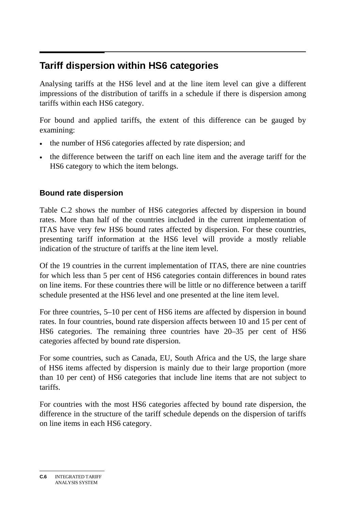#### $\overline{a}$ **Tariff dispersion within HS6 categories**

Analysing tariffs at the HS6 level and at the line item level can give a different impressions of the distribution of tariffs in a schedule if there is dispersion among tariffs within each HS6 category.

For bound and applied tariffs, the extent of this difference can be gauged by examining:

- the number of HS6 categories affected by rate dispersion; and
- the difference between the tariff on each line item and the average tariff for the HS6 category to which the item belongs.

#### **Bound rate dispersion**

Table C.2 shows the number of HS6 categories affected by dispersion in bound rates. More than half of the countries included in the current implementation of ITAS have very few HS6 bound rates affected by dispersion. For these countries, presenting tariff information at the HS6 level will provide a mostly reliable indication of the structure of tariffs at the line item level.

Of the 19 countries in the current implementation of ITAS, there are nine countries for which less than 5 per cent of HS6 categories contain differences in bound rates on line items. For these countries there will be little or no difference between a tariff schedule presented at the HS6 level and one presented at the line item level.

For three countries, 5–10 per cent of HS6 items are affected by dispersion in bound rates. In four countries, bound rate dispersion affects between 10 and 15 per cent of HS6 categories. The remaining three countries have 20–35 per cent of HS6 categories affected by bound rate dispersion.

For some countries, such as Canada, EU, South Africa and the US, the large share of HS6 items affected by dispersion is mainly due to their large proportion (more than 10 per cent) of HS6 categories that include line items that are not subject to tariffs.

For countries with the most HS6 categories affected by bound rate dispersion, the difference in the structure of the tariff schedule depends on the dispersion of tariffs on line items in each HS6 category.

**C.6** INTEGRATED TARIFF ANALYSIS SYSTEM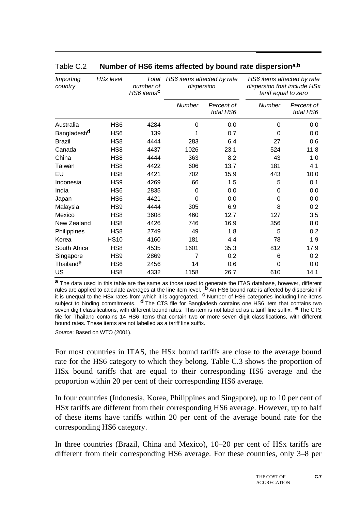| <b>Importing</b><br>country | <b>HSx level</b> | Total<br>number of<br>HS6 items <sup>c</sup> | HS6 items affected by rate<br>dispersion |                         | HS6 items affected by rate<br>dispersion that include HSx<br>tariff equal to zero |                         |
|-----------------------------|------------------|----------------------------------------------|------------------------------------------|-------------------------|-----------------------------------------------------------------------------------|-------------------------|
|                             |                  |                                              | Number                                   | Percent of<br>total HS6 | <b>Number</b>                                                                     | Percent of<br>total HS6 |
| Australia                   | HS <sub>6</sub>  | 4284                                         | $\Omega$                                 | 0.0                     | 0                                                                                 | 0.0                     |
| Bangladesh <sup>d</sup>     | HS <sub>6</sub>  | 139                                          |                                          | 0.7                     | $\Omega$                                                                          | 0.0                     |
| <b>Brazil</b>               | HS <sub>8</sub>  | 4444                                         | 283                                      | 6.4                     | 27                                                                                | 0.6                     |
| Canada                      | HS <sub>8</sub>  | 4437                                         | 1026                                     | 23.1                    | 524                                                                               | 11.8                    |
| China                       | HS <sub>8</sub>  | 4444                                         | 363                                      | 8.2                     | 43                                                                                | 1.0                     |
| Taiwan                      | HS <sub>8</sub>  | 4422                                         | 606                                      | 13.7                    | 181                                                                               | 4.1                     |
| EU                          | HS <sub>8</sub>  | 4421                                         | 702                                      | 15.9                    | 443                                                                               | 10.0                    |
| Indonesia                   | HS <sub>9</sub>  | 4269                                         | 66                                       | 1.5                     | 5                                                                                 | 0.1                     |
| India                       | HS <sub>6</sub>  | 2835                                         | $\Omega$                                 | 0.0                     | 0                                                                                 | 0.0                     |
| Japan                       | HS <sub>6</sub>  | 4421                                         | 0                                        | 0.0                     | 0                                                                                 | 0.0                     |
| Malaysia                    | HS <sub>9</sub>  | 4444                                         | 305                                      | 6.9                     | 8                                                                                 | 0.2                     |
| Mexico                      | HS <sub>8</sub>  | 3608                                         | 460                                      | 12.7                    | 127                                                                               | 3.5                     |
| New Zealand                 | HS <sub>8</sub>  | 4426                                         | 746                                      | 16.9                    | 356                                                                               | 8.0                     |
| Philippines                 | HS <sub>8</sub>  | 2749                                         | 49                                       | 1.8                     | 5                                                                                 | 0.2                     |
| Korea                       | <b>HS10</b>      | 4160                                         | 181                                      | 4.4                     | 78                                                                                | 1.9                     |
| South Africa                | HS <sub>8</sub>  | 4535                                         | 1601                                     | 35.3                    | 812                                                                               | 17.9                    |
| Singapore                   | HS <sub>9</sub>  | 2869                                         | 7                                        | 0.2                     | 6                                                                                 | 0.2                     |
| Thailand <sup>e</sup>       | HS <sub>6</sub>  | 2456                                         | 14                                       | 0.6                     | 0                                                                                 | 0.0                     |
| US                          | HS <sub>8</sub>  | 4332                                         | 1158                                     | 26.7                    | 610                                                                               | 14.1                    |

#### Table C.2 **Number of HS6 items affected by bound rate dispersiona,b**

**a** The data used in this table are the same as those used to generate the ITAS database, however, different rules are applied to calculate averages at the line item level. **b** An HS6 bound rate is affected by dispersion if it is unequal to the HSx rates from which it is aggregated. **c** Number of HS6 categories including line items subject to binding commitments. **d** The CTS file for Bangladesh contains one HS6 item that contains two seven digit classifications, with different bound rates. This item is not labelled as a tariff line suffix. **e** The CTS file for Thailand contains 14 HS6 items that contain two or more seven digit classifications, with different bound rates. These items are not labelled as a tariff line suffix.

*Source*: Based on WTO (2001).

For most countries in ITAS, the HSx bound tariffs are close to the average bound rate for the HS6 category to which they belong. Table C.3 shows the proportion of HSx bound tariffs that are equal to their corresponding HS6 average and the proportion within 20 per cent of their corresponding HS6 average.

In four countries (Indonesia, Korea, Philippines and Singapore), up to 10 per cent of HSx tariffs are different from their corresponding HS6 average. However, up to half of these items have tariffs within 20 per cent of the average bound rate for the corresponding HS6 category.

In three countries (Brazil, China and Mexico), 10–20 per cent of HSx tariffs are different from their corresponding HS6 average. For these countries, only 3–8 per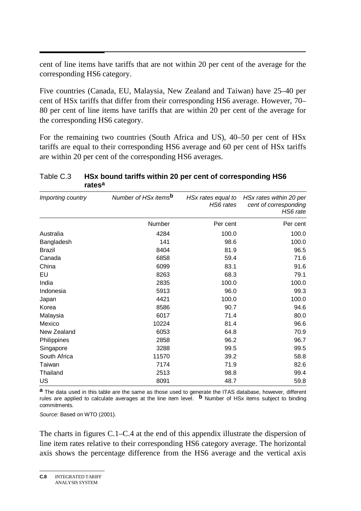cent of line items have tariffs that are not within 20 per cent of the average for the corresponding HS6 category.

Five countries (Canada, EU, Malaysia, New Zealand and Taiwan) have 25–40 per cent of HSx tariffs that differ from their corresponding HS6 average. However, 70– 80 per cent of line items have tariffs that are within 20 per cent of the average for the corresponding HS6 category.

For the remaining two countries (South Africa and US), 40–50 per cent of HSx tariffs are equal to their corresponding HS6 average and 60 per cent of HSx tariffs are within 20 per cent of the corresponding HS6 averages.

| Importing country | Number of HSx items <sup>b</sup> | HSx rates equal to<br>HS6 rates | HSx rates within 20 per<br>cent of corresponding<br>HS6 rate |  |
|-------------------|----------------------------------|---------------------------------|--------------------------------------------------------------|--|
|                   | Number                           | Per cent                        | Per cent                                                     |  |
| Australia         | 4284                             | 100.0                           | 100.0                                                        |  |
| Bangladesh        | 141                              | 98.6                            | 100.0                                                        |  |
| Brazil            | 8404                             | 81.9                            | 96.5                                                         |  |
| Canada            | 6858                             | 59.4                            | 71.6                                                         |  |
| China             | 6099                             | 83.1                            | 91.6                                                         |  |
| EU                | 8263                             | 68.3                            | 79.1                                                         |  |
| India             | 2835                             | 100.0                           | 100.0                                                        |  |
| Indonesia         | 5913                             | 96.0                            | 99.3                                                         |  |
| Japan             | 4421                             | 100.0                           | 100.0                                                        |  |
| Korea             | 8586                             | 90.7                            | 94.6                                                         |  |
| Malaysia          | 6017                             | 71.4                            | 80.0                                                         |  |
| Mexico            | 10224                            | 81.4                            | 96.6                                                         |  |
| New Zealand       | 6053                             | 64.8                            | 70.9                                                         |  |
| Philippines       | 2858                             | 96.2                            | 96.7                                                         |  |
| Singapore         | 3288                             | 99.5                            | 99.5                                                         |  |
| South Africa      | 11570                            | 39.2                            | 58.8                                                         |  |
| Taiwan            | 7174                             | 71.9                            | 82.6                                                         |  |
| Thailand          | 2513                             | 98.8                            | 99.4                                                         |  |
| <b>US</b>         | 8091                             | 48.7                            | 59.8                                                         |  |

#### Table C.3 **HSx bound tariffs within 20 per cent of corresponding HS6 ratesa**

**a** The data used in this table are the same as those used to generate the ITAS database, however, different rules are applied to calculate averages at the line item level. **b** Number of HSx items subject to binding commitments.

*Source*: Based on WTO (2001).

The charts in figures C.1–C.4 at the end of this appendix illustrate the dispersion of line item rates relative to their corresponding HS6 category average. The horizontal axis shows the percentage difference from the HS6 average and the vertical axis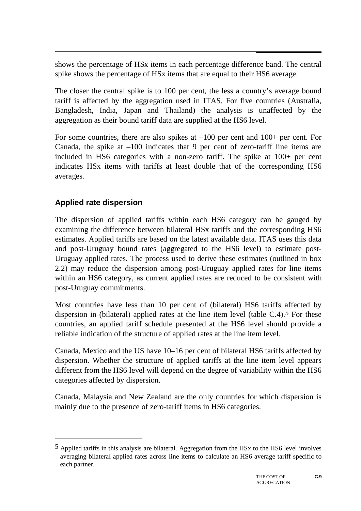shows the percentage of HSx items in each percentage difference band. The central spike shows the percentage of HSx items that are equal to their HS6 average.

The closer the central spike is to 100 per cent, the less a country's average bound tariff is affected by the aggregation used in ITAS. For five countries (Australia, Bangladesh, India, Japan and Thailand) the analysis is unaffected by the aggregation as their bound tariff data are supplied at the HS6 level.

For some countries, there are also spikes at  $-100$  per cent and  $100+$  per cent. For Canada, the spike at  $-100$  indicates that 9 per cent of zero-tariff line items are included in HS6 categories with a non-zero tariff. The spike at 100+ per cent indicates HSx items with tariffs at least double that of the corresponding HS6 averages.

### **Applied rate dispersion**

-

The dispersion of applied tariffs within each HS6 category can be gauged by examining the difference between bilateral HSx tariffs and the corresponding HS6 estimates. Applied tariffs are based on the latest available data. ITAS uses this data and post-Uruguay bound rates (aggregated to the HS6 level) to estimate post-Uruguay applied rates. The process used to derive these estimates (outlined in box 2.2) may reduce the dispersion among post-Uruguay applied rates for line items within an HS6 category, as current applied rates are reduced to be consistent with post-Uruguay commitments.

Most countries have less than 10 per cent of (bilateral) HS6 tariffs affected by dispersion in (bilateral) applied rates at the line item level (table  $C.4$ ).<sup>5</sup> For these countries, an applied tariff schedule presented at the HS6 level should provide a reliable indication of the structure of applied rates at the line item level.

Canada, Mexico and the US have 10–16 per cent of bilateral HS6 tariffs affected by dispersion. Whether the structure of applied tariffs at the line item level appears different from the HS6 level will depend on the degree of variability within the HS6 categories affected by dispersion.

Canada, Malaysia and New Zealand are the only countries for which dispersion is mainly due to the presence of zero-tariff items in HS6 categories.

 $^5$  Applied tariffs in this analysis are bilateral. Aggregation from the HSx to the HS6 level involves averaging bilateral applied rates across line items to calculate an HS6 average tariff specific to each partner.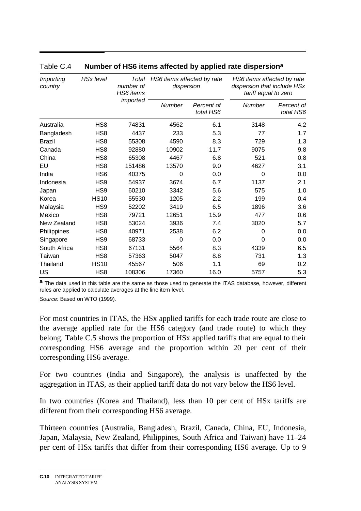| <b>Importing</b><br>country | <b>HSx level</b> | Total<br>number of<br>HS6 items<br>imported | HS6 items affected by rate<br>dispersion |                         | HS6 items affected by rate<br>dispersion that include HSx<br>tariff equal to zero |                         |
|-----------------------------|------------------|---------------------------------------------|------------------------------------------|-------------------------|-----------------------------------------------------------------------------------|-------------------------|
|                             |                  |                                             | <b>Number</b>                            | Percent of<br>total HS6 | Number                                                                            | Percent of<br>total HS6 |
| Australia                   | HS <sub>8</sub>  | 74831                                       | 4562                                     | 6.1                     | 3148                                                                              | 4.2                     |
| Bangladesh                  | HS <sub>8</sub>  | 4437                                        | 233                                      | 5.3                     | 77                                                                                | 1.7                     |
| <b>Brazil</b>               | HS <sub>8</sub>  | 55308                                       | 4590                                     | 8.3                     | 729                                                                               | 1.3                     |
| Canada                      | HS <sub>8</sub>  | 92880                                       | 10902                                    | 11.7                    | 9075                                                                              | 9.8                     |
| China                       | HS <sub>8</sub>  | 65308                                       | 4467                                     | 6.8                     | 521                                                                               | 0.8                     |
| EU                          | HS <sub>8</sub>  | 151486                                      | 13570                                    | 9.0                     | 4627                                                                              | 3.1                     |
| India                       | HS <sub>6</sub>  | 40375                                       | 0                                        | 0.0                     | $\Omega$                                                                          | 0.0                     |
| Indonesia                   | HS9              | 54937                                       | 3674                                     | 6.7                     | 1137                                                                              | 2.1                     |
| Japan                       | HS9              | 60210                                       | 3342                                     | 5.6                     | 575                                                                               | 1.0                     |
| Korea                       | <b>HS10</b>      | 55530                                       | 1205                                     | 2.2                     | 199                                                                               | 0.4                     |
| Malaysia                    | HS <sub>9</sub>  | 52202                                       | 3419                                     | 6.5                     | 1896                                                                              | 3.6                     |
| Mexico                      | HS <sub>8</sub>  | 79721                                       | 12651                                    | 15.9                    | 477                                                                               | 0.6                     |
| New Zealand                 | HS <sub>8</sub>  | 53024                                       | 3936                                     | 7.4                     | 3020                                                                              | 5.7                     |
| Philippines                 | HS <sub>8</sub>  | 40971                                       | 2538                                     | 6.2                     | 0                                                                                 | 0.0                     |
| Singapore                   | HS <sub>9</sub>  | 68733                                       | 0                                        | 0.0                     | $\Omega$                                                                          | 0.0                     |
| South Africa                | HS <sub>8</sub>  | 67131                                       | 5564                                     | 8.3                     | 4339                                                                              | 6.5                     |
| Taiwan                      | HS <sub>8</sub>  | 57363                                       | 5047                                     | 8.8                     | 731                                                                               | 1.3                     |
| Thailand                    | <b>HS10</b>      | 45567                                       | 506                                      | 1.1                     | 69                                                                                | 0.2                     |
| US                          | HS <sub>8</sub>  | 108306                                      | 17360                                    | 16.0                    | 5757                                                                              | 5.3                     |

#### Table C.4 **Number of HS6 items affected by applied rate dispersiona**

**a** The data used in this table are the same as those used to generate the ITAS database, however, different rules are applied to calculate averages at the line item level.

*Source*: Based on WTO (1999).

For most countries in ITAS, the HSx applied tariffs for each trade route are close to the average applied rate for the HS6 category (and trade route) to which they belong. Table C.5 shows the proportion of HSx applied tariffs that are equal to their corresponding HS6 average and the proportion within 20 per cent of their corresponding HS6 average.

For two countries (India and Singapore), the analysis is unaffected by the aggregation in ITAS, as their applied tariff data do not vary below the HS6 level.

In two countries (Korea and Thailand), less than 10 per cent of HSx tariffs are different from their corresponding HS6 average.

Thirteen countries (Australia, Bangladesh, Brazil, Canada, China, EU, Indonesia, Japan, Malaysia, New Zealand, Philippines, South Africa and Taiwan) have 11–24 per cent of HSx tariffs that differ from their corresponding HS6 average. Up to 9

**C.10** INTEGRATED TARIFF ANALYSIS SYSTEM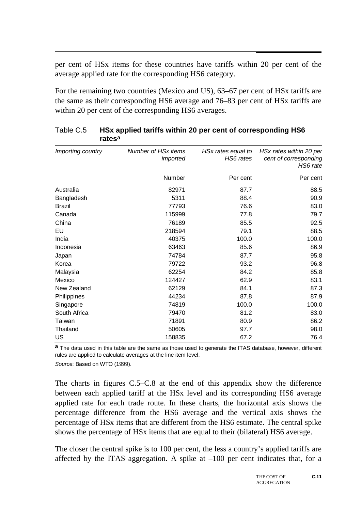per cent of HSx items for these countries have tariffs within 20 per cent of the average applied rate for the corresponding HS6 category.

For the remaining two countries (Mexico and US), 63–67 per cent of HSx tariffs are the same as their corresponding HS6 average and 76–83 per cent of HSx tariffs are within 20 per cent of the corresponding HS6 averages.

| Importing country | Number of HSx items<br>imported | HSx rates equal to<br>HS6 rates | HSx rates within 20 per<br>cent of corresponding<br>HS6 rate |
|-------------------|---------------------------------|---------------------------------|--------------------------------------------------------------|
|                   | Number                          | Per cent                        | Per cent                                                     |
| Australia         | 82971                           | 87.7                            | 88.5                                                         |
| Bangladesh        | 5311                            | 88.4                            | 90.9                                                         |
| <b>Brazil</b>     | 77793                           | 76.6                            | 83.0                                                         |
| Canada            | 115999                          | 77.8                            | 79.7                                                         |
| China             | 76189                           | 85.5                            | 92.5                                                         |
| EU                | 218594                          | 79.1                            | 88.5                                                         |
| India             | 40375                           | 100.0                           | 100.0                                                        |
| Indonesia         | 63463                           | 85.6                            | 86.9                                                         |
| Japan             | 74784                           | 87.7                            | 95.8                                                         |
| Korea             | 79722                           | 93.2                            | 96.8                                                         |
| Malaysia          | 62254                           | 84.2                            | 85.8                                                         |
| Mexico            | 124427                          | 62.9                            | 83.1                                                         |
| New Zealand       | 62129                           | 84.1                            | 87.3                                                         |
| Philippines       | 44234                           | 87.8                            | 87.9                                                         |
| Singapore         | 74819                           | 100.0                           | 100.0                                                        |
| South Africa      | 79470                           | 81.2                            | 83.0                                                         |
| Taiwan            | 71891                           | 80.9                            | 86.2                                                         |
| Thailand          | 50605                           | 97.7                            | 98.0                                                         |
| US                | 158835                          | 67.2                            | 76.4                                                         |

#### Table C.5 **HSx applied tariffs within 20 per cent of corresponding HS6 ratesa**

**a** The data used in this table are the same as those used to generate the ITAS database, however, different rules are applied to calculate averages at the line item level.

*Source*: Based on WTO (1999).

The charts in figures C.5–C.8 at the end of this appendix show the difference between each applied tariff at the HSx level and its corresponding HS6 average applied rate for each trade route. In these charts, the horizontal axis shows the percentage difference from the HS6 average and the vertical axis shows the percentage of HSx items that are different from the HS6 estimate. The central spike shows the percentage of HSx items that are equal to their (bilateral) HS6 average.

The closer the central spike is to 100 per cent, the less a country's applied tariffs are affected by the ITAS aggregation. A spike at  $-100$  per cent indicates that, for a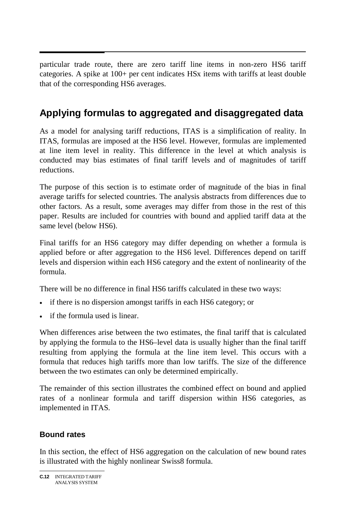particular trade route, there are zero tariff line items in non-zero HS6 tariff categories. A spike at 100+ per cent indicates HSx items with tariffs at least double that of the corresponding HS6 averages.

# **Applying formulas to aggregated and disaggregated data**

As a model for analysing tariff reductions, ITAS is a simplification of reality. In ITAS, formulas are imposed at the HS6 level. However, formulas are implemented at line item level in reality. This difference in the level at which analysis is conducted may bias estimates of final tariff levels and of magnitudes of tariff reductions.

The purpose of this section is to estimate order of magnitude of the bias in final average tariffs for selected countries. The analysis abstracts from differences due to other factors. As a result, some averages may differ from those in the rest of this paper. Results are included for countries with bound and applied tariff data at the same level (below HS6).

Final tariffs for an HS6 category may differ depending on whether a formula is applied before or after aggregation to the HS6 level. Differences depend on tariff levels and dispersion within each HS6 category and the extent of nonlinearity of the formula.

There will be no difference in final HS6 tariffs calculated in these two ways:

- if there is no dispersion amongst tariffs in each HS6 category; or
- if the formula used is linear.

When differences arise between the two estimates, the final tariff that is calculated by applying the formula to the HS6–level data is usually higher than the final tariff resulting from applying the formula at the line item level. This occurs with a formula that reduces high tariffs more than low tariffs. The size of the difference between the two estimates can only be determined empirically.

The remainder of this section illustrates the combined effect on bound and applied rates of a nonlinear formula and tariff dispersion within HS6 categories, as implemented in ITAS.

### **Bound rates**

In this section, the effect of HS6 aggregation on the calculation of new bound rates is illustrated with the highly nonlinear Swiss8 formula.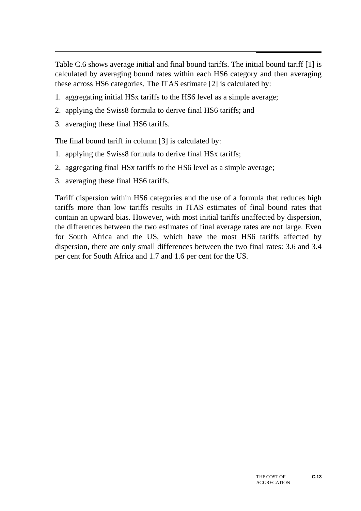$\overline{a}$ Table C.6 shows average initial and final bound tariffs. The initial bound tariff [1] is calculated by averaging bound rates within each HS6 category and then averaging these across HS6 categories. The ITAS estimate [2] is calculated by:

- 1. aggregating initial HSx tariffs to the HS6 level as a simple average;
- 2. applying the Swiss8 formula to derive final HS6 tariffs; and
- 3. averaging these final HS6 tariffs.

The final bound tariff in column [3] is calculated by:

- 1. applying the Swiss8 formula to derive final HSx tariffs;
- 2. aggregating final HSx tariffs to the HS6 level as a simple average;
- 3. averaging these final HS6 tariffs.

Tariff dispersion within HS6 categories and the use of a formula that reduces high tariffs more than low tariffs results in ITAS estimates of final bound rates that contain an upward bias. However, with most initial tariffs unaffected by dispersion, the differences between the two estimates of final average rates are not large. Even for South Africa and the US, which have the most HS6 tariffs affected by dispersion, there are only small differences between the two final rates: 3.6 and 3.4 per cent for South Africa and 1.7 and 1.6 per cent for the US.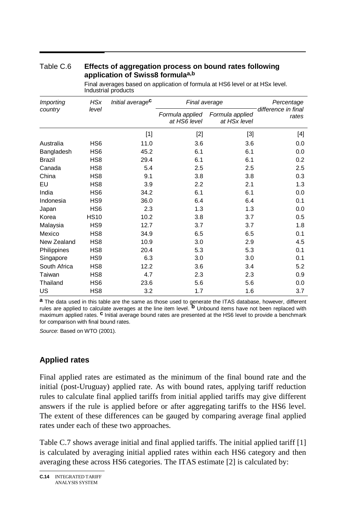| Table C.6 | Effects of aggregation process on bound rates following |
|-----------|---------------------------------------------------------|
|           | application of Swiss8 formulaa,b                        |

| Importing     | <b>HSx</b>      | Initial average <sup>c</sup> | Final average                   |                                 | Percentage                   |
|---------------|-----------------|------------------------------|---------------------------------|---------------------------------|------------------------------|
| country       | level           |                              | Formula applied<br>at HS6 level | Formula applied<br>at HSx level | difference in final<br>rates |
|               |                 | $[1]$                        | $[2]$                           | $[3]$                           | [4]                          |
| Australia     | HS <sub>6</sub> | 11.0                         | 3.6                             | 3.6                             | 0.0                          |
| Bangladesh    | HS <sub>6</sub> | 45.2                         | 6.1                             | 6.1                             | 0.0                          |
| <b>Brazil</b> | HS <sub>8</sub> | 29.4                         | 6.1                             | 6.1                             | 0.2                          |
| Canada        | HS <sub>8</sub> | 5.4                          | 2.5                             | 2.5                             | 2.5                          |
| China         | HS <sub>8</sub> | 9.1                          | 3.8                             | 3.8                             | 0.3                          |
| EU            | HS <sub>8</sub> | 3.9                          | 2.2                             | 2.1                             | 1.3                          |
| India         | HS <sub>6</sub> | 34.2                         | 6.1                             | 6.1                             | 0.0                          |
| Indonesia     | HS <sub>9</sub> | 36.0                         | 6.4                             | 6.4                             | 0.1                          |
| Japan         | HS <sub>6</sub> | 2.3                          | 1.3                             | 1.3                             | 0.0                          |
| Korea         | <b>HS10</b>     | 10.2                         | 3.8                             | 3.7                             | 0.5                          |
| Malaysia      | HS <sub>9</sub> | 12.7                         | 3.7                             | 3.7                             | 1.8                          |
| Mexico        | HS <sub>8</sub> | 34.9                         | 6.5                             | 6.5                             | 0.1                          |
| New Zealand   | HS <sub>8</sub> | 10.9                         | 3.0                             | 2.9                             | 4.5                          |
| Philippines   | HS <sub>8</sub> | 20.4                         | 5.3                             | 5.3                             | 0.1                          |
| Singapore     | HS <sub>9</sub> | 6.3                          | 3.0                             | 3.0                             | 0.1                          |
| South Africa  | HS <sub>8</sub> | 12.2                         | 3.6                             | 3.4                             | 5.2                          |
| Taiwan        | HS <sub>8</sub> | 4.7                          | 2.3                             | 2.3                             | 0.9                          |
| Thailand      | HS <sub>6</sub> | 23.6                         | 5.6                             | 5.6                             | 0.0                          |
| US            | HS <sub>8</sub> | 3.2                          | 1.7                             | 1.6                             | 3.7                          |

Final averages based on application of formula at HS6 level or at HSx level. Industrial products

**a** The data used in this table are the same as those used to generate the ITAS database, however, different rules are applied to calculate averages at the line item level. **b** Unbound items have not been replaced with maximum applied rates. **c** Initial average bound rates are presented at the HS6 level to provide a benchmark for comparison with final bound rates.

*Source*: Based on WTO (2001).

### **Applied rates**

Final applied rates are estimated as the minimum of the final bound rate and the initial (post-Uruguay) applied rate. As with bound rates, applying tariff reduction rules to calculate final applied tariffs from initial applied tariffs may give different answers if the rule is applied before or after aggregating tariffs to the HS6 level. The extent of these differences can be gauged by comparing average final applied rates under each of these two approaches.

Table C.7 shows average initial and final applied tariffs. The initial applied tariff [1] is calculated by averaging initial applied rates within each HS6 category and then averaging these across HS6 categories. The ITAS estimate [2] is calculated by: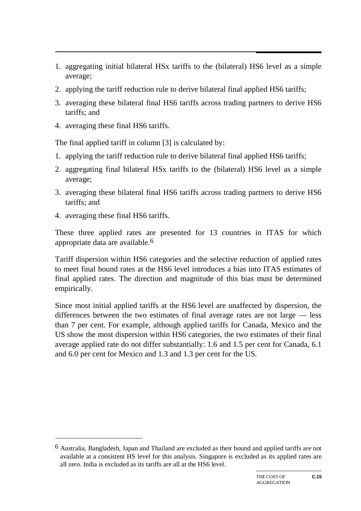- 1. aggregating initial bilateral HSx tariffs to the (bilateral) HS6 level as a simple average;
- 2. applying the tariff reduction rule to derive bilateral final applied HS6 tariffs;
- 3. averaging these bilateral final HS6 tariffs across trading partners to derive HS6 tariffs; and
- 4. averaging these final HS6 tariffs.

The final applied tariff in column [3] is calculated by:

- 1. applying the tariff reduction rule to derive bilateral final applied HS6 tariffs;
- 2. aggregating final bilateral HSx tariffs to the (bilateral) HS6 level as a simple average;
- 3. averaging these bilateral final HS6 tariffs across trading partners to derive HS6 tariffs; and
- 4. averaging these final HS6 tariffs.

-

These three applied rates are presented for 13 countries in ITAS for which appropriate data are available.6

Tariff dispersion within HS6 categories and the selective reduction of applied rates to meet final bound rates at the HS6 level introduces a bias into ITAS estimates of final applied rates. The direction and magnitude of this bias must be determined empirically.

Since most initial applied tariffs at the HS6 level are unaffected by dispersion, the differences between the two estimates of final average rates are not large — less than 7 per cent. For example, although applied tariffs for Canada, Mexico and the US show the most dispersion within HS6 categories, the two estimates of their final average applied rate do not differ substantially: 1.6 and 1.5 per cent for Canada, 6.1 and 6.0 per cent for Mexico and 1.3 and 1.3 per cent for the US.

<sup>6</sup> Australia, Bangladesh, Japan and Thailand are excluded as their bound and applied tariffs are not available at a consistent HS level for this analysis. Singapore is excluded as its applied rates are all zero. India is excluded as its tariffs are all at the HS6 level.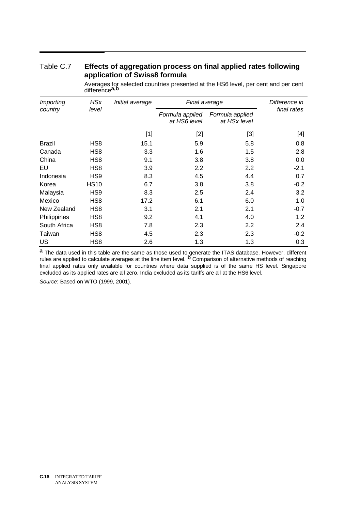#### Table C.7 **Effects of aggregation process on final applied rates following application of Swiss8 formula**

| Importing     | <b>HSx</b>      | Initial average                                                                                                                                                                                                           | Final average                   |                                 | Difference in |
|---------------|-----------------|---------------------------------------------------------------------------------------------------------------------------------------------------------------------------------------------------------------------------|---------------------------------|---------------------------------|---------------|
| country       | level           |                                                                                                                                                                                                                           | Formula applied<br>at HS6 level | Formula applied<br>at HSx level | final rates   |
|               |                 | $[1] % \includegraphics[width=0.9\columnwidth]{figures/fig_10.pdf} \caption{The figure shows the number of times on the right panel. The left panel shows the number of times on the right panel.} \label{fig:fig_11}} %$ | [2]                             | $[3]$                           | [4]           |
| <b>Brazil</b> | HS <sub>8</sub> | 15.1                                                                                                                                                                                                                      | 5.9                             | 5.8                             | 0.8           |
| Canada        | HS <sub>8</sub> | 3.3                                                                                                                                                                                                                       | 1.6                             | 1.5                             | 2.8           |
| China         | HS <sub>8</sub> | 9.1                                                                                                                                                                                                                       | 3.8                             | 3.8                             | 0.0           |
| EU            | HS <sub>8</sub> | 3.9                                                                                                                                                                                                                       | 2.2                             | 2.2                             | $-2.1$        |
| Indonesia     | HS <sub>9</sub> | 8.3                                                                                                                                                                                                                       | 4.5                             | 4.4                             | 0.7           |
| Korea         | <b>HS10</b>     | 6.7                                                                                                                                                                                                                       | 3.8                             | 3.8                             | $-0.2$        |
| Malaysia      | HS <sub>9</sub> | 8.3                                                                                                                                                                                                                       | 2.5                             | 2.4                             | 3.2           |
| Mexico        | HS <sub>8</sub> | 17.2                                                                                                                                                                                                                      | 6.1                             | 6.0                             | 1.0           |
| New Zealand   | HS <sub>8</sub> | 3.1                                                                                                                                                                                                                       | 2.1                             | 2.1                             | $-0.7$        |
| Philippines   | HS <sub>8</sub> | 9.2                                                                                                                                                                                                                       | 4.1                             | 4.0                             | 1.2           |
| South Africa  | HS <sub>8</sub> | 7.8                                                                                                                                                                                                                       | 2.3                             | 2.2                             | 2.4           |
| Taiwan        | HS <sub>8</sub> | 4.5                                                                                                                                                                                                                       | 2.3                             | 2.3                             | $-0.2$        |
| US            | HS8             | 2.6                                                                                                                                                                                                                       | 1.3                             | 1.3                             | 0.3           |

Averages for selected countries presented at the HS6 level, per cent and per cent difference**a,b**

**a** The data used in this table are the same as those used to generate the ITAS database. However, different rules are applied to calculate averages at the line item level. **b** Comparison of alternative methods of reaching final applied rates only available for countries where data supplied is of the same HS level. Singapore excluded as its applied rates are all zero. India excluded as its tariffs are all at the HS6 level.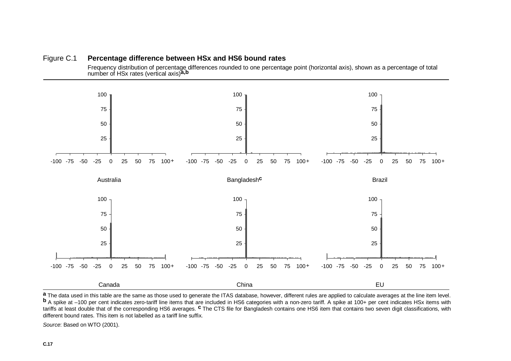



a The data used in this table are the same as those used to generate the ITAS database, however, different rules are applied to calculate averages at the line item level.<br> **b** A spike at -100 per cent indicates zero-tariff tariffs at least double that of the corresponding HS6 averages. **<sup>c</sup>** The CTS file for Bangladesh contains one HS6 item that contains two seven digit classifications, with different bound rates. This item is not labelled as a tariff line suffix.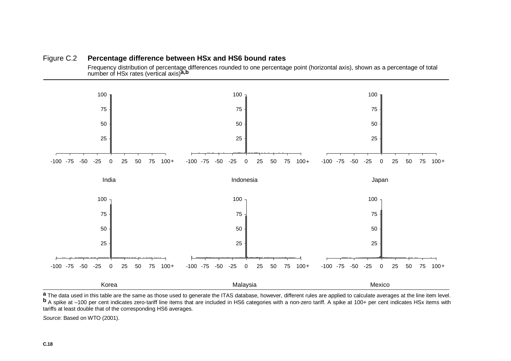



a The data used in this table are the same as those used to generate the ITAS database, however, different rules are applied to calculate averages at the line item level.<br> **b** A spike at -100 per cent indicates zero-tariff tariffs at least double that of the corresponding HS6 averages.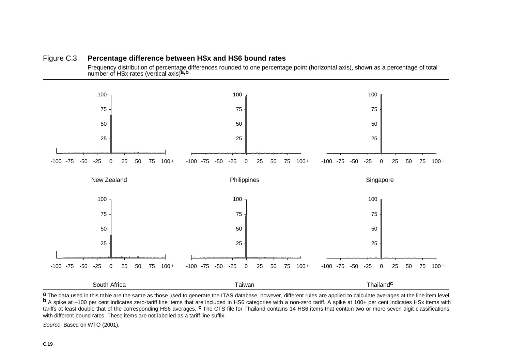



a The data used in this table are the same as those used to generate the ITAS database, however, different rules are applied to calculate averages at the line item level.<br> **b** A spike at -100 per cent indicates zero-tariff tariffs at least double that of the corresponding HS6 averages. **<sup>c</sup>** The CTS file for Thailand contains 14 HS6 items that contain two or more seven digit classifications, with different bound rates. These items are not labelled as a tariff line suffix.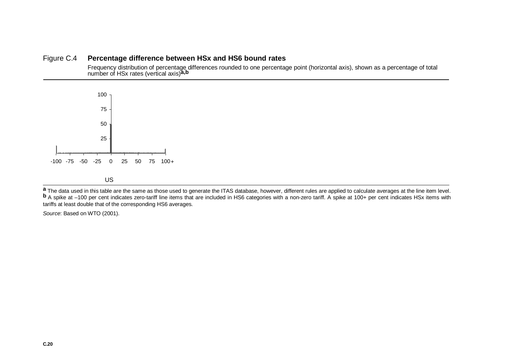#### Figure C.4 **Percentage difference between HSx and HS6 bound rates**

Frequency distribution of percentage differences rounded to one percentage point (horizontal axis), shown as a percentage of total number of HSx rates (vertical axis)**a,b**



a The data used in this table are the same as those used to generate the ITAS database, however, different rules are applied to calculate averages at the line item level.<br> **b** A spike at -100 per cent indicates zero-tariff tariffs at least double that of the corresponding HS6 averages.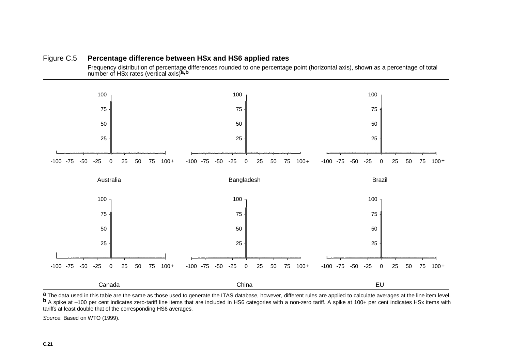#### Figure C.5 **Percentage difference between HSx and HS6 applied rates**

Frequency distribution of percentage differences rounded to one percentage point (horizontal axis), shown as a percentage of total number of HSx rates (vertical axis)**a,b**



a The data used in this table are the same as those used to generate the ITAS database, however, different rules are applied to calculate averages at the line item level.<br> **b** A spike at -100 per cent indicates zero-tariff tariffs at least double that of the corresponding HS6 averages.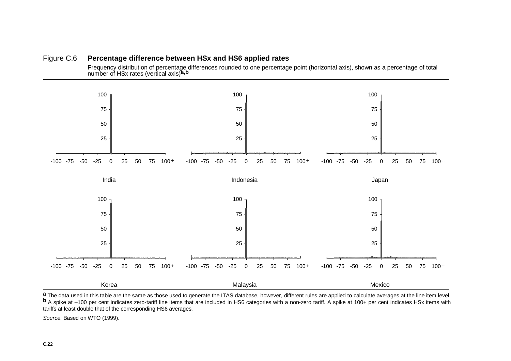



a The data used in this table are the same as those used to generate the ITAS database, however, different rules are applied to calculate averages at the line item level.<br> **b** A spike at -100 per cent indicates zero-tariff tariffs at least double that of the corresponding HS6 averages.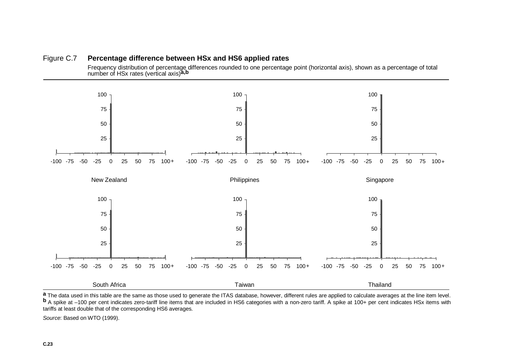#### Figure C.7 **Percentage difference between HSx and HS6 applied rates**

Frequency distribution of percentage differences rounded to one percentage point (horizontal axis), shown as a percentage of total number of HSx rates (vertical axis)**a,b**



a The data used in this table are the same as those used to generate the ITAS database, however, different rules are applied to calculate averages at the line item level.<br> **b** A spike at -100 per cent indicates zero-tariff tariffs at least double that of the corresponding HS6 averages.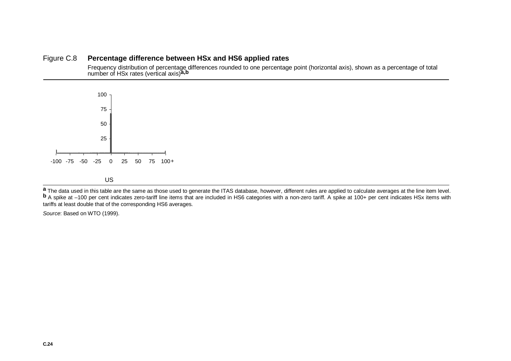#### Figure C.8 **Percentage difference between HSx and HS6 applied rates**

Frequency distribution of percentage differences rounded to one percentage point (horizontal axis), shown as a percentage of total number of HSx rates (vertical axis)**a,b**



a The data used in this table are the same as those used to generate the ITAS database, however, different rules are applied to calculate averages at the line item level.<br> **b** A spike at -100 per cent indicates zero-tariff tariffs at least double that of the corresponding HS6 averages.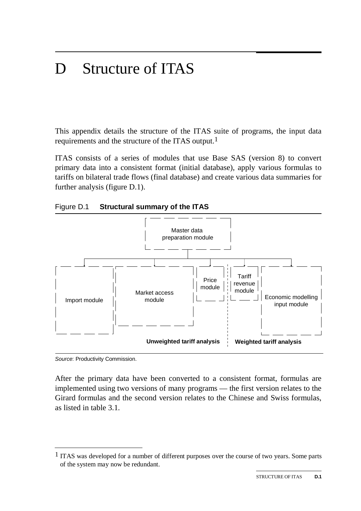# D Structure of ITAS

This appendix details the structure of the ITAS suite of programs, the input data requirements and the structure of the ITAS output.1

ITAS consists of a series of modules that use Base SAS (version 8) to convert primary data into a consistent format (initial database), apply various formulas to tariffs on bilateral trade flows (final database) and create various data summaries for further analysis (figure D.1).





*Source*: Productivity Commission.

After the primary data have been converted to a consistent format, formulas are implemented using two versions of many programs — the first version relates to the Girard formulas and the second version relates to the Chinese and Swiss formulas, as listed in table 3.1.

 $<sup>1</sup>$  ITAS was developed for a number of different purposes over the course of two years. Some parts</sup> of the system may now be redundant.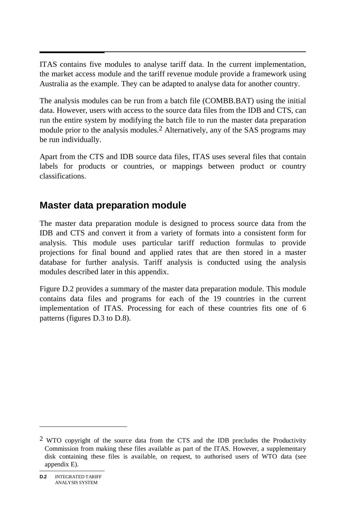$\overline{\phantom{a}}$ ITAS contains five modules to analyse tariff data. In the current implementation, the market access module and the tariff revenue module provide a framework using Australia as the example. They can be adapted to analyse data for another country.

The analysis modules can be run from a batch file (COMBB.BAT) using the initial data. However, users with access to the source data files from the IDB and CTS, can run the entire system by modifying the batch file to run the master data preparation module prior to the analysis modules.2 Alternatively, any of the SAS programs may be run individually.

Apart from the CTS and IDB source data files, ITAS uses several files that contain labels for products or countries, or mappings between product or country classifications.

## **Master data preparation module**

The master data preparation module is designed to process source data from the IDB and CTS and convert it from a variety of formats into a consistent form for analysis. This module uses particular tariff reduction formulas to provide projections for final bound and applied rates that are then stored in a master database for further analysis. Tariff analysis is conducted using the analysis modules described later in this appendix.

Figure D.2 provides a summary of the master data preparation module. This module contains data files and programs for each of the 19 countries in the current implementation of ITAS. Processing for each of these countries fits one of 6 patterns (figures D.3 to D.8).

 $\overline{a}$ 

 $2$  WTO copyright of the source data from the CTS and the IDB precludes the Productivity Commission from making these files available as part of the ITAS. However, a supplementary disk containing these files is available, on request, to authorised users of WTO data (see appendix E).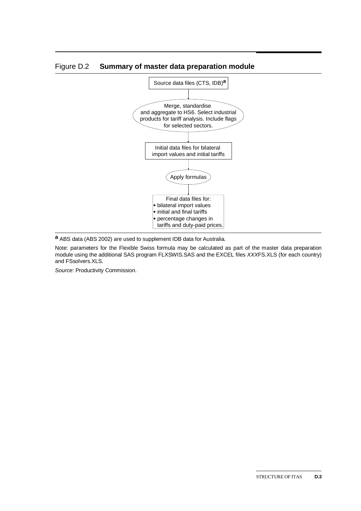

#### Figure D.2 **Summary of master data preparation module**

**a** ABS data (ABS 2002) are used to supplement IDB data for Australia.

Note: parameters for the Flexible Swiss formula may be calculated as part of the master data preparation module using the additional SAS program FLXSWIS.SAS and the EXCEL files *XXX*FS.XLS (for each country) and FSsolvers.XLS.

*Source*: Productivity Commission.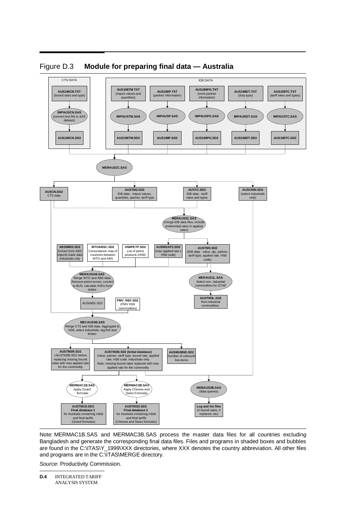

Figure D.3 **Module for preparing final data — Australia** 

Note: MERMAC1B.SAS and MERMAC3B.SAS process the master data files for all countries excluding Bangladesh and generate the corresponding final data files. Files and programs in shaded boxes and bubbles are found in the C:\ITAS\Y\_1999\XXX directories, where XXX denotes the country abbreviation. All other files and programs are in the C:\ITAS\MERGE directory.

*Source*: Productivity Commission.

**D.4** INTEGRATED TARIFF ANALYSIS SYSTEM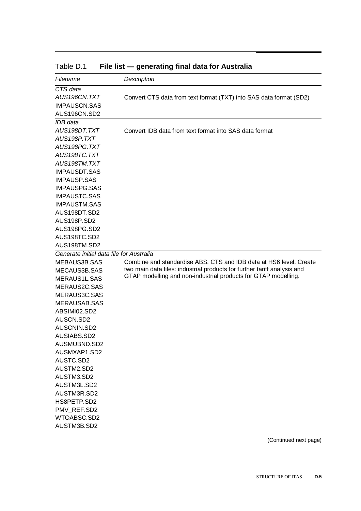| Filename                                 | Description                                                              |
|------------------------------------------|--------------------------------------------------------------------------|
| CTS data                                 |                                                                          |
| AUS196CN.TXT                             | Convert CTS data from text format (TXT) into SAS data format (SD2)       |
| <b>IMPAUSCN.SAS</b>                      |                                                                          |
| AUS196CN.SD2                             |                                                                          |
| IDB data                                 |                                                                          |
| AUS198DT.TXT                             | Convert IDB data from text format into SAS data format                   |
| AUS198P.TXT                              |                                                                          |
| AUS198PG.TXT                             |                                                                          |
| AUS198TC.TXT                             |                                                                          |
| AUS198TM.TXT                             |                                                                          |
| <b>IMPAUSDT.SAS</b>                      |                                                                          |
| <b>IMPAUSP.SAS</b>                       |                                                                          |
| <b>IMPAUSPG.SAS</b>                      |                                                                          |
| <b>IMPAUSTC.SAS</b>                      |                                                                          |
| <b>IMPAUSTM.SAS</b>                      |                                                                          |
| AUS198DT.SD2                             |                                                                          |
| AUS198P.SD2                              |                                                                          |
| AUS198PG.SD2                             |                                                                          |
| AUS198TC.SD2                             |                                                                          |
| AUS198TM.SD2                             |                                                                          |
| Generate initial data file for Australia |                                                                          |
| MEBAUS3B.SAS                             | Combine and standardise ABS, CTS and IDB data at HS6 level. Create       |
| MECAUS3B.SAS                             | two main data files: industrial products for further tariff analysis and |
| MERAUS1L.SAS                             | GTAP modelling and non-industrial products for GTAP modelling.           |
| MERAUS2C.SAS                             |                                                                          |
| MERAUS3C.SAS                             |                                                                          |
| <b>MERAUSAB.SAS</b>                      |                                                                          |
| ABSIMI02.SD2                             |                                                                          |
| AUSCN.SD2                                |                                                                          |
| AUSCNIN.SD2                              |                                                                          |
| AUSIABS.SD2                              |                                                                          |
| AUSMUBND.SD2                             |                                                                          |
| AUSMXAP1.SD2                             |                                                                          |
| AUSTC.SD2                                |                                                                          |
| AUSTM2.SD2                               |                                                                          |
| AUSTM3.SD2                               |                                                                          |
| AUSTM3L.SD2                              |                                                                          |
| AUSTM3R.SD2                              |                                                                          |
| HS8PETP.SD2                              |                                                                          |
| PMV REF.SD2                              |                                                                          |
| WTOABSC.SD2                              |                                                                          |
| AUSTM3B.SD2                              |                                                                          |

Table D.1 File list — generating final data for Australia

(Continued next page)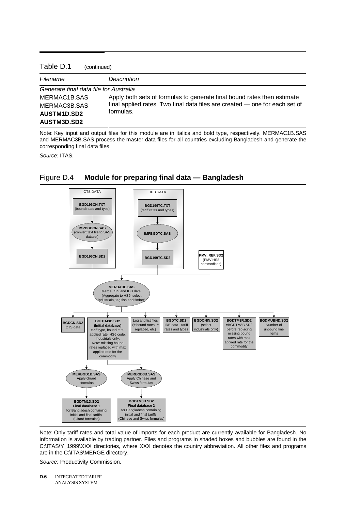#### Table D.1 (continued)

| , ,,,,,,,,,,,,,,                       |                                                                             |  |
|----------------------------------------|-----------------------------------------------------------------------------|--|
| Filename                               | Description                                                                 |  |
| Generate final data file for Australia |                                                                             |  |
| MERMAC1B.SAS                           | Apply both sets of formulas to generate final bound rates then estimate     |  |
| MERMAC3B.SAS                           | final applied rates. Two final data files are created — one for each set of |  |
| <b>AUSTM1D.SD2</b>                     | formulas.                                                                   |  |
| AUSTM3D.SD2                            |                                                                             |  |

Note: Key input and output files for this module are in italics and bold type, respectively. MERMAC1B.SAS and MERMAC3B.SAS process the master data files for all countries excluding Bangladesh and generate the corresponding final data files.

*Source:* ITAS.



#### Figure D.4 **Module for preparing final data — Bangladesh**

Note: Only tariff rates and total value of imports for each product are currently available for Bangladesh. No information is available by trading partner. Files and programs in shaded boxes and bubbles are found in the C:\ITAS\Y\_1999\XXX directories, where XXX denotes the country abbreviation. All other files and programs are in the C:\ITAS\MERGE directory.

*Source*: Productivity Commission.

**D.6** INTEGRATED TARIFF ANALYSIS SYSTEM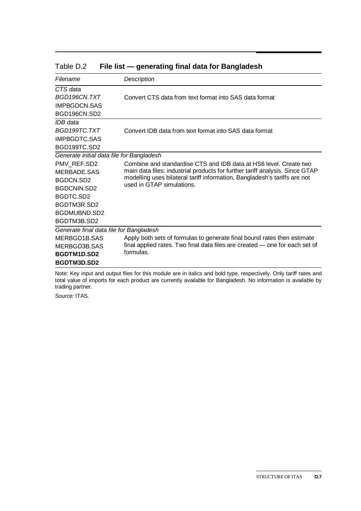| Filename                                  | Description                                                                                            |
|-------------------------------------------|--------------------------------------------------------------------------------------------------------|
| CTS data                                  |                                                                                                        |
| BGD196CN.TXT                              | Convert CTS data from text format into SAS data format                                                 |
| <b>IMPBGDCN.SAS</b>                       |                                                                                                        |
| BGD196CN.SD2                              |                                                                                                        |
| IDB data                                  |                                                                                                        |
| BGD199TC.TXT                              | Convert IDB data from text format into SAS data format                                                 |
| <b>IMPBGDTC SAS</b>                       |                                                                                                        |
| BGD199TC.SD2                              |                                                                                                        |
| Generate initial data file for Bangladesh |                                                                                                        |
| PMV REF.SD2                               | Combine and standardise CTS and IDB data at HS6 level. Create two                                      |
| MERBADE.SAS                               | main data files: industrial products for further tariff analysis. Since GTAP                           |
| BGDCN.SD2                                 | modelling uses bilateral tariff information, Bangladesh's tariffs are not<br>used in GTAP simulations. |
| <b>BGDCNIN.SD2</b>                        |                                                                                                        |
| BGDTC.SD2                                 |                                                                                                        |
| BGDTM3R.SD2                               |                                                                                                        |
| BGDMUBND.SD2                              |                                                                                                        |
| BGDTM3B.SD2                               |                                                                                                        |
| Generate final data file for Bangladesh   |                                                                                                        |
| MERBGD1B.SAS                              | Apply both sets of formulas to generate final bound rates then estimate                                |
| MERBGD3B SAS                              | final applied rates. Two final data files are created - one for each set of                            |
| BGDTM1D.SD2                               | formulas.                                                                                              |
| BGDTM3D.SD2                               |                                                                                                        |

#### Table D.2 File list — generating final data for Bangladesh

Note: Key input and output files for this module are in italics and bold type, respectively. Only tariff rates and total value of imports for each product are currently available for Bangladesh. No information is available by trading partner.

*Source:* ITAS.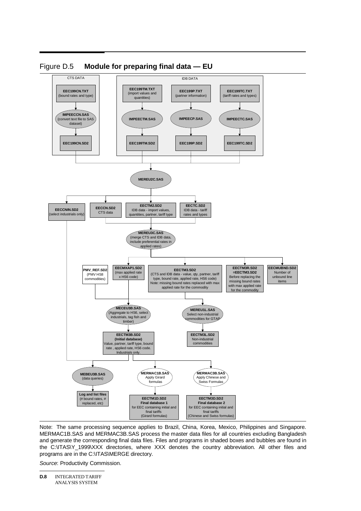

Figure D.5 **Module for preparing final data — EU** 

Note: The same processing sequence applies to Brazil, China, Korea, Mexico, Philippines and Singapore. MERMAC1B.SAS and MERMAC3B.SAS process the master data files for all countries excluding Bangladesh and generate the corresponding final data files. Files and programs in shaded boxes and bubbles are found in the C:\ITAS\Y\_1999\XXX directories, where XXX denotes the country abbreviation. All other files and programs are in the C:\ITAS\MERGE directory.

*Source*: Productivity Commission.

**D.8** INTEGRATED TARIFF ANALYSIS SYSTEM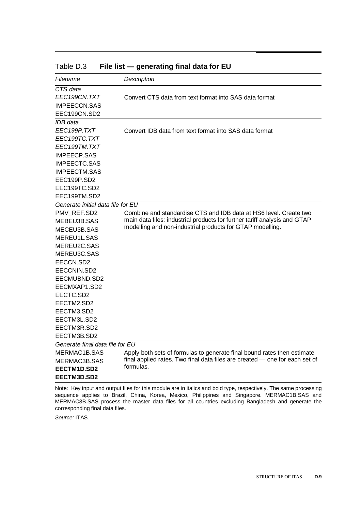| Filename                                                                                                                                                                                                                                                                      | Description                                                                                                                                                                                                 |
|-------------------------------------------------------------------------------------------------------------------------------------------------------------------------------------------------------------------------------------------------------------------------------|-------------------------------------------------------------------------------------------------------------------------------------------------------------------------------------------------------------|
| CTS data<br>EEC199CN.TXT<br><b>IMPEECCN.SAS</b><br>EEC199CN.SD2                                                                                                                                                                                                               | Convert CTS data from text format into SAS data format                                                                                                                                                      |
| IDB data<br>EEC199P.TXT<br>EEC199TC.TXT<br>EEC199TM.TXT<br><b>IMPEECP.SAS</b><br><b>IMPEECTC.SAS</b><br><b>IMPEECTM.SAS</b><br>EEC199P.SD2<br>EEC199TC.SD2<br>EEC199TM.SD2                                                                                                    | Convert IDB data from text format into SAS data format                                                                                                                                                      |
| Generate initial data file for EU<br>PMV REF.SD2<br>MEBEU3B.SAS<br>MECEU3B.SAS<br>MEREU1L.SAS<br>MEREU2C.SAS<br>MEREU3C.SAS<br>EECCN.SD2<br>EECCNIN.SD2<br>EECMUBND.SD2<br>EECMXAP1.SD2<br>EECTC.SD2<br>EECTM2.SD2<br>EECTM3.SD2<br>EECTM3L.SD2<br>EECTM3R.SD2<br>EECTM3B.SD2 | Combine and standardise CTS and IDB data at HS6 level. Create two<br>main data files: industrial products for further tariff analysis and GTAP<br>modelling and non-industrial products for GTAP modelling. |
| Generate final data file for EU<br>MERMAC1B.SAS<br>MERMAC3B.SAS<br>EECTM1D.SD2<br>EECTM3D.SD2                                                                                                                                                                                 | Apply both sets of formulas to generate final bound rates then estimate<br>final applied rates. Two final data files are created - one for each set of<br>formulas.                                         |

Table D.3 **File list — generating final data for EU** 

Note: Key input and output files for this module are in italics and bold type, respectively. The same processing sequence applies to Brazil, China, Korea, Mexico, Philippines and Singapore. MERMAC1B.SAS and MERMAC3B.SAS process the master data files for all countries excluding Bangladesh and generate the corresponding final data files.

*Source:* ITAS.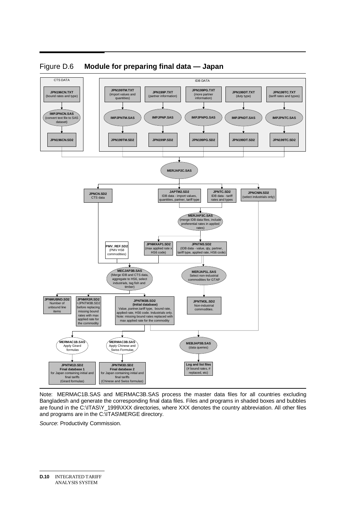

#### Figure D.6 **Module for preparing final data — Japan**

Note: MERMAC1B.SAS and MERMAC3B.SAS process the master data files for all countries excluding Bangladesh and generate the corresponding final data files. Files and programs in shaded boxes and bubbles are found in the C:\ITAS\Y\_1999\XXX directories, where XXX denotes the country abbreviation. All other files and programs are in the C:\ITAS\MERGE directory.

*Source*: Productivity Commission.

**D.10** INTEGRATED TARIFF ANALYSIS SYSTEM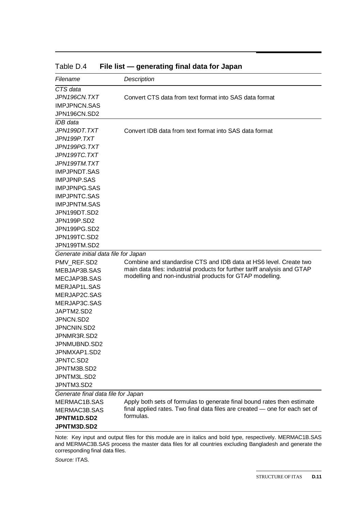| Filename                             | Description                                                                 |
|--------------------------------------|-----------------------------------------------------------------------------|
| CTS data                             |                                                                             |
| JPN196CN.TXT                         | Convert CTS data from text format into SAS data format                      |
| <b>IMPJPNCN.SAS</b>                  |                                                                             |
| JPN196CN.SD2                         |                                                                             |
| IDB data                             |                                                                             |
| JPN199DT.TXT                         | Convert IDB data from text format into SAS data format                      |
| JPN199P.TXT                          |                                                                             |
| JPN199PG.TXT                         |                                                                             |
| JPN199TC.TXT                         |                                                                             |
| JPN199TM.TXT                         |                                                                             |
| <b>IMPJPNDT.SAS</b>                  |                                                                             |
| <b>IMPJPNP.SAS</b>                   |                                                                             |
| <b>IMPJPNPG.SAS</b>                  |                                                                             |
| <b>IMPJPNTC.SAS</b>                  |                                                                             |
| <b>IMPJPNTM.SAS</b>                  |                                                                             |
| JPN199DT.SD2                         |                                                                             |
| JPN199P.SD2                          |                                                                             |
| JPN199PG.SD2                         |                                                                             |
| JPN199TC.SD2                         |                                                                             |
| JPN199TM.SD2                         |                                                                             |
| Generate initial data file for Japan |                                                                             |
| PMV REF.SD2                          | Combine and standardise CTS and IDB data at HS6 level. Create two           |
| MEBJAP3B.SAS                         | main data files: industrial products for further tariff analysis and GTAP   |
| MECJAP3B.SAS                         | modelling and non-industrial products for GTAP modelling.                   |
| MERJAP1L.SAS                         |                                                                             |
| MERJAP2C.SAS                         |                                                                             |
| MERJAP3C.SAS                         |                                                                             |
| JAPTM2.SD2                           |                                                                             |
| JPNCN.SD2                            |                                                                             |
| JPNCNIN.SD2                          |                                                                             |
| JPNMR3R.SD2                          |                                                                             |
| JPNMUBND.SD2                         |                                                                             |
| JPNMXAP1.SD2                         |                                                                             |
| JPNTC.SD2                            |                                                                             |
| JPNTM3B.SD2                          |                                                                             |
| JPNTM3L.SD2                          |                                                                             |
| JPNTM3.SD2                           |                                                                             |
| Generate final data file for Japan   |                                                                             |
| MERMAC1B.SAS                         | Apply both sets of formulas to generate final bound rates then estimate     |
| MERMAC3B.SAS                         | final applied rates. Two final data files are created - one for each set of |
| JPNTM1D.SD2                          | formulas.                                                                   |
| JPNTM3D.SD2                          |                                                                             |
|                                      |                                                                             |

Table D.4 File list — generating final data for Japan

Note: Key input and output files for this module are in italics and bold type, respectively. MERMAC1B.SAS and MERMAC3B.SAS process the master data files for all countries excluding Bangladesh and generate the corresponding final data files.

*Source:* ITAS.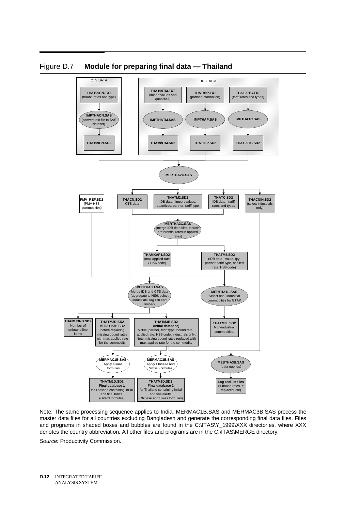

#### Figure D.7 **Module for preparing final data — Thailand**

Note: The same processing sequence applies to India. MERMAC1B.SAS and MERMAC3B.SAS process the master data files for all countries excluding Bangladesh and generate the corresponding final data files. Files and programs in shaded boxes and bubbles are found in the C:\ITAS\Y\_1999\XXX directories, where XXX denotes the country abbreviation. All other files and programs are in the C:\ITAS\MERGE directory.

*Source*: Productivity Commission.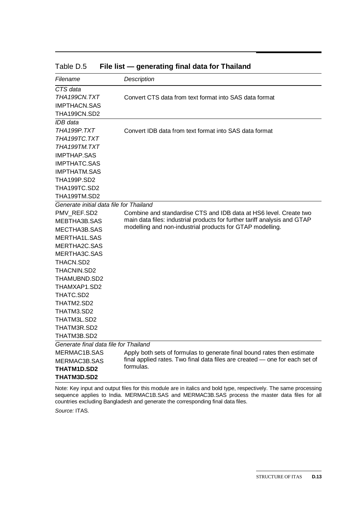| Filename                                | Description                                                                 |
|-----------------------------------------|-----------------------------------------------------------------------------|
| CTS data                                |                                                                             |
| THA199CN.TXT                            | Convert CTS data from text format into SAS data format                      |
| <b>IMPTHACN.SAS</b>                     |                                                                             |
| THA199CN.SD2                            |                                                                             |
| IDB data                                |                                                                             |
| THA199P.TXT                             | Convert IDB data from text format into SAS data format                      |
| THA 199TC.TXT                           |                                                                             |
| THA 199TM.TXT                           |                                                                             |
| <b>IMPTHAP.SAS</b>                      |                                                                             |
| <b>IMPTHATC.SAS</b>                     |                                                                             |
| <b>IMPTHATM.SAS</b>                     |                                                                             |
| <b>THA199P.SD2</b>                      |                                                                             |
| THA199TC.SD2                            |                                                                             |
| THA199TM.SD2                            |                                                                             |
| Generate initial data file for Thailand |                                                                             |
| PMV REF.SD2                             | Combine and standardise CTS and IDB data at HS6 level. Create two           |
| MEBTHA3B.SAS                            | main data files: industrial products for further tariff analysis and GTAP   |
| MECTHA3B.SAS                            | modelling and non-industrial products for GTAP modelling.                   |
| MERTHA1L.SAS                            |                                                                             |
| MERTHA2C.SAS                            |                                                                             |
| MERTHA3C.SAS                            |                                                                             |
| THACN.SD2                               |                                                                             |
| THACNIN.SD2                             |                                                                             |
| THAMUBND.SD2                            |                                                                             |
| THAMXAP1.SD2                            |                                                                             |
| THATC.SD2                               |                                                                             |
| THATM2.SD2                              |                                                                             |
| THATM3.SD2                              |                                                                             |
| THATM3L.SD2                             |                                                                             |
| THATM3R.SD2                             |                                                                             |
| THATM3B.SD2                             |                                                                             |
| Generate final data file for Thailand   |                                                                             |
| MERMAC1B.SAS                            | Apply both sets of formulas to generate final bound rates then estimate     |
| MERMAC3B.SAS                            | final applied rates. Two final data files are created - one for each set of |
| <b>THATM1D.SD2</b>                      | formulas.                                                                   |
| <b>THATM3D.SD2</b>                      |                                                                             |
|                                         |                                                                             |

Table D.5 **File list — generating final data for Thailand** 

Note: Key input and output files for this module are in italics and bold type, respectively. The same processing sequence applies to India. MERMAC1B.SAS and MERMAC3B.SAS process the master data files for all countries excluding Bangladesh and generate the corresponding final data files.

*Source:* ITAS.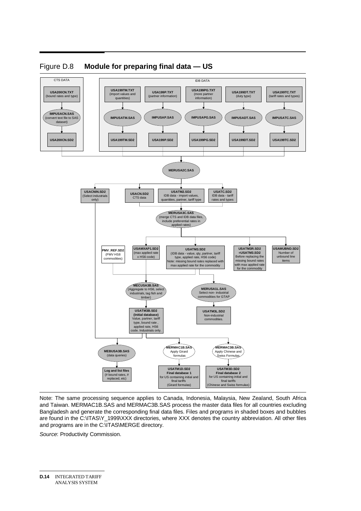



Note: The same processing sequence applies to Canada, Indonesia, Malaysia, New Zealand, South Africa and Taiwan. MERMAC1B.SAS and MERMAC3B.SAS process the master data files for all countries excluding Bangladesh and generate the corresponding final data files. Files and programs in shaded boxes and bubbles are found in the C:\ITAS\Y\_1999\XXX directories, where XXX denotes the country abbreviation. All other files and programs are in the C:\ITAS\MERGE directory.

*Source*: Productivity Commission.

**D.14** INTEGRATED TARIFF ANALYSIS SYSTEM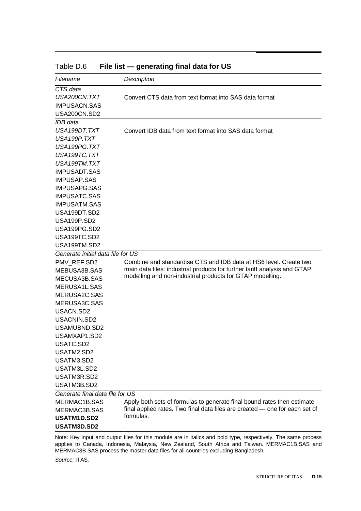| Filename                          | Description                                                                 |
|-----------------------------------|-----------------------------------------------------------------------------|
| CTS data                          |                                                                             |
| USA200CN.TXT                      | Convert CTS data from text format into SAS data format                      |
| <b>IMPUSACN.SAS</b>               |                                                                             |
| USA200CN.SD2                      |                                                                             |
| IDB data                          |                                                                             |
| USA199DT.TXT                      | Convert IDB data from text format into SAS data format                      |
| USA199P.TXT                       |                                                                             |
| USA199PG.TXT                      |                                                                             |
| USA199TC.TXT                      |                                                                             |
| USA199TM.TXT                      |                                                                             |
| <b>IMPUSADT.SAS</b>               |                                                                             |
| <b>IMPUSAP.SAS</b>                |                                                                             |
| <b>IMPUSAPG.SAS</b>               |                                                                             |
| <b>IMPUSATC.SAS</b>               |                                                                             |
| <b>IMPUSATM.SAS</b>               |                                                                             |
| USA199DT.SD2                      |                                                                             |
| USA199P.SD2                       |                                                                             |
| USA199PG.SD2                      |                                                                             |
| USA199TC.SD2                      |                                                                             |
| USA199TM.SD2                      |                                                                             |
| Generate initial data file for US |                                                                             |
| PMV_REF.SD2                       | Combine and standardise CTS and IDB data at HS6 level. Create two           |
| MEBUSA3B.SAS                      | main data files: industrial products for further tariff analysis and GTAP   |
| MECUSA3B.SAS                      | modelling and non-industrial products for GTAP modelling.                   |
| MERUSA1L.SAS                      |                                                                             |
| MERUSA2C.SAS                      |                                                                             |
| MERUSA3C.SAS                      |                                                                             |
| USACN.SD2                         |                                                                             |
| USACNIN.SD2                       |                                                                             |
| USAMUBND.SD2                      |                                                                             |
| USAMXAP1.SD2                      |                                                                             |
| <b>USATC SD2</b>                  |                                                                             |
| USATM2.SD2                        |                                                                             |
| USATM3.SD2                        |                                                                             |
| USATM3L.SD2                       |                                                                             |
| USATM3R.SD2                       |                                                                             |
| USATM3B.SD2                       |                                                                             |
| Generate final data file for US   |                                                                             |
| MERMAC1B.SAS                      | Apply both sets of formulas to generate final bound rates then estimate     |
| MERMAC3B.SAS                      | final applied rates. Two final data files are created - one for each set of |
| USATM1D.SD2                       | formulas.                                                                   |
| USATM3D.SD2                       |                                                                             |

Table D.6 **File list — generating final data for US** 

Note: Key input and output files for this module are in italics and bold type, respectively. The same process applies to Canada, Indonesia, Malaysia, New Zealand, South Africa and Taiwan. MERMAC1B.SAS and MERMAC3B.SAS process the master data files for all countries excluding Bangladesh.

*Source:* ITAS.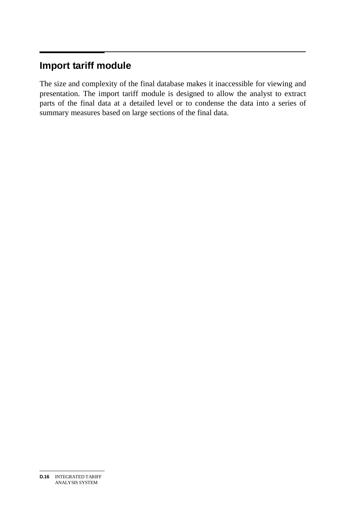#### $\overline{a}$ **Import tariff module**

The size and complexity of the final database makes it inaccessible for viewing and presentation. The import tariff module is designed to allow the analyst to extract parts of the final data at a detailed level or to condense the data into a series of summary measures based on large sections of the final data.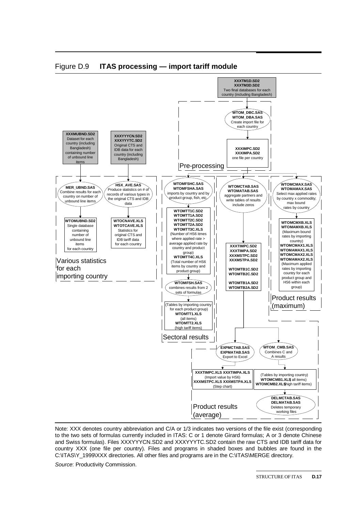

Figure D.9 **ITAS processing — import tariff module** 

Note: XXX denotes country abbreviation and C/A or 1/3 indicates two versions of the file exist (corresponding to the two sets of formulas currently included in ITAS: C or 1 denote Girard formulas; A or 3 denote Chinese and Swiss formulas). Files XXXYYYCN.SD2 and XXXYYYTC.SD2 contain the raw CTS and IDB tariff data for country XXX (one file per country). Files and programs in shaded boxes and bubbles are found in the C:\ITAS\Y\_1999\XXX directories. All other files and programs are in the C:\ITAS\MERGE directory.

*Source*: Productivity Commission.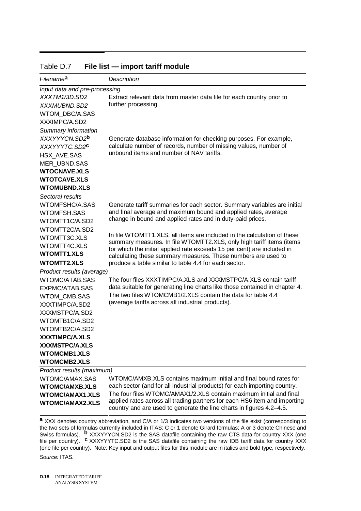| Filename <sup>a</sup>         | Description                                                                                                                                       |
|-------------------------------|---------------------------------------------------------------------------------------------------------------------------------------------------|
| Input data and pre-processing |                                                                                                                                                   |
| XXXTM1/3D.SD2                 | Extract relevant data from master data file for each country prior to                                                                             |
| XXXMUBND.SD2                  | further processing                                                                                                                                |
| <b>WTOM DBC/A.SAS</b>         |                                                                                                                                                   |
| XXXIMPC/A.SD2                 |                                                                                                                                                   |
| Summary information           |                                                                                                                                                   |
| XXXYYYCN.SD2 <sup>b</sup>     | Generate database information for checking purposes. For example,                                                                                 |
| XXXYYYTC.SD2 <sup>c</sup>     | calculate number of records, number of missing values, number of                                                                                  |
| HSX AVE.SAS                   | unbound items and number of NAV tariffs.                                                                                                          |
| <b>MER UBND.SAS</b>           |                                                                                                                                                   |
| <b>WTOCNAVE.XLS</b>           |                                                                                                                                                   |
| <b>WTOTCAVE.XLS</b>           |                                                                                                                                                   |
| <b>WTOMUBND.XLS</b>           |                                                                                                                                                   |
| Sectoral results              |                                                                                                                                                   |
| WTOMFSHC/A.SAS                | Generate tariff summaries for each sector. Summary variables are initial                                                                          |
| <b>WTOMFSH.SAS</b>            | and final average and maximum bound and applied rates, average                                                                                    |
| WTOMTT1C/A.SD2                | change in bound and applied rates and in duty-paid prices.                                                                                        |
| WTOMTT2C/A.SD2                |                                                                                                                                                   |
| WTOMTT3C.XLS                  | In file WTOMTT1.XLS, all items are included in the calculation of these<br>summary measures. In file WTOMTT2.XLS, only high tariff items (items   |
| WTOMTT4C.XLS                  | for which the initial applied rate exceeds 15 per cent) are included in                                                                           |
| <b>WTOMTT1.XLS</b>            | calculating these summary measures. These numbers are used to                                                                                     |
| <b>WTOMTT2.XLS</b>            | produce a table similar to table 4.4 for each sector.                                                                                             |
| Product results (average)     |                                                                                                                                                   |
| WTOMC/ATAB.SAS                | The four files XXXTIMPC/A.XLS and XXXMSTPC/A.XLS contain tariff                                                                                   |
| EXPMC/ATAB.SAS                | data suitable for generating line charts like those contained in chapter 4.                                                                       |
| WTOM_CMB.SAS                  | The two files WTOMCMB1/2.XLS contain the data for table 4.4                                                                                       |
| XXXTIMPC/A.SD2                | (average tariffs across all industrial products).                                                                                                 |
| XXXMSTPC/A.SD2                |                                                                                                                                                   |
| WTOMTB1C/A.SD2                |                                                                                                                                                   |
| WTOMTB2C/A.SD2                |                                                                                                                                                   |
| <b>XXXTIMPC/A.XLS</b>         |                                                                                                                                                   |
| XXXMSTPC/A.XLS                |                                                                                                                                                   |
| <b>WTOMCMB1.XLS</b>           |                                                                                                                                                   |
| <b>WTOMCMB2.XLS</b>           |                                                                                                                                                   |
| Product results (maximum)     |                                                                                                                                                   |
| WTOMC/AMAX.SAS                | WTOMC/AMXB.XLS contains maximum initial and final bound rates for                                                                                 |
| <b>WTOMC/AMXB.XLS</b>         | each sector (and for all industrial products) for each importing country.                                                                         |
| <b>WTOMC/AMAX1.XLS</b>        | The four files WTOMC/AMAX1/2.XLS contain maximum initial and final                                                                                |
| <b>WTOMC/AMAX2.XLS</b>        | applied rates across all trading partners for each HS6 item and importing<br>country and are used to generate the line charts in figures 4.2-4.5. |

#### Table D.7 **File list — import tariff module**

**a** XXX denotes country abbreviation, and C/A or 1/3 indicates two versions of the file exist (corresponding to the two sets of formulas currently included in ITAS: C or 1 denote Girard formulas; A or 3 denote Chinese and Swiss formulas). **b** XXXYYYCN.SD2 is the SAS datafile containing the raw CTS data for country XXX (one file per country). **c** XXXYYYTC.SD2 is the SAS datafile containing the raw IDB tariff data for country XXX (one file per country). Note: Key input and output files for this module are in italics and bold type, respectively. *Source:* ITAS.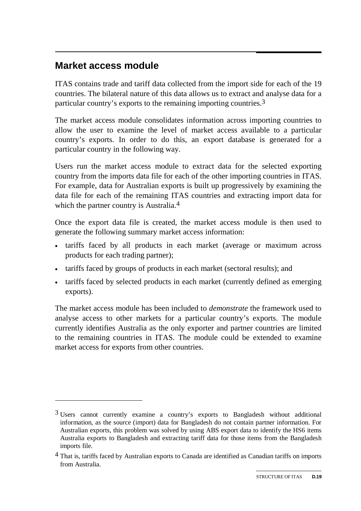#### $\overline{a}$ **Market access module**

-

ITAS contains trade and tariff data collected from the import side for each of the 19 countries. The bilateral nature of this data allows us to extract and analyse data for a particular country's exports to the remaining importing countries.3

The market access module consolidates information across importing countries to allow the user to examine the level of market access available to a particular country's exports. In order to do this, an export database is generated for a particular country in the following way.

Users run the market access module to extract data for the selected exporting country from the imports data file for each of the other importing countries in ITAS. For example, data for Australian exports is built up progressively by examining the data file for each of the remaining ITAS countries and extracting import data for which the partner country is Australia.<sup>4</sup>

Once the export data file is created, the market access module is then used to generate the following summary market access information:

- tariffs faced by all products in each market (average or maximum across products for each trading partner);
- tariffs faced by groups of products in each market (sectoral results); and
- tariffs faced by selected products in each market (currently defined as emerging exports).

The market access module has been included to *demonstrate* the framework used to analyse access to other markets for a particular country's exports. The module currently identifies Australia as the only exporter and partner countries are limited to the remaining countries in ITAS. The module could be extended to examine market access for exports from other countries.

<sup>&</sup>lt;sup>3</sup> Users cannot currently examine a country's exports to Bangladesh without additional information, as the source (import) data for Bangladesh do not contain partner information. For Australian exports, this problem was solved by using ABS export data to identify the HS6 items Australia exports to Bangladesh and extracting tariff data for those items from the Bangladesh imports file.

<sup>&</sup>lt;sup>4</sup> That is, tariffs faced by Australian exports to Canada are identified as Canadian tariffs on imports from Australia.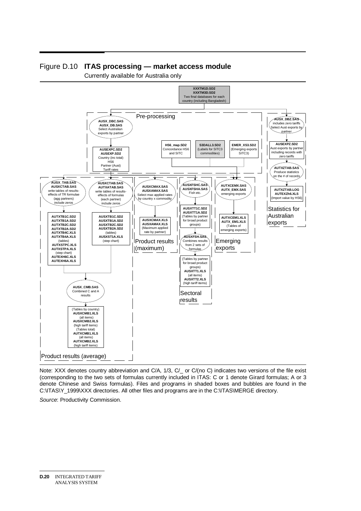

#### Figure D.10 **ITAS processing — market access module**

Currently available for Australia only

Note: XXX denotes country abbreviation and C/A, 1/3, C/\_ or C/(no C) indicates two versions of the file exist (corresponding to the two sets of formulas currently included in ITAS: C or 1 denote Girard formulas; A or 3 denote Chinese and Swiss formulas). Files and programs in shaded boxes and bubbles are found in the C:\ITAS\Y\_1999\XXX directories. All other files and programs are in the C:\ITAS\MERGE directory.

*Source*: Productivity Commission.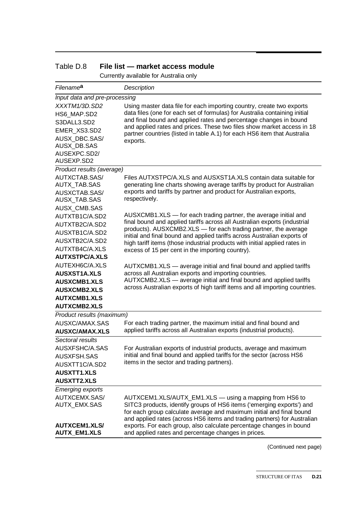| Filename <sup>a</sup>         | Description                                                                                                                                            |  |
|-------------------------------|--------------------------------------------------------------------------------------------------------------------------------------------------------|--|
| Input data and pre-processing |                                                                                                                                                        |  |
| XXXTM1/3D.SD2                 | Using master data file for each importing country, create two exports                                                                                  |  |
| HS6 MAP.SD2                   | data files (one for each set of formulas) for Australia containing initial                                                                             |  |
| S3DALL3.SD2                   | and final bound and applied rates and percentage changes in bound<br>and applied rates and prices. These two files show market access in 18            |  |
| EMER XS3.SD2                  | partner countries (listed in table A.1) for each HS6 item that Australia                                                                               |  |
| <b>AUSX DBC.SAS/</b>          | exports.                                                                                                                                               |  |
| AUSX_DB.SAS                   |                                                                                                                                                        |  |
| AUSEXPC.SD2/                  |                                                                                                                                                        |  |
| AUSEXP.SD2                    |                                                                                                                                                        |  |
| Product results (average)     |                                                                                                                                                        |  |
| AUTXCTAB.SAS/<br>AUTX_TAB.SAS | Files AUTXSTPC/A.XLS and AUSXST1A.XLS contain data suitable for<br>generating line charts showing average tariffs by product for Australian            |  |
| AUSXCTAB.SAS/                 | exports and tariffs by partner and product for Australian exports,                                                                                     |  |
| AUSX_TAB.SAS                  | respectively.                                                                                                                                          |  |
| AUSX_CMB.SAS                  |                                                                                                                                                        |  |
| AUTXTB1C/A.SD2                | AUSXCMB1.XLS — for each trading partner, the average initial and                                                                                       |  |
| AUTXTB2C/A.SD2                | final bound and applied tariffs across all Australian exports (industrial                                                                              |  |
| AUSXTB1C/A.SD2                | products). AUSXCMB2.XLS - for each trading partner, the average                                                                                        |  |
| AUSXTB2C/A.SD2                | initial and final bound and applied tariffs across Australian exports of<br>high tariff items (those industrial products with initial applied rates in |  |
| AUTXTB4C/A.XLS                | excess of 15 per cent in the importing country).                                                                                                       |  |
| <b>AUTXSTPC/A.XLS</b>         |                                                                                                                                                        |  |
| AUTEXH6C/A.XLS                | AUTXCMB1.XLS — average initial and final bound and applied tariffs                                                                                     |  |
| <b>AUSXST1A.XLS</b>           | across all Australian exports and importing countries.                                                                                                 |  |
| <b>AUSXCMB1.XLS</b>           | AUTXCMB2.XLS - average initial and final bound and applied tariffs                                                                                     |  |
| <b>AUSXCMB2.XLS</b>           | across Australian exports of high tariff items and all importing countries.                                                                            |  |
| <b>AUTXCMB1.XLS</b>           |                                                                                                                                                        |  |
| <b>AUTXCMB2.XLS</b>           |                                                                                                                                                        |  |
| Product results (maximum)     |                                                                                                                                                        |  |
| AUSXC/AMAX.SAS                | For each trading partner, the maximum initial and final bound and                                                                                      |  |
| <b>AUSXC/AMAX.XLS</b>         | applied tariffs across all Australian exports (industrial products).                                                                                   |  |
| Sectoral results              |                                                                                                                                                        |  |
| AUSXFSHC/A.SAS                | For Australian exports of industrial products, average and maximum                                                                                     |  |
| <b>AUSXFSH.SAS</b>            | initial and final bound and applied tariffs for the sector (across HS6                                                                                 |  |
| AUSXTT1C/A.SD2                | items in the sector and trading partners).                                                                                                             |  |
| <b>AUSXTT1.XLS</b>            |                                                                                                                                                        |  |
| <b>AUSXTT2.XLS</b>            |                                                                                                                                                        |  |
| <b>Emerging exports</b>       |                                                                                                                                                        |  |
| AUTXCEMX.SAS/                 | AUTXCEM1.XLS/AUTX_EM1.XLS - using a mapping from HS6 to                                                                                                |  |
| AUTX_EMX.SAS                  | SITC3 products, identify groups of HS6 items ('emerging exports') and<br>for each group calculate average and maximum initial and final bound          |  |
|                               | and applied rates (across HS6 items and trading partners) for Australian                                                                               |  |
| <b>AUTXCEM1.XLS/</b>          | exports. For each group, also calculate percentage changes in bound                                                                                    |  |
| <b>AUTX_EM1.XLS</b>           | and applied rates and percentage changes in prices.                                                                                                    |  |

#### Table D.8 **File list — market access module**

Currently available for Australia only

(Continued next page)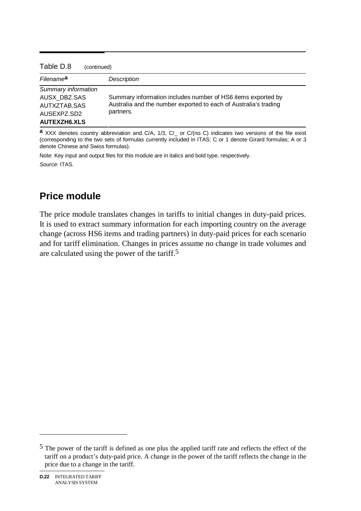| Table D.8<br>(continued)                                                                                                                      |  |
|-----------------------------------------------------------------------------------------------------------------------------------------------|--|
| Description                                                                                                                                   |  |
|                                                                                                                                               |  |
| Summary information includes number of HS6 items exported by<br>Australia and the number exported to each of Australia's trading<br>partners. |  |
|                                                                                                                                               |  |
|                                                                                                                                               |  |

**a** XXX denotes country abbreviation and C/A, 1/3, C/\_ or C/(no C) indicates two versions of the file exist (corresponding to the two sets of formulas currently included in ITAS: C or 1 denote Girard formulas; A or 3 denote Chinese and Swiss formulas).

Note: Key input and output files for this module are in italics and bold type, respectively.

*Source:* ITAS.

## **Price module**

The price module translates changes in tariffs to initial changes in duty-paid prices. It is used to extract summary information for each importing country on the average change (across HS6 items and trading partners) in duty-paid prices for each scenario and for tariff elimination. Changes in prices assume no change in trade volumes and are calculated using the power of the tariff.5

 $\overline{a}$ 

 $5$  The power of the tariff is defined as one plus the applied tariff rate and reflects the effect of the tariff on a product's duty-paid price. A change in the power of the tariff reflects the change in the price due to a change in the tariff.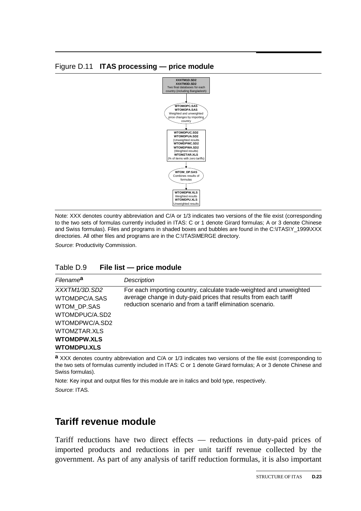#### Figure D.11 **ITAS processing — price module**



Note: XXX denotes country abbreviation and C/A or 1/3 indicates two versions of the file exist (corresponding to the two sets of formulas currently included in ITAS: C or 1 denote Girard formulas; A or 3 denote Chinese and Swiss formulas). Files and programs in shaded boxes and bubbles are found in the C:\ITAS\Y\_1999\XXX directories. All other files and programs are in the C:\ITAS\MERGE directory.

*Source*: Productivity Commission.

| Table D.9 |  | File list - price module |
|-----------|--|--------------------------|
|-----------|--|--------------------------|

| Filename <sup>a</sup>                                                                                                                         | Description                                                                                                                                                                                           |
|-----------------------------------------------------------------------------------------------------------------------------------------------|-------------------------------------------------------------------------------------------------------------------------------------------------------------------------------------------------------|
| XXXTM1/3D.SD2<br>WTOMDPC/A.SAS<br>WTOM DP.SAS<br>WTOMDPUC/A.SD2<br>WTOMDPWC/A.SD2<br>WTOMZTAR.XLS<br><b>WTOMDPW.XLS</b><br><b>WTOMDPU.XLS</b> | For each importing country, calculate trade-weighted and unweighted<br>average change in duty-paid prices that results from each tariff<br>reduction scenario and from a tariff elimination scenario. |

**a** XXX denotes country abbreviation and C/A or 1/3 indicates two versions of the file exist (corresponding to the two sets of formulas currently included in ITAS: C or 1 denote Girard formulas; A or 3 denote Chinese and Swiss formulas).

Note: Key input and output files for this module are in italics and bold type, respectively. *Source*: ITAS.

## **Tariff revenue module**

Tariff reductions have two direct effects — reductions in duty-paid prices of imported products and reductions in per unit tariff revenue collected by the government. As part of any analysis of tariff reduction formulas, it is also important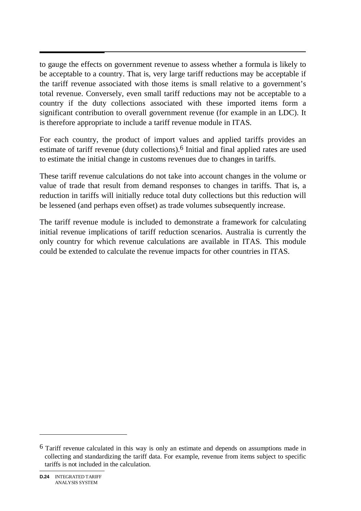to gauge the effects on government revenue to assess whether a formula is likely to be acceptable to a country. That is, very large tariff reductions may be acceptable if the tariff revenue associated with those items is small relative to a government's total revenue. Conversely, even small tariff reductions may not be acceptable to a country if the duty collections associated with these imported items form a significant contribution to overall government revenue (for example in an LDC). It is therefore appropriate to include a tariff revenue module in ITAS.

For each country, the product of import values and applied tariffs provides an estimate of tariff revenue (duty collections).6 Initial and final applied rates are used to estimate the initial change in customs revenues due to changes in tariffs.

These tariff revenue calculations do not take into account changes in the volume or value of trade that result from demand responses to changes in tariffs. That is, a reduction in tariffs will initially reduce total duty collections but this reduction will be lessened (and perhaps even offset) as trade volumes subsequently increase.

The tariff revenue module is included to demonstrate a framework for calculating initial revenue implications of tariff reduction scenarios. Australia is currently the only country for which revenue calculations are available in ITAS. This module could be extended to calculate the revenue impacts for other countries in ITAS.

 $6$  Tariff revenue calculated in this way is only an estimate and depends on assumptions made in collecting and standardizing the tariff data. For example, revenue from items subject to specific tariffs is not included in the calculation.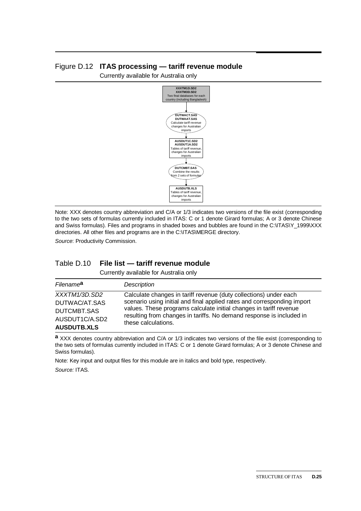#### Figure D.12 **ITAS processing — tariff revenue module**

Currently available for Australia only



Note: XXX denotes country abbreviation and C/A or 1/3 indicates two versions of the file exist (corresponding to the two sets of formulas currently included in ITAS: C or 1 denote Girard formulas; A or 3 denote Chinese and Swiss formulas). Files and programs in shaded boxes and bubbles are found in the C:\ITAS\Y\_1999\XXX directories. All other files and programs are in the C:\ITAS\MERGE directory.

*Source*: Productivity Commission.

#### Table D.10 **File list — tariff revenue module**

Currently available for Australia only

| Filename <sup>a</sup> | <b>Description</b>                                                      |
|-----------------------|-------------------------------------------------------------------------|
| XXXTM1/3D.SD2         | Calculate changes in tariff revenue (duty collections) under each       |
| DUTWAC/AT.SAS         | scenario using initial and final applied rates and corresponding import |
| DUTCMBT.SAS           | values. These programs calculate initial changes in tariff revenue      |
| AUSDUT1C/A.SD2        | resulting from changes in tariffs. No demand response is included in    |
| <b>AUSDUTB.XLS</b>    | these calculations.                                                     |

**a** XXX denotes country abbreviation and C/A or 1/3 indicates two versions of the file exist (corresponding to the two sets of formulas currently included in ITAS: C or 1 denote Girard formulas; A or 3 denote Chinese and Swiss formulas).

Note: Key input and output files for this module are in italics and bold type, respectively.

*Source:* ITAS.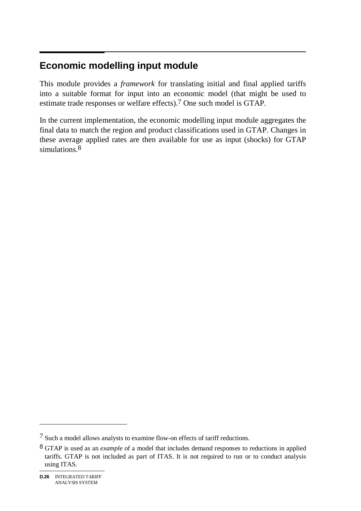#### $\overline{a}$ **Economic modelling input module**

This module provides a *framework* for translating initial and final applied tariffs into a suitable format for input into an economic model (that might be used to estimate trade responses or welfare effects).7 One such model is GTAP.

In the current implementation, the economic modelling input module aggregates the final data to match the region and product classifications used in GTAP. Changes in these average applied rates are then available for use as input (shocks) for GTAP simulations.<sup>8</sup>

<sup>7</sup> Such a model allows analysts to examine flow-on effects of tariff reductions.

<sup>8</sup> GTAP is used as an *example* of a model that includes demand responses to reductions in applied tariffs. GTAP is not included as part of ITAS. It is not required to run or to conduct analysis using ITAS.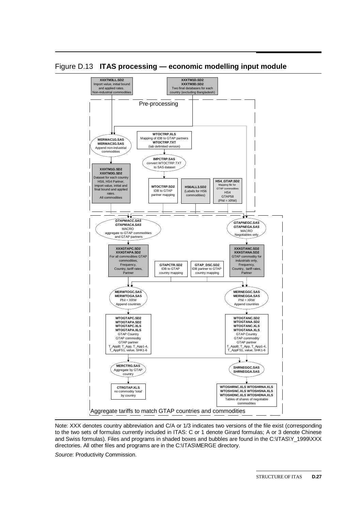

Figure D.13 **ITAS processing — economic modelling input module** 

Note: XXX denotes country abbreviation and C/A or 1/3 indicates two versions of the file exist (corresponding to the two sets of formulas currently included in ITAS: C or 1 denote Girard formulas; A or 3 denote Chinese and Swiss formulas). Files and programs in shaded boxes and bubbles are found in the C:\ITAS\Y\_1999\XXX directories. All other files and programs are in the C:\ITAS\MERGE directory.

*Source*: Productivity Commission.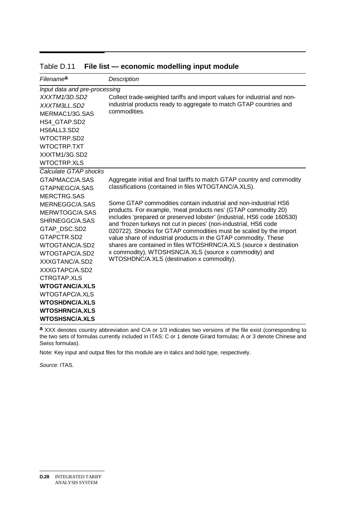| Filename <sup>a</sup>         | <b>Description</b>                                                                                                                       |
|-------------------------------|------------------------------------------------------------------------------------------------------------------------------------------|
| Input data and pre-processing |                                                                                                                                          |
| XXXTM1/3D.SD2                 | Collect trade-weighted tariffs and import values for industrial and non-                                                                 |
| XXXTM3LL SD2                  | industrial products ready to aggregate to match GTAP countries and                                                                       |
| MERMAC1/3G.SAS                | commodities.                                                                                                                             |
| HS4 GTAP.SD2                  |                                                                                                                                          |
| HS6ALL3.SD2                   |                                                                                                                                          |
| WTOCTRP.SD2                   |                                                                                                                                          |
| WTOCTRP.TXT                   |                                                                                                                                          |
| XXXTM1/3G.SD2                 |                                                                                                                                          |
| <b>WTOCTRP.XLS</b>            |                                                                                                                                          |
| Calculate GTAP shocks         |                                                                                                                                          |
| GTAPMACC/A SAS                | Aggregate initial and final tariffs to match GTAP country and commodity                                                                  |
| GTAPNEGC/A SAS                | classifications (contained in files WTOGTANC/A.XLS).                                                                                     |
| <b>MERCTRG.SAS</b>            |                                                                                                                                          |
| MERNEGGC/A.SAS                | Some GTAP commodities contain industrial and non-industrial HS6                                                                          |
| MERWTOGC/A SAS                | products. For example, 'meat products nes' (GTAP commodity 20)<br>includes 'prepared or preserved lobster' (industrial, HS6 code 160530) |
| SHRNEGGC/A.SAS                | and 'frozen turkeys not cut in pieces' (non-industrial, HS6 code                                                                         |
| GTAP DSC.SD2                  | 020722). Shocks for GTAP commodities must be scaled by the import                                                                        |
| GTAPCTR SD2                   | value share of industrial products in the GTAP commodity. These                                                                          |
| WTOGTANC/A.SD2                | shares are contained in files WTOSHRNC/A.XLS (source x destination                                                                       |
| WTOGTAPC/A.SD2                | x commodity), WTOSHSNC/A.XLS (source x commodity) and                                                                                    |
| XXXGTANC/A.SD2                | WTOSHDNC/A.XLS (destination x commodity).                                                                                                |
| XXXGTAPC/A.SD2                |                                                                                                                                          |
| CTRGTAP XLS                   |                                                                                                                                          |
| <b>WTOGTANC/A.XLS</b>         |                                                                                                                                          |
| WTOGTAPC/A.XLS                |                                                                                                                                          |
| <b>WTOSHDNC/A.XLS</b>         |                                                                                                                                          |
| <b>WTOSHRNC/A.XLS</b>         |                                                                                                                                          |
| <b>WTOSHSNC/A.XLS</b>         |                                                                                                                                          |

Table D.11 **File list — economic modelling input module** 

**a** XXX denotes country abbreviation and C/A or 1/3 indicates two versions of the file exist (corresponding to the two sets of formulas currently included in ITAS: C or 1 denote Girard formulas; A or 3 denote Chinese and Swiss formulas).

Note: Key input and output files for this module are in italics and bold type, respectively.

*Source:* ITAS.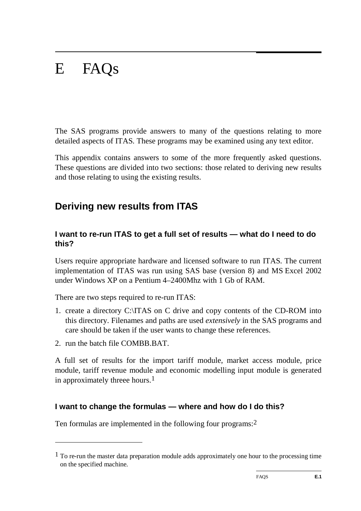# E FAQs

The SAS programs provide answers to many of the questions relating to more detailed aspects of ITAS. These programs may be examined using any text editor.

This appendix contains answers to some of the more frequently asked questions. These questions are divided into two sections: those related to deriving new results and those relating to using the existing results.

## **Deriving new results from ITAS**

#### **I want to re-run ITAS to get a full set of results — what do I need to do this?**

Users require appropriate hardware and licensed software to run ITAS. The current implementation of ITAS was run using SAS base (version 8) and MS Excel 2002 under Windows XP on a Pentium 4–2400Mhz with 1 Gb of RAM.

There are two steps required to re-run ITAS:

- 1. create a directory C:\ITAS on C drive and copy contents of the CD-ROM into this directory. Filenames and paths are used *extensively* in the SAS programs and care should be taken if the user wants to change these references.
- 2. run the batch file COMBB.BAT.

-

A full set of results for the import tariff module, market access module, price module, tariff revenue module and economic modelling input module is generated in approximately threee hours.<sup>1</sup>

## **I want to change the formulas — where and how do I do this?**

Ten formulas are implemented in the following four programs:2

<sup>&</sup>lt;sup>1</sup> To re-run the master data preparation module adds approximately one hour to the processing time on the specified machine.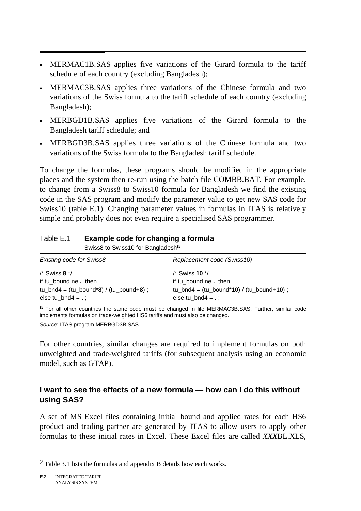- MERMAC1B.SAS applies five variations of the Girard formula to the tariff schedule of each country (excluding Bangladesh);
- MERMAC3B.SAS applies three variations of the Chinese formula and two variations of the Swiss formula to the tariff schedule of each country (excluding Bangladesh);
- MERBGD1B.SAS applies five variations of the Girard formula to the Bangladesh tariff schedule; and
- MERBGD3B.SAS applies three variations of the Chinese formula and two variations of the Swiss formula to the Bangladesh tariff schedule.

To change the formulas, these programs should be modified in the appropriate places and the system then re-run using the batch file COMBB.BAT. For example, to change from a Swiss8 to Swiss10 formula for Bangladesh we find the existing code in the SAS program and modify the parameter value to get new SAS code for Swiss10 (table E.1). Changing parameter values in formulas in ITAS is relatively simple and probably does not even require a specialised SAS programmer.

#### Table E.1 **Example code for changing a formula**

Swiss8 to Swiss10 for Bangladesh**a**

| Existing code for Swiss8                  | Replacement code (Swiss10)                                     |
|-------------------------------------------|----------------------------------------------------------------|
| $/*$ Swiss 8 $*/$                         | /* Swiss <b>10</b> */                                          |
| if tu bound ne. then                      | if tu bound ne. then                                           |
| tu_bnd4 = $(tu_bound*8) / (tu_bound*8)$ ; | tu_bnd4 = $(tu_{\text{bound}}^*10) / (tu_{\text{bound}}+10)$ ; |
| else tu $bnd4 = .$ ;                      | else tu_bnd4 = $\therefore$                                    |

**a** For all other countries the same code must be changed in file MERMAC3B.SAS. Further, similar code implements formulas on trade-weighted HS6 tariffs and must also be changed.

*Source*: ITAS program MERBGD3B.SAS.

For other countries, similar changes are required to implement formulas on both unweighted and trade-weighted tariffs (for subsequent analysis using an economic model, such as GTAP).

#### **I want to see the effects of a new formula — how can I do this without using SAS?**

A set of MS Excel files containing initial bound and applied rates for each HS6 product and trading partner are generated by ITAS to allow users to apply other formulas to these initial rates in Excel. These Excel files are called *XXX*BL.XLS,

<sup>2</sup> Table 3.1 lists the formulas and appendix B details how each works.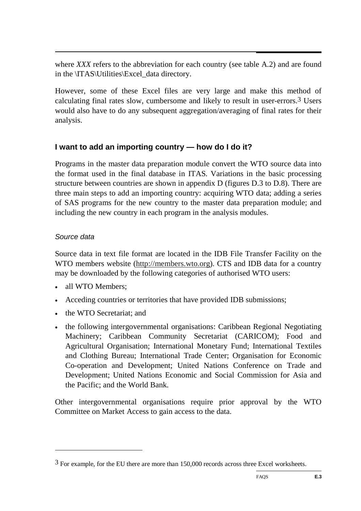where *XXX* refers to the abbreviation for each country (see table A.2) and are found in the \ITAS\Utilities\Excel\_data directory.

However, some of these Excel files are very large and make this method of calculating final rates slow, cumbersome and likely to result in user-errors.3 Users would also have to do any subsequent aggregation/averaging of final rates for their analysis.

#### **I want to add an importing country — how do I do it?**

Programs in the master data preparation module convert the WTO source data into the format used in the final database in ITAS. Variations in the basic processing structure between countries are shown in appendix D (figures D.3 to D.8). There are three main steps to add an importing country: acquiring WTO data; adding a series of SAS programs for the new country to the master data preparation module; and including the new country in each program in the analysis modules.

#### *Source data*

-

Source data in text file format are located in the IDB File Transfer Facility on the WTO members website (http://members.wto.org). CTS and IDB data for a country may be downloaded by the following categories of authorised WTO users:

- all WTO Members:
- Acceding countries or territories that have provided IDB submissions;
- the WTO Secretariat: and
- the following intergovernmental organisations: Caribbean Regional Negotiating Machinery; Caribbean Community Secretariat (CARICOM); Food and Agricultural Organisation; International Monetary Fund; International Textiles and Clothing Bureau; International Trade Center; Organisation for Economic Co-operation and Development; United Nations Conference on Trade and Development; United Nations Economic and Social Commission for Asia and the Pacific; and the World Bank.

Other intergovernmental organisations require prior approval by the WTO Committee on Market Access to gain access to the data.

 $3$  For example, for the EU there are more than 150,000 records across three Excel worksheets.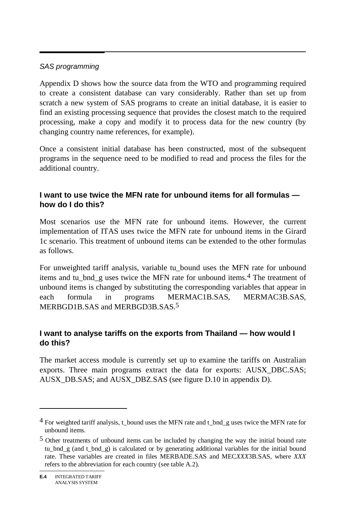#### *SAS programming*

Appendix D shows how the source data from the WTO and programming required to create a consistent database can vary considerably. Rather than set up from scratch a new system of SAS programs to create an initial database, it is easier to find an existing processing sequence that provides the closest match to the required processing, make a copy and modify it to process data for the new country (by changing country name references, for example).

Once a consistent initial database has been constructed, most of the subsequent programs in the sequence need to be modified to read and process the files for the additional country.

#### **I want to use twice the MFN rate for unbound items for all formulas how do I do this?**

Most scenarios use the MFN rate for unbound items. However, the current implementation of ITAS uses twice the MFN rate for unbound items in the Girard 1c scenario. This treatment of unbound items can be extended to the other formulas as follows.

For unweighted tariff analysis, variable tu\_bound uses the MFN rate for unbound items and tu bnd g uses twice the MFN rate for unbound items.<sup>4</sup> The treatment of unbound items is changed by substituting the corresponding variables that appear in each formula in programs MERMAC1B.SAS, MERMAC3B.SAS, MERBGD1B.SAS and MERBGD3B.SAS.5

## **I want to analyse tariffs on the exports from Thailand — how would I do this?**

The market access module is currently set up to examine the tariffs on Australian exports. Three main programs extract the data for exports: AUSX\_DBC.SAS; AUSX\_DB.SAS; and AUSX\_DBZ.SAS (see figure D.10 in appendix D).

 $4$  For weighted tariff analysis, t\_bound uses the MFN rate and t\_bnd\_g uses twice the MFN rate for unbound items.

<sup>5</sup> Other treatments of unbound items can be included by changing the way the initial bound rate tu bnd g (and t bnd g) is calculated or by generating additional variables for the initial bound rate. These variables are created in files MERBADE.SAS and MEC*XXX*3B.SAS, where *XXX* refers to the abbreviation for each country (see table A.2).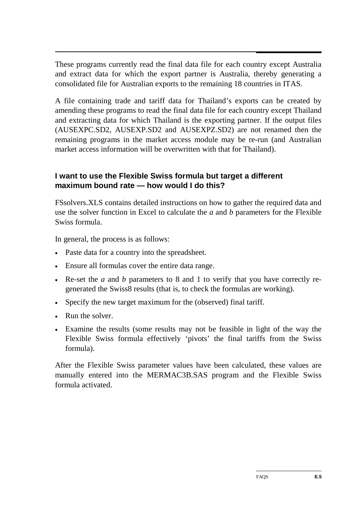$\overline{a}$ These programs currently read the final data file for each country except Australia and extract data for which the export partner is Australia, thereby generating a consolidated file for Australian exports to the remaining 18 countries in ITAS.

A file containing trade and tariff data for Thailand's exports can be created by amending these programs to read the final data file for each country except Thailand and extracting data for which Thailand is the exporting partner. If the output files (AUSEXPC.SD2, AUSEXP.SD2 and AUSEXPZ.SD2) are not renamed then the remaining programs in the market access module may be re-run (and Australian market access information will be overwritten with that for Thailand).

#### **I want to use the Flexible Swiss formula but target a different maximum bound rate — how would I do this?**

FSsolvers.XLS contains detailed instructions on how to gather the required data and use the solver function in Excel to calculate the *a* and *b* parameters for the Flexible Swiss formula.

In general, the process is as follows:

- Paste data for a country into the spreadsheet.
- Ensure all formulas cover the entire data range.
- Re-set the *a* and *b* parameters to 8 and 1 to verify that you have correctly regenerated the Swiss8 results (that is, to check the formulas are working).
- Specify the new target maximum for the (observed) final tariff.
- Run the solver.
- Examine the results (some results may not be feasible in light of the way the Flexible Swiss formula effectively 'pivots' the final tariffs from the Swiss formula).

After the Flexible Swiss parameter values have been calculated, these values are manually entered into the MERMAC3B.SAS program and the Flexible Swiss formula activated.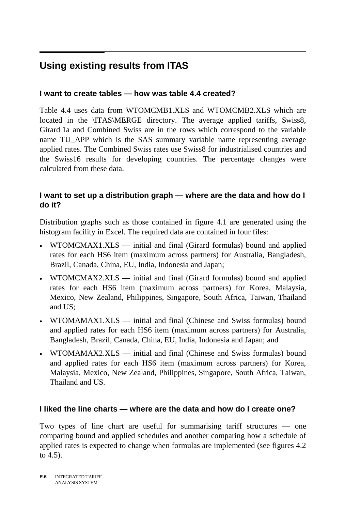#### $\overline{a}$ **Using existing results from ITAS**

#### **I want to create tables — how was table 4.4 created?**

Table 4.4 uses data from WTOMCMB1.XLS and WTOMCMB2.XLS which are located in the \ITAS\MERGE directory. The average applied tariffs, Swiss8, Girard 1a and Combined Swiss are in the rows which correspond to the variable name TU\_APP which is the SAS summary variable name representing average applied rates. The Combined Swiss rates use Swiss8 for industrialised countries and the Swiss16 results for developing countries. The percentage changes were calculated from these data.

#### **I want to set up a distribution graph — where are the data and how do I do it?**

Distribution graphs such as those contained in figure 4.1 are generated using the histogram facility in Excel. The required data are contained in four files:

- WTOMCMAX1.XLS initial and final (Girard formulas) bound and applied rates for each HS6 item (maximum across partners) for Australia, Bangladesh, Brazil, Canada, China, EU, India, Indonesia and Japan;
- WTOMCMAX2.XLS initial and final (Girard formulas) bound and applied rates for each HS6 item (maximum across partners) for Korea, Malaysia, Mexico, New Zealand, Philippines, Singapore, South Africa, Taiwan, Thailand and US;
- WTOMAMAX1.XLS initial and final (Chinese and Swiss formulas) bound and applied rates for each HS6 item (maximum across partners) for Australia, Bangladesh, Brazil, Canada, China, EU, India, Indonesia and Japan; and
- WTOMAMAX2.XLS initial and final (Chinese and Swiss formulas) bound and applied rates for each HS6 item (maximum across partners) for Korea, Malaysia, Mexico, New Zealand, Philippines, Singapore, South Africa, Taiwan, Thailand and US.

#### **I liked the line charts — where are the data and how do I create one?**

Two types of line chart are useful for summarising tariff structures — one comparing bound and applied schedules and another comparing how a schedule of applied rates is expected to change when formulas are implemented (see figures 4.2 to 4.5).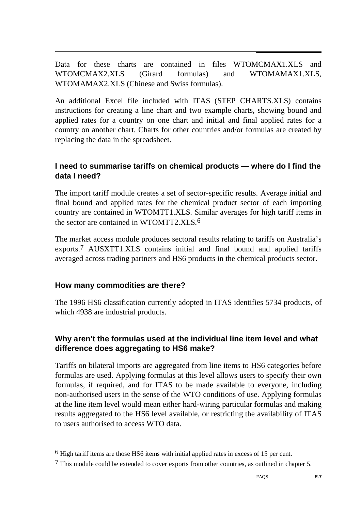$\overline{a}$ Data for these charts are contained in files WTOMCMAX1.XLS and WTOMCMAX2.XLS (Girard formulas) and WTOMAMAX1.XLS, WTOMAMAX2.XLS (Chinese and Swiss formulas).

An additional Excel file included with ITAS (STEP CHARTS.XLS) contains instructions for creating a line chart and two example charts, showing bound and applied rates for a country on one chart and initial and final applied rates for a country on another chart. Charts for other countries and/or formulas are created by replacing the data in the spreadsheet.

#### **I need to summarise tariffs on chemical products — where do I find the data I need?**

The import tariff module creates a set of sector-specific results. Average initial and final bound and applied rates for the chemical product sector of each importing country are contained in WTOMTT1.XLS. Similar averages for high tariff items in the sector are contained in WTOMTT2.XLS.6

The market access module produces sectoral results relating to tariffs on Australia's exports.7 AUSXTT1.XLS contains initial and final bound and applied tariffs averaged across trading partners and HS6 products in the chemical products sector.

#### **How many commodities are there?**

-

The 1996 HS6 classification currently adopted in ITAS identifies 5734 products, of which 4938 are industrial products.

## **Why aren't the formulas used at the individual line item level and what difference does aggregating to HS6 make?**

Tariffs on bilateral imports are aggregated from line items to HS6 categories before formulas are used. Applying formulas at this level allows users to specify their own formulas, if required, and for ITAS to be made available to everyone, including non-authorised users in the sense of the WTO conditions of use. Applying formulas at the line item level would mean either hard-wiring particular formulas and making results aggregated to the HS6 level available, or restricting the availability of ITAS to users authorised to access WTO data.

<sup>6</sup> High tariff items are those HS6 items with initial applied rates in excess of 15 per cent.

<sup>7</sup> This module could be extended to cover exports from other countries, as outlined in chapter 5.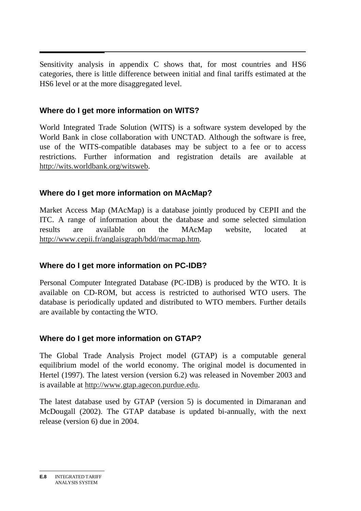$\overline{\phantom{a}}$ Sensitivity analysis in appendix C shows that, for most countries and HS6 categories, there is little difference between initial and final tariffs estimated at the HS6 level or at the more disaggregated level.

#### **Where do I get more information on WITS?**

World Integrated Trade Solution (WITS) is a software system developed by the World Bank in close collaboration with UNCTAD. Although the software is free, use of the WITS-compatible databases may be subject to a fee or to access restrictions. Further information and registration details are available at http://wits.worldbank.org/witsweb.

#### **Where do I get more information on MAcMap?**

Market Access Map (MAcMap) is a database jointly produced by CEPII and the ITC. A range of information about the database and some selected simulation results are available on the MAcMap website, located at http://www.cepii.fr/anglaisgraph/bdd/macmap.htm.

## **Where do I get more information on PC-IDB?**

Personal Computer Integrated Database (PC-IDB) is produced by the WTO. It is available on CD-ROM, but access is restricted to authorised WTO users. The database is periodically updated and distributed to WTO members. Further details are available by contacting the WTO.

## **Where do I get more information on GTAP?**

The Global Trade Analysis Project model (GTAP) is a computable general equilibrium model of the world economy. The original model is documented in Hertel (1997). The latest version (version 6.2) was released in November 2003 and is available at http://www.gtap.agecon.purdue.edu.

The latest database used by GTAP (version 5) is documented in Dimaranan and McDougall (2002). The GTAP database is updated bi-annually, with the next release (version 6) due in 2004.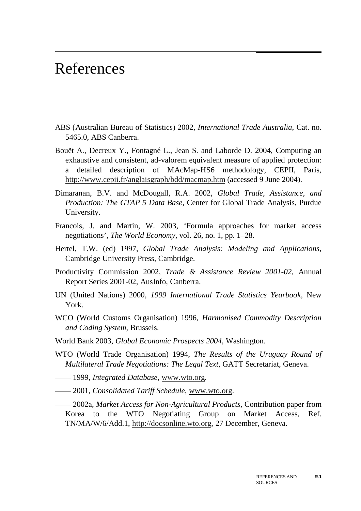## References

- ABS (Australian Bureau of Statistics) 2002, *International Trade Australia*, Cat. no. 5465.0, ABS Canberra.
- Bouët A., Decreux Y., Fontagné L., Jean S. and Laborde D. 2004, Computing an exhaustive and consistent, ad-valorem equivalent measure of applied protection: a detailed description of MAcMap-HS6 methodology, CEPII, Paris, http://www.cepii.fr/anglaisgraph/bdd/macmap.htm (accessed 9 June 2004).
- Dimaranan, B.V. and McDougall, R.A. 2002, *Global Trade, Assistance, and Production: The GTAP 5 Data Base*, Center for Global Trade Analysis, Purdue University.
- Francois, J. and Martin, W. 2003, 'Formula approaches for market access negotiations', *The World Economy*, vol. 26, no. 1, pp. 1–28.
- Hertel, T.W. (ed) 1997, *Global Trade Analysis: Modeling and Applications*, Cambridge University Press, Cambridge.
- Productivity Commission 2002, *Trade & Assistance Review 2001-02*, Annual Report Series 2001-02, AusInfo, Canberra.
- UN (United Nations) 2000, *1999 International Trade Statistics Yearbook*, New York.
- WCO (World Customs Organisation) 1996, *Harmonised Commodity Description and Coding System*, Brussels.
- World Bank 2003, *Global Economic Prospects 2004*, Washington.
- WTO (World Trade Organisation) 1994, *The Results of the Uruguay Round of Multilateral Trade Negotiations: The Legal Text*, GATT Secretariat, Geneva.
- —— 1999, *Integrated Database*, www.wto.org.
- —— 2001, *Consolidated Tariff Schedule*, www.wto.org.
- —— 2002a, *Market Access for Non-Agricultural Products*, Contribution paper from Korea to the WTO Negotiating Group on Market Access, Ref. TN/MA/W/6/Add.1, http://docsonline.wto.org, 27 December, Geneva.